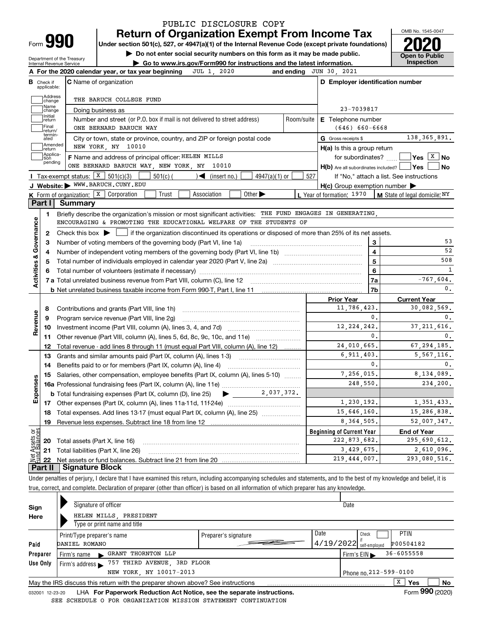| Form |  |
|------|--|

### **Return of Organization Exempt From Income Tax** PUBLIC DISCLOSURE COPY

**Under section 501(c), 527, or 4947(a)(1) of the Internal Revenue Code (except private foundations) 2020**

**| Do not enter social security numbers on this form as it may be made public.**

Department of the Treasury Internal Revenue Service

**| Go to www.irs.gov/Form990 for instructions and the latest information. Inspection**



|                                | <b>B</b> Check if<br>applicable: | <b>C</b> Name of organization                                                                                                                       |            | D Employer identification number                    |                                                                  |
|--------------------------------|----------------------------------|-----------------------------------------------------------------------------------------------------------------------------------------------------|------------|-----------------------------------------------------|------------------------------------------------------------------|
|                                | Address<br>change                | THE BARUCH COLLEGE FUND                                                                                                                             |            |                                                     |                                                                  |
|                                | Name<br>change                   | Doing business as                                                                                                                                   |            | 23-7039817                                          |                                                                  |
|                                | Initial<br>return                | Number and street (or P.O. box if mail is not delivered to street address)                                                                          | Room/suite | E Telephone number                                  |                                                                  |
|                                | Final<br>return/                 | ONE BERNARD BARUCH WAY                                                                                                                              |            | $(646) 660 - 6668$                                  |                                                                  |
|                                | termin-<br>ated                  | City or town, state or province, country, and ZIP or foreign postal code                                                                            |            | G Gross receipts \$                                 | 138, 365, 891.                                                   |
|                                | Amended<br>return                | NEW YORK, NY 10010                                                                                                                                  |            | $H(a)$ is this a group return                       |                                                                  |
|                                | Applica-<br>dion                 | F Name and address of principal officer: HELEN MILLS                                                                                                |            |                                                     | for subordinates? $\frac{1}{2}$ <b>Yes</b> $\boxed{X}$ <b>No</b> |
|                                | pending                          | ONE BERNARD BARUCH WAY, NEW YORK, NY 10010                                                                                                          |            | $H(b)$ Are all subordinates included? $\Box$ Yes    | No                                                               |
|                                |                                  | Tax-exempt status: $X \ 501(c)(3)$<br>$501(c)$ (<br>$\sqrt{\bullet}$ (insert no.)<br>$4947(a)(1)$ or                                                | 527        | If "No," attach a list. See instructions            |                                                                  |
|                                |                                  | J Website: WWW.BARUCH.CUNY.EDU                                                                                                                      |            | $H(c)$ Group exemption number $\blacktriangleright$ |                                                                  |
|                                |                                  | <b>K</b> Form of organization: $\boxed{\textbf{x}}$ Corporation<br>Other $\blacktriangleright$<br>Trust<br>Association                              |            | L Year of formation: 1970                           | M State of legal domicile: NY                                    |
|                                | Part I                           | <b>Summary</b>                                                                                                                                      |            |                                                     |                                                                  |
|                                | 1.                               | Briefly describe the organization's mission or most significant activities: THE FUND ENGAGES IN GENERATING,                                         |            |                                                     |                                                                  |
| Activities & Governance        |                                  | ENCOURAGING & PROMOTING THE EDUCATIONAL WELFARE OF THE STUDENTS OF                                                                                  |            |                                                     |                                                                  |
|                                | 2                                | Check this box $\blacktriangleright$ $\blacksquare$ if the organization discontinued its operations or disposed of more than 25% of its net assets. |            |                                                     |                                                                  |
|                                | з                                |                                                                                                                                                     |            | 3                                                   | 53                                                               |
|                                | 4                                |                                                                                                                                                     |            | $\overline{\mathbf{4}}$                             | 52                                                               |
|                                | 5                                |                                                                                                                                                     |            | $\overline{5}$                                      | 508                                                              |
|                                |                                  |                                                                                                                                                     |            | 6                                                   | 1                                                                |
|                                |                                  |                                                                                                                                                     |            | <b>7a</b>                                           | $-767,604.$                                                      |
|                                |                                  |                                                                                                                                                     |            | 7b                                                  | 0.                                                               |
|                                |                                  |                                                                                                                                                     |            | <b>Prior Year</b>                                   | <b>Current Year</b>                                              |
|                                | 8                                |                                                                                                                                                     |            | 11,786,423.                                         | 30,082,569.                                                      |
|                                | 9                                | Program service revenue (Part VIII, line 2g)                                                                                                        |            | 0.                                                  | 0.                                                               |
| Revenue                        | 10                               |                                                                                                                                                     |            | 12, 224, 242.                                       | 37, 211, 616.                                                    |
|                                | 11                               | Other revenue (Part VIII, column (A), lines 5, 6d, 8c, 9c, 10c, and 11e)                                                                            |            | 0.                                                  | 0.                                                               |
|                                | 12                               | Total revenue - add lines 8 through 11 (must equal Part VIII, column (A), line 12)                                                                  |            | 24,010,665.                                         | 67, 294, 185.                                                    |
|                                | 13                               | Grants and similar amounts paid (Part IX, column (A), lines 1-3)                                                                                    |            | 6,911,403.                                          | 5, 567, 116.                                                     |
|                                | 14                               |                                                                                                                                                     |            | 0.                                                  | 0.                                                               |
|                                | 15                               | Salaries, other compensation, employee benefits (Part IX, column (A), lines 5-10)                                                                   |            | 7,256,015.                                          | 8,134,089.                                                       |
|                                |                                  |                                                                                                                                                     |            | 248,550.                                            | 234.200.                                                         |
| Expenses                       |                                  |                                                                                                                                                     |            |                                                     |                                                                  |
|                                |                                  |                                                                                                                                                     |            | 1,230,192.                                          | 1,351,433.                                                       |
|                                |                                  | 18 Total expenses. Add lines 13-17 (must equal Part IX, column (A), line 25)                                                                        |            | 15,646,160.                                         | 15,286,838.                                                      |
|                                | <u>19</u>                        | Revenue less expenses. Subtract line 18 from line 12                                                                                                |            | 8, 364, 505.                                        | 52,007,347.                                                      |
|                                |                                  |                                                                                                                                                     |            | <b>Beginning of Current Year</b>                    | <b>End of Year</b>                                               |
| Net Assets or<br>Fund Balances | 20                               | Total assets (Part X, line 16)                                                                                                                      |            | 222, 873, 682.                                      | 295,690,612.                                                     |
|                                | 21                               | Total liabilities (Part X, line 26)                                                                                                                 |            | 3,429,675.                                          | 2,610,096.                                                       |
|                                | 22                               |                                                                                                                                                     |            | 219, 444, 007.                                      | 293,080,516.                                                     |
|                                |                                  |                                                                                                                                                     |            |                                                     |                                                                  |

true, correct, and complete. Declaration of preparer (other than officer) is based on all information of which preparer has any knowledge.

| Sign     |  | Signature of officer                                                            |                      |      | Date                      |                 |                   |
|----------|--|---------------------------------------------------------------------------------|----------------------|------|---------------------------|-----------------|-------------------|
| Here     |  | HELEN MILLS, PRESIDENT                                                          |                      |      |                           |                 |                   |
|          |  | Type or print name and title                                                    |                      |      |                           |                 |                   |
|          |  | Print/Type preparer's name                                                      | Preparer's signature | Date | Check                     | <b>PTIN</b>     |                   |
| Paid     |  | DANIEL ROMANO                                                                   |                      |      | $4/19/2022$ self-employed | P00504182       |                   |
| Preparer |  | GRANT THORNTON LLP<br>Firm's name<br>$\mathbf{L}$                               |                      |      | Firm's $EIN$              | $36 - 6055558$  |                   |
| Use Only |  | Firm's address $\triangleright$ 757 THIRD AVENUE, 3RD FLOOR                     |                      |      |                           |                 |                   |
|          |  | Phone no. 212-599-0100                                                          |                      |      |                           |                 |                   |
|          |  | May the IRS discuss this return with the preparer shown above? See instructions |                      |      |                           | X<br><b>Yes</b> | No                |
|          |  |                                                                                 |                      |      |                           | -               | $000 \times 0.00$ |

032001 12-23-20 LHA **For Paperwork Reduction Act Notice, see the separate instructions.** Form 990 (2020) SEE SCHEDULE O FOR ORGANIZATION MISSION STATEMENT CONTINUATION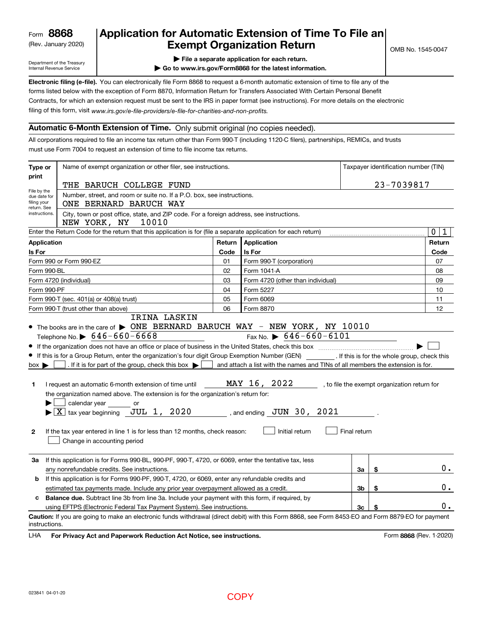(Rev. January 2020)

## **Application for Automatic Extension of Time To File an Exempt Organization Return**

Department of the Treasury Internal Revenue Service

- **| File a separate application for each return.**
- **| Go to www.irs.gov/Form8868 for the latest information.**

**Electronic filing (e-file).**  You can electronically file Form 8868 to request a 6-month automatic extension of time to file any of the filing of this form, visit www.irs.gov/e-file-providers/e-file-for-charities-and-non-profits. forms listed below with the exception of Form 8870, Information Return for Transfers Associated With Certain Personal Benefit Contracts, for which an extension request must be sent to the IRS in paper format (see instructions). For more details on the electronic

### **Automatic 6-Month Extension of Time.** Only submit original (no copies needed).

All corporations required to file an income tax return other than Form 990-T (including 1120-C filers), partnerships, REMICs, and trusts must use Form 7004 to request an extension of time to file income tax returns.

| Type or                                                   | Name of exempt organization or other filer, see instructions.                                                                                                                                                                                                                                                                                                                                                                                                                                                                                                                                                                                                                           | Taxpayer identification number (TIN) |                                                                                                                                                   |              |    |                                                                                              |  |  |  |  |
|-----------------------------------------------------------|-----------------------------------------------------------------------------------------------------------------------------------------------------------------------------------------------------------------------------------------------------------------------------------------------------------------------------------------------------------------------------------------------------------------------------------------------------------------------------------------------------------------------------------------------------------------------------------------------------------------------------------------------------------------------------------------|--------------------------------------|---------------------------------------------------------------------------------------------------------------------------------------------------|--------------|----|----------------------------------------------------------------------------------------------|--|--|--|--|
| print                                                     | THE BARUCH COLLEGE FUND                                                                                                                                                                                                                                                                                                                                                                                                                                                                                                                                                                                                                                                                 | 23-7039817                           |                                                                                                                                                   |              |    |                                                                                              |  |  |  |  |
| File by the<br>due date for<br>filing your<br>return. See | Number, street, and room or suite no. If a P.O. box, see instructions.<br>ONE BERNARD BARUCH WAY                                                                                                                                                                                                                                                                                                                                                                                                                                                                                                                                                                                        |                                      |                                                                                                                                                   |              |    |                                                                                              |  |  |  |  |
| instructions.                                             | City, town or post office, state, and ZIP code. For a foreign address, see instructions.<br>NEW YORK, NY<br>10010                                                                                                                                                                                                                                                                                                                                                                                                                                                                                                                                                                       |                                      |                                                                                                                                                   |              |    |                                                                                              |  |  |  |  |
|                                                           | Enter the Return Code for the return that this application is for (file a separate application for each return)                                                                                                                                                                                                                                                                                                                                                                                                                                                                                                                                                                         |                                      |                                                                                                                                                   |              |    | 0<br>1                                                                                       |  |  |  |  |
| <b>Application</b>                                        |                                                                                                                                                                                                                                                                                                                                                                                                                                                                                                                                                                                                                                                                                         | Return                               | Application                                                                                                                                       |              |    | Return                                                                                       |  |  |  |  |
| Is For                                                    |                                                                                                                                                                                                                                                                                                                                                                                                                                                                                                                                                                                                                                                                                         | Code                                 | Is For                                                                                                                                            |              |    | Code                                                                                         |  |  |  |  |
|                                                           | Form 990 or Form 990-EZ                                                                                                                                                                                                                                                                                                                                                                                                                                                                                                                                                                                                                                                                 | 01                                   | Form 990-T (corporation)                                                                                                                          |              |    | 07                                                                                           |  |  |  |  |
| Form 990-BL                                               |                                                                                                                                                                                                                                                                                                                                                                                                                                                                                                                                                                                                                                                                                         | 02                                   | Form 1041-A                                                                                                                                       |              |    | 08                                                                                           |  |  |  |  |
|                                                           | Form 4720 (individual)                                                                                                                                                                                                                                                                                                                                                                                                                                                                                                                                                                                                                                                                  | 03                                   | Form 4720 (other than individual)                                                                                                                 |              |    | 09                                                                                           |  |  |  |  |
| Form 990-PF                                               |                                                                                                                                                                                                                                                                                                                                                                                                                                                                                                                                                                                                                                                                                         | 04                                   | Form 5227                                                                                                                                         |              |    | 10                                                                                           |  |  |  |  |
|                                                           | Form 990-T (sec. 401(a) or 408(a) trust)                                                                                                                                                                                                                                                                                                                                                                                                                                                                                                                                                                                                                                                | 05                                   | Form 6069                                                                                                                                         |              |    | 11                                                                                           |  |  |  |  |
|                                                           | Form 990-T (trust other than above)                                                                                                                                                                                                                                                                                                                                                                                                                                                                                                                                                                                                                                                     | 06                                   | Form 8870                                                                                                                                         |              |    | 12                                                                                           |  |  |  |  |
| $box \blacktriangleright$<br>1.<br>$\mathbf{2}$           | If the organization does not have an office or place of business in the United States, check this box manufactured uncontroller than $\sim$<br>If this is for a Group Return, enter the organization's four digit Group Exemption Number (GEN)<br>. If it is for part of the group, check this box $\blacktriangleright$<br>I request an automatic 6-month extension of time until<br>the organization named above. The extension is for the organization's return for:<br>calendar year<br>or<br>$\blacktriangleright$ $\boxed{\text{X}}$ tax year beginning JUL 1, 2020<br>If the tax year entered in line 1 is for less than 12 months, check reason:<br>Change in accounting period |                                      | and attach a list with the names and TINs of all members the extension is for.<br>MAY 16, 2022<br>, and ending $JUN$ 30, $2021$<br>Initial return | Final return |    | . If this is for the whole group, check this<br>, to file the exempt organization return for |  |  |  |  |
| За                                                        | If this application is for Forms 990-BL, 990-PF, 990-T, 4720, or 6069, enter the tentative tax, less<br>any nonrefundable credits. See instructions.                                                                                                                                                                                                                                                                                                                                                                                                                                                                                                                                    |                                      |                                                                                                                                                   | За           | \$ | 0.                                                                                           |  |  |  |  |
| b                                                         | If this application is for Forms 990-PF, 990-T, 4720, or 6069, enter any refundable credits and                                                                                                                                                                                                                                                                                                                                                                                                                                                                                                                                                                                         |                                      |                                                                                                                                                   |              |    |                                                                                              |  |  |  |  |
|                                                           | estimated tax payments made. Include any prior year overpayment allowed as a credit.                                                                                                                                                                                                                                                                                                                                                                                                                                                                                                                                                                                                    |                                      |                                                                                                                                                   | 3b           | \$ | 0.                                                                                           |  |  |  |  |
|                                                           | c Balance due. Subtract line 3b from line 3a. Include your payment with this form, if required, by                                                                                                                                                                                                                                                                                                                                                                                                                                                                                                                                                                                      |                                      |                                                                                                                                                   |              |    |                                                                                              |  |  |  |  |
|                                                           | using EFTPS (Electronic Federal Tax Payment System). See instructions.                                                                                                                                                                                                                                                                                                                                                                                                                                                                                                                                                                                                                  |                                      |                                                                                                                                                   | 3c           |    | ο.                                                                                           |  |  |  |  |
| instructions.                                             | Caution: If you are going to make an electronic funds withdrawal (direct debit) with this Form 8868, see Form 8453-EO and Form 8879-EO for payment                                                                                                                                                                                                                                                                                                                                                                                                                                                                                                                                      |                                      |                                                                                                                                                   |              |    |                                                                                              |  |  |  |  |

**HA** For Privacy Act and Paperwork Reduction Act Notice, see instructions. **But a struction of the Constantion Constant** Form 8868 (Rev. 1-2020) LHA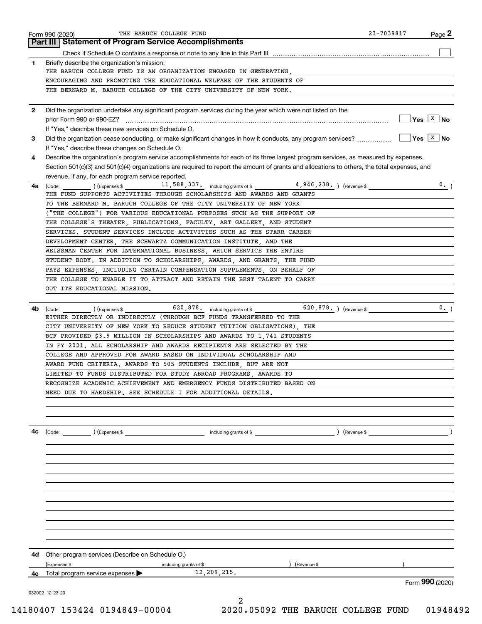|              | THE BARUCH COLLEGE FUND<br>Form 990 (2020)                                                                                                   | 23-7039817 | Page 2                      |
|--------------|----------------------------------------------------------------------------------------------------------------------------------------------|------------|-----------------------------|
|              | <b>Part III   Statement of Program Service Accomplishments</b>                                                                               |            |                             |
|              |                                                                                                                                              |            |                             |
| 1            | Briefly describe the organization's mission:                                                                                                 |            |                             |
|              | THE BARUCH COLLEGE FUND IS AN ORGANIZATION ENGAGED IN GENERATING,                                                                            |            |                             |
|              | ENCOURAGING AND PROMOTING THE EDUCATIONAL WELFARE OF THE STUDENTS OF<br>THE BERNARD M. BARUCH COLLEGE OF THE CITY UNIVERSITY OF NEW YORK.    |            |                             |
|              |                                                                                                                                              |            |                             |
| $\mathbf{2}$ | Did the organization undertake any significant program services during the year which were not listed on the                                 |            |                             |
|              |                                                                                                                                              |            | $\sqrt{Y}$ es $\sqrt{X}$ No |
|              | If "Yes." describe these new services on Schedule O.                                                                                         |            |                             |
| 3            | Did the organization cease conducting, or make significant changes in how it conducts, any program services?                                 |            | $Yes \ \boxed{X}$ No        |
|              | If "Yes," describe these changes on Schedule O.                                                                                              |            |                             |
| 4            | Describe the organization's program service accomplishments for each of its three largest program services, as measured by expenses.         |            |                             |
|              | Section 501(c)(3) and 501(c)(4) organizations are required to report the amount of grants and allocations to others, the total expenses, and |            |                             |
|              | revenue, if any, for each program service reported.                                                                                          |            |                             |
| 4a           | $(\epsilon, \epsilon)$ (Expenses \$11, 588, 337. including grants of \$4, 946, 238. ) (Revenue \$<br>(Code:                                  |            | 0.                          |
|              | THE FUND SUPPORTS ACTIVITIES THROUGH SCHOLARSHIPS AND AWARDS AND GRANTS                                                                      |            |                             |
|              | TO THE BERNARD M. BARUCH COLLEGE OF THE CITY UNIVERSITY OF NEW YORK                                                                          |            |                             |
|              | ("THE COLLEGE") FOR VARIOUS EDUCATIONAL PURPOSES SUCH AS THE SUPPORT OF                                                                      |            |                             |
|              | THE COLLEGE'S THEATER, PUBLICATIONS, FACULTY, ART GALLERY, AND STUDENT                                                                       |            |                             |
|              | SERVICES. STUDENT SERVICES INCLUDE ACTIVITIES SUCH AS THE STARR CAREER                                                                       |            |                             |
|              | DEVELOPMENT CENTER, THE SCHWARTZ COMMUNICATION INSTITUTE, AND THE                                                                            |            |                             |
|              | WEISSMAN CENTER FOR INTERNATIONAL BUSINESS, WHICH SERVICE THE ENTIRE                                                                         |            |                             |
|              | STUDENT BODY. IN ADDITION TO SCHOLARSHIPS, AWARDS, AND GRANTS, THE FUND                                                                      |            |                             |
|              | PAYS EXPENSES, INCLUDING CERTAIN COMPENSATION SUPPLEMENTS, ON BEHALF OF                                                                      |            |                             |
|              | THE COLLEGE TO ENABLE IT TO ATTRACT AND RETAIN THE BEST TALENT TO CARRY                                                                      |            |                             |
|              | OUT ITS EDUCATIONAL MISSION.                                                                                                                 |            |                             |
|              |                                                                                                                                              |            |                             |
| 4b           | (Code: (Code: ) (Expenses \$ 620,878. including grants of \$ 620,878. ) (Revenue \$                                                          |            | 0.1                         |
|              | EITHER DIRECTLY OR INDIRECTLY (THROUGH BCF FUNDS TRANSFERRED TO THE                                                                          |            |                             |
|              | CITY UNIVERSITY OF NEW YORK TO REDUCE STUDENT TUITION OBLIGATIONS), THE                                                                      |            |                             |
|              | BCF PROVIDED \$3.9 MILLION IN SCHOLARSHIPS AND AWARDS TO 1.741 STUDENTS                                                                      |            |                             |
|              | IN FY 2021. ALL SCHOLARSHIP AND AWARDS RECIPIENTS ARE SELECTED BY THE                                                                        |            |                             |
|              | COLLEGE AND APPROVED FOR AWARD BASED ON INDIVIDUAL SCHOLARSHIP AND                                                                           |            |                             |
|              | AWARD FUND CRITERIA. AWARDS TO 505 STUDENTS INCLUDE, BUT ARE NOT                                                                             |            |                             |
|              | LIMITED TO FUNDS DISTRIBUTED FOR STUDY ABROAD PROGRAMS, AWARDS TO                                                                            |            |                             |
|              | RECOGNIZE ACADEMIC ACHIEVEMENT AND EMERGENCY FUNDS DISTRIBUTED BASED ON                                                                      |            |                             |
|              | NEED DUE TO HARDSHIP. SEE SCHEDULE I FOR ADDITIONAL DETAILS.                                                                                 |            |                             |
|              |                                                                                                                                              |            |                             |
|              |                                                                                                                                              |            |                             |
|              |                                                                                                                                              |            |                             |
| 4с           |                                                                                                                                              |            |                             |
|              |                                                                                                                                              |            |                             |
|              |                                                                                                                                              |            |                             |
|              |                                                                                                                                              |            |                             |
|              |                                                                                                                                              |            |                             |
|              |                                                                                                                                              |            |                             |
|              |                                                                                                                                              |            |                             |
|              |                                                                                                                                              |            |                             |
|              |                                                                                                                                              |            |                             |
|              |                                                                                                                                              |            |                             |
|              |                                                                                                                                              |            |                             |
|              |                                                                                                                                              |            |                             |
|              | 4d Other program services (Describe on Schedule O.)                                                                                          |            |                             |
|              | (Expenses \$<br>including grants of \$<br>) (Revenue \$                                                                                      |            |                             |
| 4е           | Total program service expenses 12, 209, 215.                                                                                                 |            |                             |
|              |                                                                                                                                              |            | Form 990 (2020)             |
|              | 032002 12-23-20                                                                                                                              |            |                             |
|              | 2                                                                                                                                            |            |                             |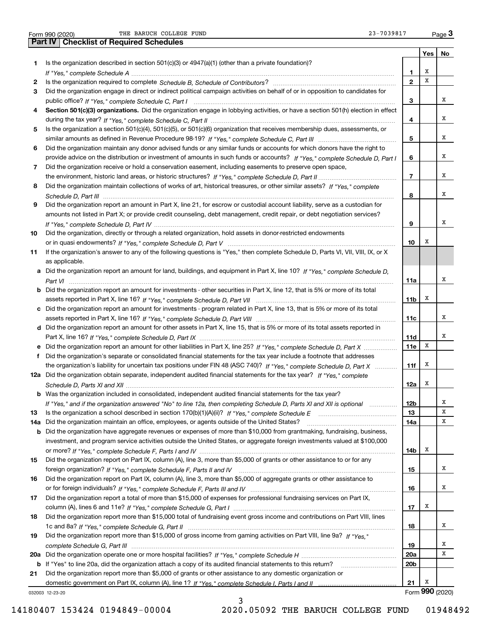|  | Form 990 (2020) |
|--|-----------------|

Form 990 (2020) THE BARUCH COLLEGE FUND 23-7039817 Page Form 990 (2020) THE BARUCH COLLEGE FUND<br>Part IV | Checklist of Required Schedules 23-7039817 <sub>Page</sub> 3

**Yes No 1** Is the organization described in section 501(c)(3) or 4947(a)(1) (other than a private foundation)? **23456789101112a** Did the organization obtain separate, independent audited financial statements for the tax year? If "Yes," complete **1314a** Did the organization maintain an office, employees, or agents outside of the United States? www.communicalli **151617181912345678910Section 501(c)(3) organizations.** Did the organization engage in lobbying activities, or have a section 501(h) election in effect **a** Did the organization report an amount for land, buildings, and equipment in Part X, line 10? If "Yes," complete Schedule D, **bcd** Did the organization report an amount for other assets in Part X, line 15, that is 5% or more of its total assets reported in **efb** Was the organization included in consolidated, independent audited financial statements for the tax year? **11a11b11c11d11e11f12a12b1314a14b151617181920a20b21** Form (2020) **990 b20 a** *If "Yes," complete Schedule H* Did the organization operate one or more hospital facilities? ~~~~~~~~~~~~~~~~~ **21b** If "Yes" to line 20a, did the organization attach a copy of its audited financial statements to this return? \_\_\_\_\_\_\_\_\_\_\_\_\_\_\_\_\_\_\_\_\_\_ *If "Yes," complete Schedule A* ~~~~~~~~~~~~~~~~~~~~~~~~~~~~~~~~~~~~~~~~~~~~~~~ Is the organization required to complete Schedule B, Schedule of Contributors? …………………………………………………… *If "Yes," complete Schedule C, Part I* public office? ~~~~~~~~~~~~~~~~~~~~~~~~~~~~~~~~~~~~ *If "Yes," complete Schedule C, Part II* during the tax year? ~~~~~~~~~~~~~~~~~~~~~~~~~~~~~~~~~ *If "Yes," complete Schedule C, Part III* similar amounts as defined in Revenue Procedure 98-19? ~~~~~~~~~~~~~~ *If "Yes," complete Schedule D, Part I* provide advice on the distribution or investment of amounts in such funds or accounts? *If "Yes," complete Schedule D, Part II* the environment, historic land areas, or historic structures? ~~~~~~~~~~~~~~ *If "Yes," complete* Did the organization maintain collections of works of art, historical treasures, or other similar assets? *Schedule D, Part III* ~~~~~~~~~~~~~~~~~~~~~~~~~~~~~~~~~~~~~~~~~~~~~~~~~~~~ *If "Yes," complete Schedule D, Part IV* ~~~~~~~~~~~~~~~~~~~~~~~~~~~~~~~~~~~~~~~~~~~ or in quasi endowments? If "Yes," c*omplete Schedule D, Part V* ………………………………………………………………………… *Part VI* ~~~~~~~~~~~~~~~~~~~~~~~~~~~~~~~~~~~~~~~~~~~~~~~~~~~~~~~~~~ *If "Yes," complete Schedule D, Part VII* assets reported in Part X, line 16? ~~~~~~~~~~~~~~~~~~~~~~~~~ assets reported in Part X, line 16? If "Yes," c*omplete Schedule D, Part VIII* ……………………………………………………………… Part X, line 16? *If "Yes," complete Schedule D, Part IX ………………………………………………………………………*……… Did the organization report an amount for other liabilities in Part X, line 25? If "Yes," c*omplete Schedule D, Part X* ……………… the organization's liability for uncertain tax positions under FIN 48 (ASC 740)? If "Yes," complete Schedule D, Part X ............ *Schedule D, Parts XI and XII* ~~~~~~~~~~~~~~~~~~~~~~~~~~~~~~~~~~~~~~~~~~~~~~~~ If "Yes," and if the organization answered "No" to line 12a, then completing Schedule D, Parts XI and XII is optional *www.* ls the organization a school described in section 170(b)(1)(A)(ii)? *If "Yes," complete Schedule E* \_\_\_\_\_\_\_\_\_\_\_\_\_\_\_\_\_\_\_\_\_\_\_\_\_\_\_\_\_\_\_\_\_ or more? *If "Yes," complete Schedule F, Parts I and IV ……………………………………………………………………*…………………… *If "Yes," complete Schedule F, Parts II and IV* foreign organization? *If "Yes," complete Schedule F, Parts III and IV* or for foreign individuals? ~~~~~~~~~~~~~~~~~~~~~~~~~~ column (A), lines 6 and 11e? *If "Yes," complete Schedule G, Part I* ………………………………………………………………………… *If "Yes," complete Schedule G, Part II* 1c and 8a? ~~~~~~~~~~~~~~~~~~~~~~~~~~~~~~~~~~~~~ Did the organization report more than \$15,000 of gross income from gaming activities on Part VIII, line 9a? If "Yes," *complete Schedule G, Part III* ~~~~~~~~~~~~~~~~~~~~~~~~~~~~~~~~~~~~~~~~~~~~~~~ domestic government on Part IX, column (A), line 1? If "Yes," complete Schedule I, Parts I and II …………………………………… Did the organization engage in direct or indirect political campaign activities on behalf of or in opposition to candidates for Is the organization a section 501(c)(4), 501(c)(5), or 501(c)(6) organization that receives membership dues, assessments, or Did the organization maintain any donor advised funds or any similar funds or accounts for which donors have the right to Did the organization receive or hold a conservation easement, including easements to preserve open space, Did the organization report an amount in Part X, line 21, for escrow or custodial account liability, serve as a custodian for amounts not listed in Part X; or provide credit counseling, debt management, credit repair, or debt negotiation services? Did the organization, directly or through a related organization, hold assets in donor-restricted endowments If the organization's answer to any of the following questions is "Yes," then complete Schedule D, Parts VI, VII, VIII, IX, or X as applicable. Did the organization report an amount for investments - other securities in Part X, line 12, that is 5% or more of its total Did the organization report an amount for investments - program related in Part X, line 13, that is 5% or more of its total Did the organization's separate or consolidated financial statements for the tax year include a footnote that addresses Did the organization have aggregate revenues or expenses of more than \$10,000 from grantmaking, fundraising, business, investment, and program service activities outside the United States, or aggregate foreign investments valued at \$100,000 Did the organization report on Part IX, column (A), line 3, more than \$5,000 of grants or other assistance to or for any Did the organization report on Part IX, column (A), line 3, more than \$5,000 of aggregate grants or other assistance to Did the organization report a total of more than \$15,000 of expenses for professional fundraising services on Part IX, Did the organization report more than \$15,000 total of fundraising event gross income and contributions on Part VIII, lines Did the organization report more than \$5,000 of grants or other assistance to any domestic organization or XXXXXXXXXXXXXXXX $\overline{\mathbf{x}}$ XXXXXXXXXXX

3

032003 12-23-20

14180407 153424 0194849-00004 2020.05092 THE BARUCH COLLEGE FUND 01948492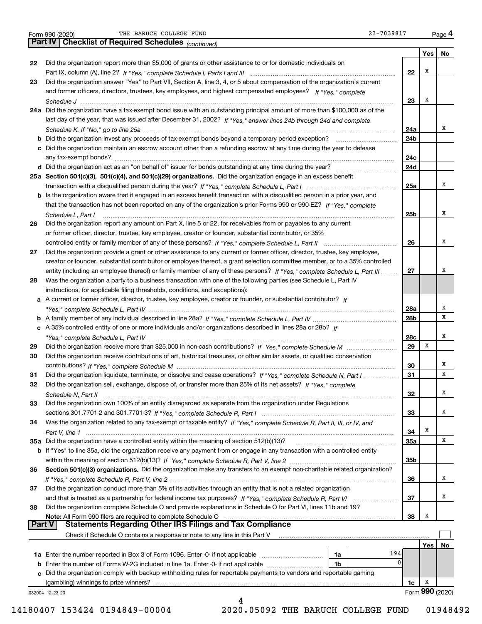Form 990 (2020) THE BARUCH COLLEGE FUND<br>**Part IV | Checklist of Required Schedules** <sub>(continued)</sub> 23-7039817 <sub>Page</sub> 4

|          | <b>Part IV</b>   Checklist of Required Schedules $_{(continued)}$                                                                                             |            |     |                 |
|----------|---------------------------------------------------------------------------------------------------------------------------------------------------------------|------------|-----|-----------------|
|          |                                                                                                                                                               |            | Yes | No              |
| 22       | Did the organization report more than \$5,000 of grants or other assistance to or for domestic individuals on                                                 |            |     |                 |
|          |                                                                                                                                                               | 22         | Х   |                 |
| 23       | Did the organization answer "Yes" to Part VII, Section A, line 3, 4, or 5 about compensation of the organization's current                                    |            |     |                 |
|          | and former officers, directors, trustees, key employees, and highest compensated employees? If "Yes," complete                                                | 23         | х   |                 |
|          | 24a Did the organization have a tax-exempt bond issue with an outstanding principal amount of more than \$100,000 as of the                                   |            |     |                 |
|          | last day of the year, that was issued after December 31, 2002? If "Yes," answer lines 24b through 24d and complete                                            |            |     |                 |
|          |                                                                                                                                                               | 24a        |     | х               |
|          |                                                                                                                                                               | 24b        |     |                 |
|          | c Did the organization maintain an escrow account other than a refunding escrow at any time during the year to defease                                        |            |     |                 |
|          |                                                                                                                                                               | 24c        |     |                 |
|          |                                                                                                                                                               | 24d        |     |                 |
|          | 25a Section 501(c)(3), 501(c)(4), and 501(c)(29) organizations. Did the organization engage in an excess benefit                                              |            |     |                 |
|          |                                                                                                                                                               | 25a        |     | х               |
|          | b Is the organization aware that it engaged in an excess benefit transaction with a disqualified person in a prior year, and                                  |            |     |                 |
|          | that the transaction has not been reported on any of the organization's prior Forms 990 or 990-EZ? If "Yes," complete                                         |            |     | х               |
|          | Schedule L, Part I<br>Did the organization report any amount on Part X, line 5 or 22, for receivables from or payables to any current                         | 25b        |     |                 |
| 26       | or former officer, director, trustee, key employee, creator or founder, substantial contributor, or 35%                                                       |            |     |                 |
|          |                                                                                                                                                               | 26         |     | х               |
| 27       | Did the organization provide a grant or other assistance to any current or former officer, director, trustee, key employee,                                   |            |     |                 |
|          | creator or founder, substantial contributor or employee thereof, a grant selection committee member, or to a 35% controlled                                   |            |     |                 |
|          | entity (including an employee thereof) or family member of any of these persons? If "Yes," complete Schedule L, Part III                                      | 27         |     | х               |
| 28       | Was the organization a party to a business transaction with one of the following parties (see Schedule L, Part IV                                             |            |     |                 |
|          | instructions, for applicable filing thresholds, conditions, and exceptions):                                                                                  |            |     |                 |
|          | a A current or former officer, director, trustee, key employee, creator or founder, or substantial contributor? If                                            |            |     |                 |
|          |                                                                                                                                                               | 28a        |     | х               |
|          |                                                                                                                                                               | 28b        |     | х               |
|          | c A 35% controlled entity of one or more individuals and/or organizations described in lines 28a or 28b? If                                                   |            |     | х               |
| 29       |                                                                                                                                                               | 28c<br>29  | х   |                 |
| 30       | Did the organization receive contributions of art, historical treasures, or other similar assets, or qualified conservation                                   |            |     |                 |
|          |                                                                                                                                                               | 30         |     | х               |
| 31       | Did the organization liquidate, terminate, or dissolve and cease operations? If "Yes," complete Schedule N, Part I                                            | 31         |     | х               |
| 32       | Did the organization sell, exchange, dispose of, or transfer more than 25% of its net assets? If "Yes," complete                                              |            |     |                 |
|          | Schedule N. Part II                                                                                                                                           | 32         |     | x               |
| 33       | Did the organization own 100% of an entity disregarded as separate from the organization under Regulations                                                    |            |     |                 |
|          |                                                                                                                                                               | 33         |     | х               |
| 34       | Was the organization related to any tax-exempt or taxable entity? If "Yes," complete Schedule R, Part II, III, or IV, and                                     |            |     |                 |
|          |                                                                                                                                                               | 34         | X   |                 |
|          | 35a Did the organization have a controlled entity within the meaning of section 512(b)(13)?                                                                   | <b>35a</b> |     | х               |
|          | b If "Yes" to line 35a, did the organization receive any payment from or engage in any transaction with a controlled entity                                   | 35b        |     |                 |
| 36       | Section 501(c)(3) organizations. Did the organization make any transfers to an exempt non-charitable related organization?                                    |            |     |                 |
|          |                                                                                                                                                               | 36         |     | x               |
| 37       | Did the organization conduct more than 5% of its activities through an entity that is not a related organization                                              |            |     |                 |
|          |                                                                                                                                                               | 37         |     | х               |
| 38       | Did the organization complete Schedule O and provide explanations in Schedule O for Part VI, lines 11b and 19?                                                |            |     |                 |
|          | Note: All Form 990 filers are required to complete Schedule O                                                                                                 | 38         | X   |                 |
| ∣ Part V | <b>Statements Regarding Other IRS Filings and Tax Compliance</b>                                                                                              |            |     |                 |
|          | Check if Schedule O contains a response or note to any line in this Part V                                                                                    |            |     |                 |
|          |                                                                                                                                                               |            | Yes | No              |
|          | 194<br>1a                                                                                                                                                     |            |     |                 |
|          | 0<br><b>b</b> Enter the number of Forms W-2G included in line 1a. Enter -0- if not applicable<br>1b                                                           |            |     |                 |
|          | c Did the organization comply with backup withholding rules for reportable payments to vendors and reportable gaming<br>(gambling) winnings to prize winners? | 1c         | x   |                 |
|          | 032004 12-23-20                                                                                                                                               |            |     | Form 990 (2020) |
|          | 4                                                                                                                                                             |            |     |                 |
|          |                                                                                                                                                               |            |     |                 |

14180407 153424 0194849-00004 2020.05092 THE BARUCH COLLEGE FUND 01948492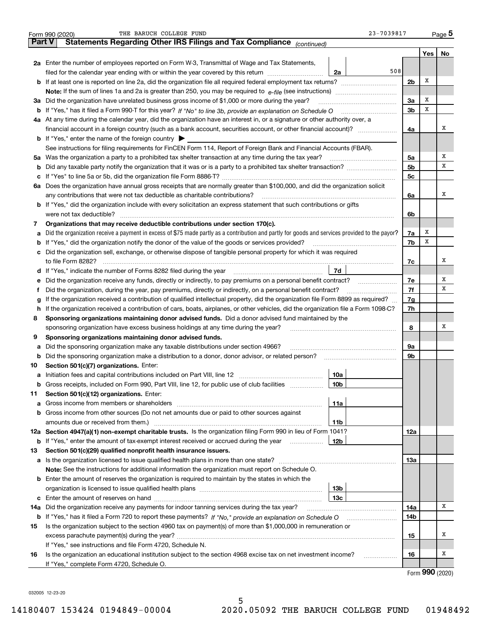|               | THE BARUCH COLLEGE FUND<br>23-7039817<br>Form 990 (2020)                                                                                        |                |      | $Page$ <sup>5</sup> |  |  |  |  |  |  |  |
|---------------|-------------------------------------------------------------------------------------------------------------------------------------------------|----------------|------|---------------------|--|--|--|--|--|--|--|
| <b>Part V</b> | Statements Regarding Other IRS Filings and Tax Compliance (continued)                                                                           |                |      |                     |  |  |  |  |  |  |  |
|               |                                                                                                                                                 |                | Yes  | No                  |  |  |  |  |  |  |  |
|               | 2a Enter the number of employees reported on Form W-3, Transmittal of Wage and Tax Statements,                                                  |                |      |                     |  |  |  |  |  |  |  |
|               | 508<br>filed for the calendar year ending with or within the year covered by this return<br>2a                                                  |                |      |                     |  |  |  |  |  |  |  |
|               |                                                                                                                                                 | 2 <sub>b</sub> | х    |                     |  |  |  |  |  |  |  |
|               |                                                                                                                                                 |                |      |                     |  |  |  |  |  |  |  |
|               | 3a Did the organization have unrelated business gross income of \$1,000 or more during the year?                                                | 3a             | х    |                     |  |  |  |  |  |  |  |
|               |                                                                                                                                                 | 3 <sub>b</sub> | х    |                     |  |  |  |  |  |  |  |
|               | 4a At any time during the calendar year, did the organization have an interest in, or a signature or other authority over, a                    |                |      |                     |  |  |  |  |  |  |  |
|               |                                                                                                                                                 | 4a             |      | х                   |  |  |  |  |  |  |  |
|               | <b>b</b> If "Yes," enter the name of the foreign country $\triangleright$                                                                       |                |      |                     |  |  |  |  |  |  |  |
|               | See instructions for filing requirements for FinCEN Form 114, Report of Foreign Bank and Financial Accounts (FBAR).                             |                |      |                     |  |  |  |  |  |  |  |
|               | 5a Was the organization a party to a prohibited tax shelter transaction at any time during the tax year?                                        | 5a             |      | x                   |  |  |  |  |  |  |  |
|               |                                                                                                                                                 | 5 <sub>b</sub> |      | х                   |  |  |  |  |  |  |  |
|               |                                                                                                                                                 | 5c             |      |                     |  |  |  |  |  |  |  |
|               | 6a Does the organization have annual gross receipts that are normally greater than \$100,000, and did the organization solicit                  |                |      |                     |  |  |  |  |  |  |  |
|               | any contributions that were not tax deductible as charitable contributions?                                                                     | 6a             |      | х                   |  |  |  |  |  |  |  |
|               | <b>b</b> If "Yes," did the organization include with every solicitation an express statement that such contributions or gifts                   |                |      |                     |  |  |  |  |  |  |  |
|               | were not tax deductible?                                                                                                                        | 6b             |      |                     |  |  |  |  |  |  |  |
| 7             | Organizations that may receive deductible contributions under section 170(c).                                                                   |                |      |                     |  |  |  |  |  |  |  |
| а             | Did the organization receive a payment in excess of \$75 made partly as a contribution and partly for goods and services provided to the payor? | 7a             | х    |                     |  |  |  |  |  |  |  |
|               | <b>b</b> If "Yes," did the organization notify the donor of the value of the goods or services provided?                                        | 7b             | х    |                     |  |  |  |  |  |  |  |
|               | c Did the organization sell, exchange, or otherwise dispose of tangible personal property for which it was required                             |                |      |                     |  |  |  |  |  |  |  |
|               | to file Form 8282?                                                                                                                              | 7c             |      | х                   |  |  |  |  |  |  |  |
|               | 7d<br>d If "Yes," indicate the number of Forms 8282 filed during the year manufactured in the second of the New York                            |                |      |                     |  |  |  |  |  |  |  |
| е             | Did the organization receive any funds, directly or indirectly, to pay premiums on a personal benefit contract?                                 | 7e             |      | х                   |  |  |  |  |  |  |  |
| f             | Did the organization, during the year, pay premiums, directly or indirectly, on a personal benefit contract?                                    | 7f             |      | х                   |  |  |  |  |  |  |  |
| g             | If the organization received a contribution of qualified intellectual property, did the organization file Form 8899 as required?                | 7g             |      |                     |  |  |  |  |  |  |  |
|               | h If the organization received a contribution of cars, boats, airplanes, or other vehicles, did the organization file a Form 1098-C?            | 7h             |      |                     |  |  |  |  |  |  |  |
| 8             | Sponsoring organizations maintaining donor advised funds. Did a donor advised fund maintained by the                                            |                |      |                     |  |  |  |  |  |  |  |
|               | sponsoring organization have excess business holdings at any time during the year?                                                              | 8              |      | х                   |  |  |  |  |  |  |  |
| 9             | Sponsoring organizations maintaining donor advised funds.                                                                                       |                |      |                     |  |  |  |  |  |  |  |
| а             | Did the sponsoring organization make any taxable distributions under section 4966?                                                              | 9а             |      |                     |  |  |  |  |  |  |  |
| b             | Did the sponsoring organization make a distribution to a donor, donor advisor, or related person?                                               | 9b             |      |                     |  |  |  |  |  |  |  |
| 10            | Section 501(c)(7) organizations. Enter:                                                                                                         |                |      |                     |  |  |  |  |  |  |  |
|               | 10a                                                                                                                                             |                |      |                     |  |  |  |  |  |  |  |
|               | <b>b</b> Gross receipts, included on Form 990, Part VIII, line 12, for public use of club facilities <i>manumum</i><br>10b                      |                |      |                     |  |  |  |  |  |  |  |
| 11            | Section 501(c)(12) organizations. Enter:                                                                                                        |                |      |                     |  |  |  |  |  |  |  |
| a             | 11a                                                                                                                                             |                |      |                     |  |  |  |  |  |  |  |
|               | <b>b</b> Gross income from other sources (Do not net amounts due or paid to other sources against                                               |                |      |                     |  |  |  |  |  |  |  |
|               | amounts due or received from them.)<br>11b                                                                                                      |                |      |                     |  |  |  |  |  |  |  |
|               | 12a Section 4947(a)(1) non-exempt charitable trusts. Is the organization filing Form 990 in lieu of Form 1041?                                  | 12a            |      |                     |  |  |  |  |  |  |  |
|               | <b>b</b> If "Yes," enter the amount of tax-exempt interest received or accrued during the year<br>12b                                           |                |      |                     |  |  |  |  |  |  |  |
| 13            | Section 501(c)(29) qualified nonprofit health insurance issuers.                                                                                |                |      |                     |  |  |  |  |  |  |  |
|               |                                                                                                                                                 | 13a            |      |                     |  |  |  |  |  |  |  |
|               | Note: See the instructions for additional information the organization must report on Schedule O.                                               |                |      |                     |  |  |  |  |  |  |  |
|               | <b>b</b> Enter the amount of reserves the organization is required to maintain by the states in which the                                       |                |      |                     |  |  |  |  |  |  |  |
|               | 13 <sub>b</sub>                                                                                                                                 |                |      |                     |  |  |  |  |  |  |  |
|               | 13с                                                                                                                                             |                |      |                     |  |  |  |  |  |  |  |
| 14a           | Did the organization receive any payments for indoor tanning services during the tax year?                                                      | 14a            |      | х                   |  |  |  |  |  |  |  |
|               |                                                                                                                                                 | 14b            |      |                     |  |  |  |  |  |  |  |
| 15            | Is the organization subject to the section 4960 tax on payment(s) of more than \$1,000,000 in remuneration or                                   |                |      |                     |  |  |  |  |  |  |  |
|               |                                                                                                                                                 | 15             |      | х                   |  |  |  |  |  |  |  |
|               | If "Yes," see instructions and file Form 4720, Schedule N.                                                                                      |                |      |                     |  |  |  |  |  |  |  |
| 16            | Is the organization an educational institution subject to the section 4968 excise tax on net investment income?<br>.                            | 16             |      | x                   |  |  |  |  |  |  |  |
|               | If "Yes," complete Form 4720, Schedule O.                                                                                                       |                | nnn. |                     |  |  |  |  |  |  |  |

Form (2020) **990**

032005 12-23-20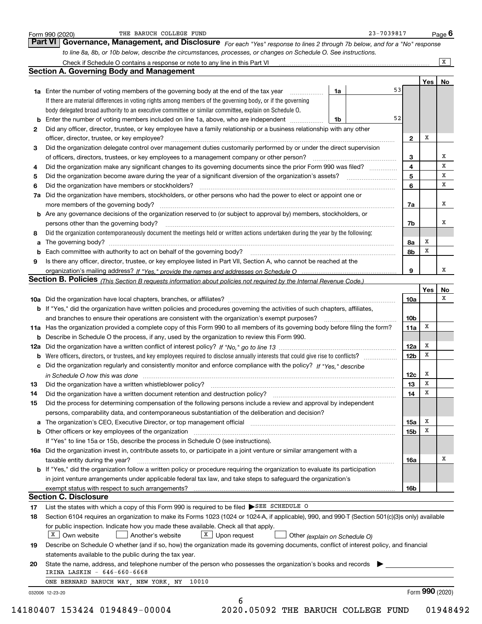|              | to line 8a, 8b, or 10b below, describe the circumstances, processes, or changes on Schedule O. See instructions.                                 |                 |     |    |
|--------------|--------------------------------------------------------------------------------------------------------------------------------------------------|-----------------|-----|----|
|              |                                                                                                                                                  |                 |     | X  |
|              | <b>Section A. Governing Body and Management</b>                                                                                                  |                 |     |    |
|              | 53                                                                                                                                               |                 | Yes | No |
|              | <b>1a</b> Enter the number of voting members of the governing body at the end of the tax year <i>manumum</i><br>1a                               |                 |     |    |
|              | If there are material differences in voting rights among members of the governing body, or if the governing                                      |                 |     |    |
|              | body delegated broad authority to an executive committee or similar committee, explain on Schedule O.<br>52                                      |                 |     |    |
|              | <b>b</b> Enter the number of voting members included on line 1a, above, who are independent<br>1b                                                |                 |     |    |
| $\mathbf{2}$ | Did any officer, director, trustee, or key employee have a family relationship or a business relationship with any other                         |                 |     |    |
|              | officer, director, trustee, or key employee?                                                                                                     | $\mathbf{2}$    | Х   |    |
| 3            | Did the organization delegate control over management duties customarily performed by or under the direct supervision                            |                 |     |    |
|              |                                                                                                                                                  | 3               |     | х  |
| 4            | Did the organization make any significant changes to its governing documents since the prior Form 990 was filed?                                 | 4               |     | х  |
| 5            |                                                                                                                                                  | 5               |     | х  |
| 6            | Did the organization have members or stockholders?                                                                                               | 6               |     | x  |
|              | 7a Did the organization have members, stockholders, or other persons who had the power to elect or appoint one or                                |                 |     |    |
|              | more members of the governing body?                                                                                                              | 7a              |     | x  |
|              | b Are any governance decisions of the organization reserved to (or subject to approval by) members, stockholders, or                             |                 |     |    |
|              | persons other than the governing body?                                                                                                           | 7b              |     | х  |
| 8            | Did the organization contemporaneously document the meetings held or written actions undertaken during the year by the following:                |                 |     |    |
| а            |                                                                                                                                                  | 8а              | x   |    |
| b            |                                                                                                                                                  | 8b              | x   |    |
| 9            | Is there any officer, director, trustee, or key employee listed in Part VII, Section A, who cannot be reached at the                             |                 |     |    |
|              |                                                                                                                                                  | 9               |     | х  |
|              | Section B. Policies <i>(This Section B requests information about policies not required by the Internal Revenue Code.)</i>                       |                 |     |    |
|              |                                                                                                                                                  |                 | Yes | No |
|              |                                                                                                                                                  | 10a             |     | х  |
|              | b If "Yes," did the organization have written policies and procedures governing the activities of such chapters, affiliates,                     |                 |     |    |
|              | and branches to ensure their operations are consistent with the organization's exempt purposes?                                                  | 10 <sub>b</sub> |     |    |
|              | 11a Has the organization provided a complete copy of this Form 990 to all members of its governing body before filing the form?                  | 11a             | х   |    |
|              | <b>b</b> Describe in Schedule O the process, if any, used by the organization to review this Form 990.                                           |                 |     |    |
|              |                                                                                                                                                  | 12a             | х   |    |
|              |                                                                                                                                                  | 12 <sub>b</sub> | x   |    |
|              | c Did the organization regularly and consistently monitor and enforce compliance with the policy? If "Yes," describe                             |                 |     |    |
|              | in Schedule O how this was done manufactured and contain an account of the state of the state of the state of                                    | 12c             | x   |    |
| 13           | Did the organization have a written whistleblower policy?                                                                                        | 13              | Х   |    |
| 14           | Did the organization have a written document retention and destruction policy?                                                                   | 14              | x   |    |
| 15           | Did the process for determining compensation of the following persons include a review and approval by independent                               |                 |     |    |
|              | persons, comparability data, and contemporaneous substantiation of the deliberation and decision?                                                |                 |     |    |
|              |                                                                                                                                                  | 15a             | х   |    |
|              |                                                                                                                                                  | 15b             | х   |    |
|              | If "Yes" to line 15a or 15b, describe the process in Schedule O (see instructions).                                                              |                 |     |    |
|              | 16a Did the organization invest in, contribute assets to, or participate in a joint venture or similar arrangement with a                        |                 |     |    |
|              | taxable entity during the year?                                                                                                                  | 16a             |     | х  |
|              | <b>b</b> If "Yes," did the organization follow a written policy or procedure requiring the organization to evaluate its participation            |                 |     |    |
|              | in joint venture arrangements under applicable federal tax law, and take steps to safeguard the organization's                                   |                 |     |    |
|              |                                                                                                                                                  | 16b             |     |    |
|              | <b>Section C. Disclosure</b>                                                                                                                     |                 |     |    |
|              | List the states with which a copy of this Form 990 is required to be filed SEE SCHEDULE O                                                        |                 |     |    |
|              |                                                                                                                                                  |                 |     |    |
| 17           |                                                                                                                                                  |                 |     |    |
| 18           | Section 6104 requires an organization to make its Forms 1023 (1024 or 1024-A, if applicable), 990, and 990-T (Section 501(c)(3)s only) available |                 |     |    |
|              | for public inspection. Indicate how you made these available. Check all that apply.                                                              |                 |     |    |
|              | $X$ Own website<br>X Upon request<br>Another's website<br>Other (explain on Schedule O)                                                          |                 |     |    |
| 19           | Describe on Schedule O whether (and if so, how) the organization made its governing documents, conflict of interest policy, and financial        |                 |     |    |
|              | statements available to the public during the tax year.                                                                                          |                 |     |    |
| 20           | State the name, address, and telephone number of the person who possesses the organization's books and records                                   |                 |     |    |
|              | IRINA LASKIN - 646-660-6668<br>ONE BERNARD BARUCH WAY, NEW YORK, NY<br>10010                                                                     |                 |     |    |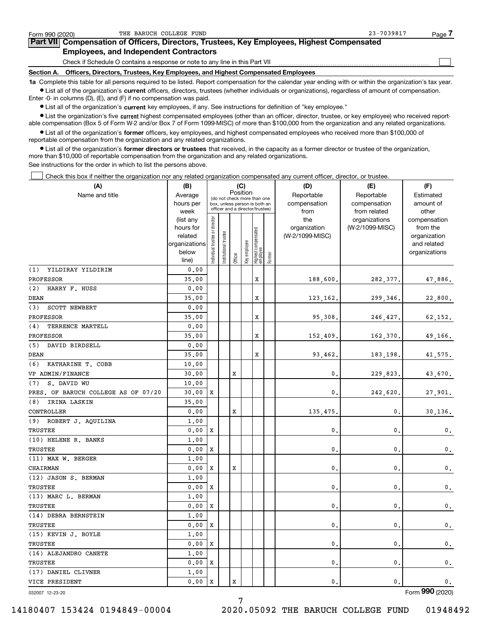| Form 990 (2020) |                                               | THE BARUCH COLLEGE FUND                                                                                                                                    | 23-7039817<br>Page |  |
|-----------------|-----------------------------------------------|------------------------------------------------------------------------------------------------------------------------------------------------------------|--------------------|--|
|                 |                                               | Part VII Compensation of Officers, Directors, Trustees, Key Employees, Highest Compensated                                                                 |                    |  |
|                 | <b>Employees, and Independent Contractors</b> |                                                                                                                                                            |                    |  |
|                 |                                               | Check if Schedule O contains a response or note to any line in this Part VII                                                                               |                    |  |
| Section A.      |                                               | Officers, Directors, Trustees, Key Employees, and Highest Compensated Employees                                                                            |                    |  |
|                 |                                               | 1a Complete this table for all persons required to be listed. Report compensation for the calendar year ending with or within the organization's tax year. |                    |  |

**•** List all of the organization's current officers, directors, trustees (whether individuals or organizations), regardless of amount of compensation. Enter -0- in columns (D), (E), and (F) if no compensation was paid.

 $\bullet$  List all of the organization's  $\,$ current key employees, if any. See instructions for definition of "key employee."

**•** List the organization's five current highest compensated employees (other than an officer, director, trustee, or key employee) who received reportable compensation (Box 5 of Form W-2 and/or Box 7 of Form 1099-MISC) of more than \$100,000 from the organization and any related organizations.

**•** List all of the organization's former officers, key employees, and highest compensated employees who received more than \$100,000 of reportable compensation from the organization and any related organizations.

**former directors or trustees**  ¥ List all of the organization's that received, in the capacity as a former director or trustee of the organization, more than \$10,000 of reportable compensation from the organization and any related organizations.

See instructions for the order in which to list the persons above.

Check this box if neither the organization nor any related organization compensated any current officer, director, or trustee.  $\mathcal{L}^{\text{max}}$ 

| (A)                                 | (B)                    | (C)                                     |                                                                  |         |              |                                  |        | (D)                 | (E)                              | (F)                      |
|-------------------------------------|------------------------|-----------------------------------------|------------------------------------------------------------------|---------|--------------|----------------------------------|--------|---------------------|----------------------------------|--------------------------|
| Name and title                      | Average                | Position<br>(do not check more than one |                                                                  |         |              |                                  |        | Reportable          | Reportable                       | Estimated                |
|                                     | hours per              |                                         | box, unless person is both an<br>officer and a director/trustee) |         |              |                                  |        | compensation        | compensation                     | amount of                |
|                                     | week                   |                                         |                                                                  |         |              |                                  |        | from                | from related                     | other                    |
|                                     | (list any<br>hours for |                                         |                                                                  |         |              |                                  |        | the<br>organization | organizations<br>(W-2/1099-MISC) | compensation<br>from the |
|                                     | related                |                                         |                                                                  |         |              |                                  |        | (W-2/1099-MISC)     |                                  | organization             |
|                                     | organizations          |                                         |                                                                  |         |              |                                  |        |                     |                                  | and related              |
|                                     | below                  | ndividual trustee or director           | Institutional trustee                                            |         | Key employee |                                  |        |                     |                                  | organizations            |
|                                     | line)                  |                                         |                                                                  | Officer |              | Highest compensated<br> employee | Former |                     |                                  |                          |
| (1)<br>YILDIRAY YILDIRIM            | 0.00                   |                                         |                                                                  |         |              |                                  |        |                     |                                  |                          |
| PROFESSOR                           | 35.00                  |                                         |                                                                  |         |              | X                                |        | 188,600.            | 282,377.                         | 47,886.                  |
| (2) HARRY F. HUSS                   | 0.00                   |                                         |                                                                  |         |              |                                  |        |                     |                                  |                          |
| DEAN                                | 35.00                  |                                         |                                                                  |         |              | X                                |        | 123, 162.           | 299,346.                         | 22,800.                  |
| (3)<br><b>SCOTT NEWBERT</b>         | 0.00                   |                                         |                                                                  |         |              |                                  |        |                     |                                  |                          |
| PROFESSOR                           | 35.00                  |                                         |                                                                  |         |              | X                                |        | 95,308.             | 246,427.                         | 62,152.                  |
| (4)<br>TERRENCE MARTELL             | 0.00                   |                                         |                                                                  |         |              |                                  |        |                     |                                  |                          |
| PROFESSOR                           | 35.00                  |                                         |                                                                  |         |              | x                                |        | 152,409.            | 162,370.                         | 49,166.                  |
| (5) DAVID BIRDSELL                  | 0.00                   |                                         |                                                                  |         |              |                                  |        |                     |                                  |                          |
| DEAN                                | 35.00                  |                                         |                                                                  |         |              | X                                |        | 93,462              | 183,198.                         | 41,575.                  |
| (6) KATHARINE T. COBB               | 10.00                  |                                         |                                                                  |         |              |                                  |        |                     |                                  |                          |
| VP ADMIN/FINANCE                    | 30.00                  |                                         |                                                                  | х       |              |                                  |        | 0.                  | 229,823.                         | 43,670.                  |
| S. DAVID WU<br>(7)                  | 10.00                  |                                         |                                                                  |         |              |                                  |        |                     |                                  |                          |
| PRES. OF BARUCH COLLEGE AS OF 07/20 | 30.00                  | х                                       |                                                                  |         |              |                                  |        | $\mathbf{0}$ .      | 242,620.                         | 27,901.                  |
| (8) IRINA LASKIN                    | 35.00                  |                                         |                                                                  |         |              |                                  |        |                     |                                  |                          |
| CONTROLLER                          | 0.00                   |                                         |                                                                  | X       |              |                                  |        | 135,475             | 0,                               | 30, 136.                 |
| (9) ROBERT J. AQUILINA              | 1.00                   |                                         |                                                                  |         |              |                                  |        |                     |                                  |                          |
| TRUSTEE                             | 0.00                   | x                                       |                                                                  |         |              |                                  |        | $\mathbf{0}$ .      | $\mathbf{0}$ .                   | 0.                       |
| (10) HELENE R. BANKS                | 1.00                   |                                         |                                                                  |         |              |                                  |        |                     |                                  |                          |
| TRUSTEE                             | 0.00                   | X                                       |                                                                  |         |              |                                  |        | $\mathbf{0}$ .      | $\mathbf{0}$ .                   | $\mathbf{0}$ .           |
| (11) MAX W. BERGER                  | 1.00                   |                                         |                                                                  |         |              |                                  |        |                     |                                  |                          |
| CHAIRMAN                            | 0.00                   | х                                       |                                                                  | х       |              |                                  |        | $\mathbf{0}$ .      | $\mathbf{0}$ .                   | $\mathbf 0$ .            |
| (12) JASON S. BERMAN                | 1.00                   |                                         |                                                                  |         |              |                                  |        |                     |                                  |                          |
| TRUSTEE                             | 0.00                   | X                                       |                                                                  |         |              |                                  |        | $\mathbf{0}$ .      | $\mathbf{0}$ .                   | 0.                       |
| (13) MARC L. BERMAN                 | 1.00                   |                                         |                                                                  |         |              |                                  |        |                     |                                  |                          |
| TRUSTEE                             | 0.00                   | х                                       |                                                                  |         |              |                                  |        | $\mathbf{0}$ .      | $\mathbf{0}$ .                   | $\mathbf 0$ .            |
| (14) DEBRA BERNSTEIN                | 1.00                   |                                         |                                                                  |         |              |                                  |        |                     |                                  |                          |
| TRUSTEE                             | 0.00                   | X                                       |                                                                  |         |              |                                  |        | $\mathbf{0}$ .      | $\mathbf{0}$ .                   | $\mathbf{0}$ .           |
| (15) KEVIN J. BOYLE                 | 1.00                   |                                         |                                                                  |         |              |                                  |        |                     |                                  |                          |
| TRUSTEE                             | 0.00                   | x                                       |                                                                  |         |              |                                  |        | $\mathbf{0}$ .      | $\mathbf{0}$ .                   | $\mathbf{0}$ .           |
| (16) ALEJANDRO CANETE               | 1.00                   |                                         |                                                                  |         |              |                                  |        |                     |                                  |                          |
| TRUSTEE                             | 0.00                   | х                                       |                                                                  |         |              |                                  |        | $\mathbf{0}$ .      | $\mathbf{0}$ .                   | 0.                       |
| (17) DANIEL CLIVNER                 | 1,00                   |                                         |                                                                  |         |              |                                  |        |                     |                                  |                          |
| VICE PRESIDENT                      | 0.00                   | Х                                       |                                                                  | X       |              |                                  |        | 0.                  | 0.                               | 0.                       |

7

032007 12-23-20

Form (2020) **990**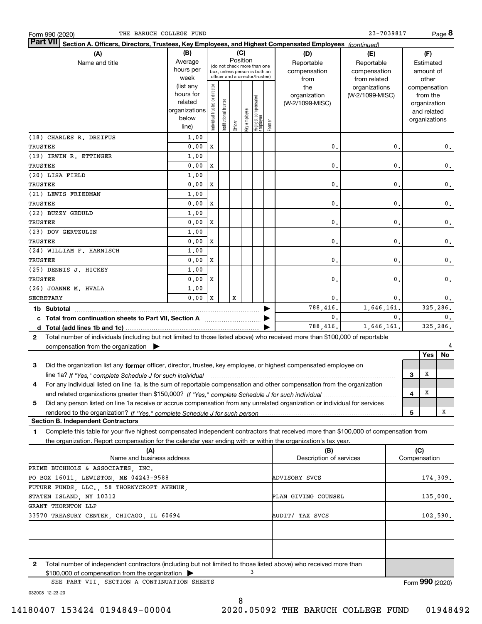| THE BARUCH COLLEGE FUND<br>Form 990 (2020)                                                                                                       |                      |                                         |                       |         |              |                                 |        |                         | 23-7039817      |                |              |                              | Page <b>ö</b>  |
|--------------------------------------------------------------------------------------------------------------------------------------------------|----------------------|-----------------------------------------|-----------------------|---------|--------------|---------------------------------|--------|-------------------------|-----------------|----------------|--------------|------------------------------|----------------|
| <b>Part VII</b><br>Section A. Officers, Directors, Trustees, Key Employees, and Highest Compensated Employees (continued)                        |                      |                                         |                       |         |              |                                 |        |                         |                 |                |              |                              |                |
| (A)                                                                                                                                              | (B)<br>(C)           |                                         |                       |         |              |                                 |        | (D)                     | (E)             |                |              | (F)                          |                |
| Name and title                                                                                                                                   | Average              | Position<br>(do not check more than one |                       |         |              |                                 |        | Reportable              | Reportable      |                |              | Estimated                    |                |
|                                                                                                                                                  | hours per            |                                         |                       |         |              | box, unless person is both an   |        | compensation            | compensation    |                |              | amount of                    |                |
|                                                                                                                                                  | week                 |                                         |                       |         |              | officer and a director/trustee) |        | from                    | from related    |                |              | other                        |                |
|                                                                                                                                                  | (list any            |                                         |                       |         |              |                                 |        | the                     | organizations   |                |              | compensation                 |                |
|                                                                                                                                                  | hours for<br>related |                                         |                       |         |              |                                 |        | organization            | (W-2/1099-MISC) |                |              | from the                     |                |
|                                                                                                                                                  | organizations        |                                         |                       |         |              |                                 |        | (W-2/1099-MISC)         |                 |                |              | organization                 |                |
|                                                                                                                                                  | below                |                                         |                       |         |              |                                 |        |                         |                 |                |              | and related<br>organizations |                |
|                                                                                                                                                  | line)                | ndividual trustee or director           | Institutional trustee | Officer | key employee | Highest compensated<br>employee | Former |                         |                 |                |              |                              |                |
| (18) CHARLES R. DREIFUS                                                                                                                          | 1,00                 |                                         |                       |         |              |                                 |        |                         |                 |                |              |                              |                |
| TRUSTEE                                                                                                                                          | 0.00                 | X                                       |                       |         |              |                                 |        | 0                       |                 | 0.             |              |                              | 0.             |
| (19) IRWIN R. ETTINGER                                                                                                                           | 1,00                 |                                         |                       |         |              |                                 |        |                         |                 |                |              |                              |                |
| TRUSTEE                                                                                                                                          | 0.00                 | х                                       |                       |         |              |                                 |        | $\mathbf 0$ .           |                 | 0.             |              |                              | 0.             |
| (20) LISA FIELD                                                                                                                                  | 1,00                 |                                         |                       |         |              |                                 |        |                         |                 |                |              |                              |                |
| TRUSTEE                                                                                                                                          | 0.00                 | х                                       |                       |         |              |                                 |        | 0                       |                 | 0.             |              |                              | 0.             |
| (21) LEWIS FRIEDMAN                                                                                                                              | 1,00                 |                                         |                       |         |              |                                 |        |                         |                 |                |              |                              |                |
| TRUSTEE                                                                                                                                          | 0.00                 | х                                       |                       |         |              |                                 |        | 0                       |                 | 0.             |              |                              | 0.             |
| (22) BUZZY GEDULD                                                                                                                                | 1,00                 |                                         |                       |         |              |                                 |        |                         |                 |                |              |                              |                |
| TRUSTEE                                                                                                                                          | 0.00                 | х                                       |                       |         |              |                                 |        | 0                       |                 | 0.             |              |                              | 0.             |
| (23) DOV GERTZULIN                                                                                                                               | 1,00                 |                                         |                       |         |              |                                 |        |                         |                 |                |              |                              |                |
| TRUSTEE                                                                                                                                          | 0.00                 | х                                       |                       |         |              |                                 |        | $\mathbf{0}$            |                 | 0.             |              |                              | 0.             |
| (24) WILLIAM F. HARNISCH                                                                                                                         | 1,00                 |                                         |                       |         |              |                                 |        |                         |                 |                |              |                              |                |
| TRUSTEE                                                                                                                                          | 0.00                 | х                                       |                       |         |              |                                 |        | $\mathbf{0}$            |                 | 0.             |              |                              | 0.             |
| (25) DENNIS J. HICKEY                                                                                                                            | 1,00                 |                                         |                       |         |              |                                 |        |                         |                 |                |              |                              |                |
| TRUSTEE                                                                                                                                          | 0.00                 | х                                       |                       |         |              |                                 |        | $\mathbf{0}$            |                 | 0.             |              |                              | 0.             |
| (26) JOANNE M. HVALA                                                                                                                             | 1,00                 |                                         |                       |         |              |                                 |        |                         |                 |                |              |                              |                |
| <b>SECRETARY</b>                                                                                                                                 | 0.00                 | X                                       |                       | x       |              |                                 |        | 0.                      |                 | 0.             |              |                              | 0.             |
|                                                                                                                                                  |                      |                                         |                       |         |              |                                 |        | 788,416.                | 1,646,161.      |                |              |                              | 325,286.       |
| c Total from continuation sheets to Part VII, Section A <b>manual</b> Total Trum                                                                 |                      |                                         |                       |         |              |                                 |        | 0.                      |                 | $\mathbf{0}$ . |              |                              | $\mathbf{0}$ . |
|                                                                                                                                                  |                      |                                         |                       |         |              |                                 |        | 788,416.                | 1,646,161.      |                |              |                              | 325,286.       |
| Total number of individuals (including but not limited to those listed above) who received more than \$100,000 of reportable<br>$\mathbf{2}$     |                      |                                         |                       |         |              |                                 |        |                         |                 |                |              |                              |                |
| compensation from the organization $\blacktriangleright$                                                                                         |                      |                                         |                       |         |              |                                 |        |                         |                 |                |              |                              |                |
|                                                                                                                                                  |                      |                                         |                       |         |              |                                 |        |                         |                 |                |              | Yes                          | No             |
| 3<br>Did the organization list any former officer, director, trustee, key employee, or highest compensated employee on                           |                      |                                         |                       |         |              |                                 |        |                         |                 |                |              |                              |                |
| line 1a? If "Yes," complete Schedule J for such individual material content content to the 1a? If "Yes," complete Schedule J for such individual |                      |                                         |                       |         |              |                                 |        |                         |                 |                | 3            | X                            |                |
| For any individual listed on line 1a, is the sum of reportable compensation and other compensation from the organization                         |                      |                                         |                       |         |              |                                 |        |                         |                 |                |              |                              |                |
|                                                                                                                                                  |                      |                                         |                       |         |              |                                 |        |                         |                 |                | 4            | х                            |                |
| Did any person listed on line 1a receive or accrue compensation from any unrelated organization or individual for services<br>5                  |                      |                                         |                       |         |              |                                 |        |                         |                 |                |              |                              |                |
|                                                                                                                                                  |                      |                                         |                       |         |              |                                 |        |                         |                 |                | 5            |                              | х              |
| <b>Section B. Independent Contractors</b>                                                                                                        |                      |                                         |                       |         |              |                                 |        |                         |                 |                |              |                              |                |
| Complete this table for your five highest compensated independent contractors that received more than \$100,000 of compensation from<br>1        |                      |                                         |                       |         |              |                                 |        |                         |                 |                |              |                              |                |
| the organization. Report compensation for the calendar year ending with or within the organization's tax year.                                   |                      |                                         |                       |         |              |                                 |        |                         |                 |                |              |                              |                |
| (A)                                                                                                                                              |                      |                                         |                       |         |              |                                 |        | (B)                     |                 |                | (C)          |                              |                |
| Name and business address                                                                                                                        |                      |                                         |                       |         |              |                                 |        | Description of services |                 |                | Compensation |                              |                |
| PRIME BUCHHOLZ & ASSOCIATES, INC.                                                                                                                |                      |                                         |                       |         |              |                                 |        |                         |                 |                |              |                              |                |
| PO BOX 16011, LEWISTON, ME 04243-9588                                                                                                            |                      |                                         |                       |         |              |                                 |        | ADVISORY SVCS           |                 |                |              |                              | 174,309.       |
| FUTURE FUNDS, LLC., 58 THORNYCROFT AVENUE,                                                                                                       |                      |                                         |                       |         |              |                                 |        |                         |                 |                |              |                              |                |
| STATEN ISLAND, NY 10312                                                                                                                          |                      |                                         |                       |         |              |                                 |        | PLAN GIVING COUNSEL     |                 |                |              |                              | 135,000.       |
| GRANT THORNTON LLP                                                                                                                               |                      |                                         |                       |         |              |                                 |        |                         |                 |                |              |                              |                |
| 33570 TREASURY CENTER, CHICAGO, IL 60694                                                                                                         |                      |                                         |                       |         |              | AUDIT/ TAX SVCS<br>102,590.     |        |                         |                 |                |              |                              |                |

| (A)                                                                                                                   | (B)                     | (C)             |
|-----------------------------------------------------------------------------------------------------------------------|-------------------------|-----------------|
| Name and business address                                                                                             | Description of services | Compensation    |
| PRIME BUCHHOLZ & ASSOCIATES, INC.                                                                                     |                         |                 |
| PO BOX 16011, LEWISTON, ME 04243-9588                                                                                 | ADVISORY SVCS           | 174,309.        |
| FUTURE FUNDS, LLC., 58 THORNYCROFT AVENUE,                                                                            |                         |                 |
| STATEN ISLAND, NY 10312                                                                                               | PLAN GIVING COUNSEL     | 135,000.        |
| GRANT THORNTON LLP                                                                                                    |                         |                 |
| 33570 TREASURY CENTER, CHICAGO, IL 60694                                                                              | AUDIT/ TAX SVCS         | 102,590.        |
|                                                                                                                       |                         |                 |
|                                                                                                                       |                         |                 |
|                                                                                                                       |                         |                 |
|                                                                                                                       |                         |                 |
| Total number of independent contractors (including but not limited to those listed above) who received more than<br>2 |                         |                 |
| $$100,000$ of compensation from the organization $\triangleright$                                                     |                         |                 |
| SEE PART VII, SECTION A CONTINUATION SHEETS                                                                           |                         | Form 990 (2020) |

032008 12-23-20

8 14180407 153424 0194849-00004 2020.05092 THE BARUCH COLLEGE FUND 01948492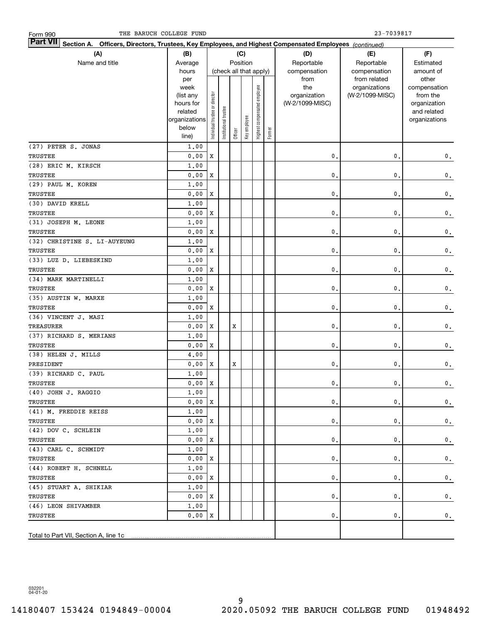| Part VII Section A. Officers, Directors, Trustees, Key Employees, and Highest Compensated Employees (continued) |                        |                                |                        |         |              |                              |           |                                 |                 |                          |
|-----------------------------------------------------------------------------------------------------------------|------------------------|--------------------------------|------------------------|---------|--------------|------------------------------|-----------|---------------------------------|-----------------|--------------------------|
| (A)<br>(B)<br>(C)                                                                                               |                        |                                |                        |         |              |                              |           | (D)                             | (E)             | (F)                      |
| Name and title                                                                                                  | Position<br>Average    |                                |                        |         | Reportable   | Reportable                   | Estimated |                                 |                 |                          |
|                                                                                                                 | hours                  |                                | (check all that apply) |         |              |                              |           | compensation                    | compensation    | amount of                |
|                                                                                                                 | per                    |                                |                        |         |              |                              |           | from                            | from related    | other                    |
|                                                                                                                 | week                   |                                |                        |         |              |                              |           | the                             | organizations   | compensation             |
|                                                                                                                 | (list any<br>hours for |                                |                        |         |              |                              |           | organization<br>(W-2/1099-MISC) | (W-2/1099-MISC) | from the<br>organization |
|                                                                                                                 | related                |                                |                        |         |              |                              |           |                                 |                 | and related              |
|                                                                                                                 | organizations          |                                |                        |         |              |                              |           |                                 |                 | organizations            |
|                                                                                                                 | below                  | Individual trustee or director | Institutional trustee  |         | Key employee | Highest compensated employee |           |                                 |                 |                          |
|                                                                                                                 | line)                  |                                |                        | Officer |              |                              | Former    |                                 |                 |                          |
| (27) PETER S. JONAS                                                                                             | 1,00                   |                                |                        |         |              |                              |           |                                 |                 |                          |
| TRUSTEE                                                                                                         | 0.00                   | X                              |                        |         |              |                              |           | $\mathbf{0}$                    | $\mathbf{0}$ .  | $\mathbf 0$ .            |
| (28) ERIC M. KIRSCH                                                                                             | 1,00                   |                                |                        |         |              |                              |           |                                 |                 |                          |
| TRUSTEE                                                                                                         | 0.00                   | X                              |                        |         |              |                              |           | $\mathbf{0}$                    | $\mathbf{0}$ .  | $\mathbf 0$ .            |
| (29) PAUL M. KOREN                                                                                              | 1,00                   |                                |                        |         |              |                              |           |                                 |                 |                          |
| TRUSTEE                                                                                                         | 0.00                   | X                              |                        |         |              |                              |           | $\mathbf{0}$                    | 0.              | $\mathbf 0$ .            |
| (30) DAVID KRELL                                                                                                | 1,00                   |                                |                        |         |              |                              |           |                                 |                 |                          |
| TRUSTEE                                                                                                         | 0.00                   | X                              |                        |         |              |                              |           | $\mathbf{0}$ .                  | 0.              | $\mathbf 0$ .            |
| (31) JOSEPH M. LEONE                                                                                            | 1,00                   |                                |                        |         |              |                              |           |                                 |                 |                          |
| TRUSTEE                                                                                                         | 0.00                   | X                              |                        |         |              |                              |           | 0.                              | 0.              | $\mathbf 0$ .            |
| (32) CHRISTINE S. LI-AUYEUNG                                                                                    | 1,00                   |                                |                        |         |              |                              |           |                                 |                 |                          |
| TRUSTEE                                                                                                         | 0.00                   | X                              |                        |         |              |                              |           | 0.                              | $\mathbf{0}$ .  | $\mathbf 0$ .            |
| (33) LUZ D. LIEBESKIND                                                                                          | 1,00                   |                                |                        |         |              |                              |           |                                 |                 |                          |
| TRUSTEE                                                                                                         | 0.00                   | X                              |                        |         |              |                              |           | $\mathbf{0}$ .                  | $\mathbf{0}$ .  | $\mathbf 0$ .            |
| (34) MARK MARTINELLI                                                                                            | 1,00                   |                                |                        |         |              |                              |           |                                 |                 |                          |
| TRUSTEE                                                                                                         | 0.00                   | X                              |                        |         |              |                              |           | $\mathbf 0$ .                   | 0.              | $\mathbf 0$ .            |
| (35) AUSTIN W. MARXE                                                                                            | 1,00                   |                                |                        |         |              |                              |           |                                 |                 |                          |
| TRUSTEE                                                                                                         | 0.00                   | X                              |                        |         |              |                              |           | 0.                              | 0.              | $\mathbf 0$ .            |
| (36) VINCENT J. MASI                                                                                            | 1,00                   |                                |                        |         |              |                              |           |                                 |                 |                          |
| <b>TREASURER</b>                                                                                                | 0.00                   | X                              |                        | X       |              |                              |           | 0.                              | $\mathbf{0}$ .  | $\mathbf 0$ .            |
| (37) RICHARD S. MERIANS                                                                                         | 1,00                   |                                |                        |         |              |                              |           |                                 |                 |                          |
| TRUSTEE                                                                                                         | 0.00                   | X                              |                        |         |              |                              |           | 0.                              | $\mathbf{0}$ .  | $\mathbf 0$ .            |
| (38) HELEN J. MILLS                                                                                             | 4,00                   |                                |                        |         |              |                              |           |                                 |                 |                          |
| PRESIDENT                                                                                                       | 0.00                   | X                              |                        | X       |              |                              |           | 0.                              | $\mathbf{0}$ .  | $\mathbf 0$ .            |
| (39) RICHARD C. PAUL                                                                                            | 1,00                   |                                |                        |         |              |                              |           |                                 |                 |                          |
| TRUSTEE                                                                                                         | 0.00                   | $\mathbf X$                    |                        |         |              |                              |           | 0.                              | $\mathfrak o$ . | $\mathbf 0$ .            |
| (40) JOHN J. RAGGIO                                                                                             | 1.00                   |                                |                        |         |              |                              |           |                                 |                 |                          |
| TRUSTEE                                                                                                         | $0.00 \, \text{X}$     |                                |                        |         |              |                              |           | 0.                              | 0.              | $\mathbf 0$ .            |
| (41) M. FREDDIE REISS                                                                                           | 1,00                   |                                |                        |         |              |                              |           |                                 |                 |                          |
| TRUSTEE                                                                                                         | 0.00X                  |                                |                        |         |              |                              |           | 0.                              | 0.              | $\mathbf 0$ .            |
| (42) DOV C. SCHLEIN                                                                                             | 1,00                   |                                |                        |         |              |                              |           |                                 |                 |                          |
| TRUSTEE                                                                                                         | 0.00                   | х                              |                        |         |              |                              |           | 0.                              | 0.              | $\mathbf{0}$ .           |
| (43) CARL C. SCHMIDT                                                                                            | 1,00                   |                                |                        |         |              |                              |           |                                 |                 |                          |
| TRUSTEE                                                                                                         | 0.00                   | х                              |                        |         |              |                              |           | 0.                              | 0.              | $\mathbf{0}$ .           |
| (44) ROBERT H. SCHNELL                                                                                          | 1,00                   |                                |                        |         |              |                              |           |                                 |                 |                          |
| TRUSTEE                                                                                                         | 0.00                   | х                              |                        |         |              |                              |           | 0.                              | 0.              | $\mathbf{0}$ .           |
| (45) STUART A. SHIKIAR                                                                                          | 1,00                   |                                |                        |         |              |                              |           |                                 |                 |                          |
| TRUSTEE                                                                                                         | 0.00                   | x                              |                        |         |              |                              |           | 0.                              | 0.              | $\mathbf 0$ .            |
| (46) LEON SHIVAMBER                                                                                             | 1,00                   |                                |                        |         |              |                              |           |                                 |                 |                          |
| TRUSTEE                                                                                                         | 0.00                   | X                              |                        |         |              |                              |           | 0.                              | 0.              | $\mathbf 0$ .            |
| Total to Part VII, Section A, line 1c                                                                           |                        |                                |                        |         |              |                              |           |                                 |                 |                          |

032201 04-01-20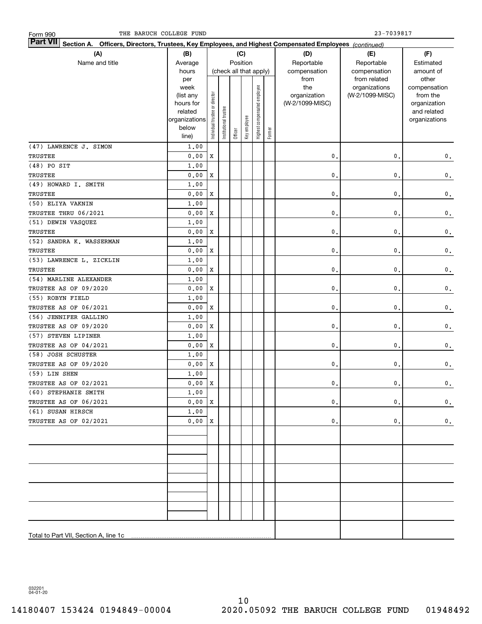| Part VII Section A. Officers, Directors, Trustees, Key Employees, and Highest Compensated Employees (continued) |                        |                                |                       |         |                        |                              |        |                                 |                 |                             |
|-----------------------------------------------------------------------------------------------------------------|------------------------|--------------------------------|-----------------------|---------|------------------------|------------------------------|--------|---------------------------------|-----------------|-----------------------------|
| (A)                                                                                                             | (B)                    |                                |                       |         | (C)                    |                              |        | (D)                             | (E)             | (F)                         |
| Name and title<br>Average                                                                                       |                        |                                |                       |         | Position               |                              |        | Reportable                      | Reportable      | Estimated                   |
|                                                                                                                 | hours                  |                                |                       |         | (check all that apply) |                              |        | compensation                    | compensation    | amount of                   |
|                                                                                                                 | per                    |                                |                       |         |                        |                              |        | from                            | from related    | other                       |
|                                                                                                                 | week                   |                                |                       |         |                        | Highest compensated employee |        | the                             | organizations   | compensation                |
|                                                                                                                 | (list any<br>hours for |                                |                       |         |                        |                              |        | organization<br>(W-2/1099-MISC) | (W-2/1099-MISC) | from the                    |
|                                                                                                                 | related                |                                |                       |         |                        |                              |        |                                 |                 | organization<br>and related |
|                                                                                                                 | organizations          |                                |                       |         |                        |                              |        |                                 |                 | organizations               |
|                                                                                                                 | below                  | Individual trustee or director | Institutional trustee |         | Key employee           |                              |        |                                 |                 |                             |
|                                                                                                                 | line)                  |                                |                       | Officer |                        |                              | Former |                                 |                 |                             |
| (47) LAWRENCE J. SIMON                                                                                          | 1,00                   |                                |                       |         |                        |                              |        |                                 |                 |                             |
| TRUSTEE                                                                                                         | 0.00                   | X                              |                       |         |                        |                              |        | 0.                              | $\mathbf{0}$ .  | $\mathbf 0$ .               |
| $(48)$ PO SIT                                                                                                   | 1.00                   |                                |                       |         |                        |                              |        |                                 |                 |                             |
| TRUSTEE                                                                                                         | 0.00                   | X                              |                       |         |                        |                              |        | 0.                              | $\mathbf{0}$ .  | $\mathbf 0$ .               |
| (49) HOWARD I. SMITH                                                                                            | 1.00                   |                                |                       |         |                        |                              |        |                                 |                 |                             |
| <b>TRUSTEE</b>                                                                                                  | 0.00                   | X                              |                       |         |                        |                              |        | 0.                              | $\mathbf{0}$ .  | $\mathbf 0$ .               |
| (50) ELIYA VAKNIN                                                                                               | 1.00                   |                                |                       |         |                        |                              |        |                                 |                 |                             |
| TRUSTEE THRU 06/2021                                                                                            | 0.00                   | X                              |                       |         |                        |                              |        | 0.                              | $\mathbf{0}$ .  | $\mathbf 0$ .               |
| (51) DEWIN VASQUEZ                                                                                              | 1.00                   |                                |                       |         |                        |                              |        |                                 |                 |                             |
| TRUSTEE                                                                                                         | 0.00                   | X                              |                       |         |                        |                              |        | 0.                              | $\mathbf{0}$ .  | $\mathbf 0$ .               |
| (52) SANDRA K. WASSERMAN                                                                                        | 1.00                   |                                |                       |         |                        |                              |        |                                 |                 |                             |
| TRUSTEE                                                                                                         | 0.00                   | X                              |                       |         |                        |                              |        | 0.                              | $\mathbf{0}$ .  | $\mathbf 0$ .               |
| (53) LAWRENCE L. ZICKLIN                                                                                        | 1.00                   |                                |                       |         |                        |                              |        |                                 |                 |                             |
| TRUSTEE                                                                                                         | 0.00                   | X                              |                       |         |                        |                              |        | 0.                              | $\mathbf{0}$ .  | $\mathbf 0$ .               |
| (54) MARLINE ALEXANDER                                                                                          | 1.00                   |                                |                       |         |                        |                              |        |                                 |                 |                             |
| TRUSTEE AS OF 09/2020                                                                                           | 0.00                   | X                              |                       |         |                        |                              |        | 0.                              | 0.              | $\mathbf 0$ .               |
| (55) ROBYN FIELD                                                                                                | 1.00                   |                                |                       |         |                        |                              |        |                                 |                 |                             |
| TRUSTEE AS OF 06/2021                                                                                           | 0.00                   | X                              |                       |         |                        |                              |        | 0.                              | 0.              | $\mathbf 0$ .               |
| (56) JENNIFER GALLINO                                                                                           | 1.00                   |                                |                       |         |                        |                              |        |                                 |                 |                             |
| TRUSTEE AS OF 09/2020                                                                                           | 0.00                   | X                              |                       |         |                        |                              |        | 0.                              | 0.              | $\mathbf 0$ .               |
| (57) STEVEN LIPINER                                                                                             | 1.00                   |                                |                       |         |                        |                              |        |                                 |                 |                             |
| TRUSTEE AS OF 04/2021                                                                                           | 0.00                   | X                              |                       |         |                        |                              |        | 0.                              | 0.              | $\mathbf 0$ .               |
| (58) JOSH SCHUSTER                                                                                              | 1.00                   |                                |                       |         |                        |                              |        |                                 |                 |                             |
| TRUSTEE AS OF 09/2020                                                                                           | 0.00                   | X                              |                       |         |                        |                              |        | $\mathbf{0}$ .                  | $\mathbf{0}$ .  | $\mathbf 0$ .               |
| (59) LIN SHEN                                                                                                   | 1.00                   |                                |                       |         |                        |                              |        |                                 |                 |                             |
| TRUSTEE AS OF 02/2021                                                                                           | 0.00                   | $\mathbf X$                    |                       |         |                        |                              |        | $\mathbf{0}$ .                  | $\mathbf{0}$ .  | $\mathbf 0$ .               |
| $(60)$ STEPHANIE SMITH                                                                                          | 1.00                   |                                |                       |         |                        |                              |        |                                 |                 |                             |
| TRUSTEE AS OF 06/2021                                                                                           | 0.00X                  |                                |                       |         |                        |                              |        | 0.                              | $\mathbf{0}$ .  | $\mathbf 0$ .               |
| (61) SUSAN HIRSCH                                                                                               | 1,00                   |                                |                       |         |                        |                              |        |                                 |                 |                             |
| TRUSTEE AS OF 02/2021                                                                                           | 0.00                   | X                              |                       |         |                        |                              |        | 0.                              | $\mathbf{0}$ .  | 0.                          |
|                                                                                                                 |                        |                                |                       |         |                        |                              |        |                                 |                 |                             |
|                                                                                                                 |                        |                                |                       |         |                        |                              |        |                                 |                 |                             |
|                                                                                                                 |                        |                                |                       |         |                        |                              |        |                                 |                 |                             |
|                                                                                                                 |                        |                                |                       |         |                        |                              |        |                                 |                 |                             |
|                                                                                                                 |                        |                                |                       |         |                        |                              |        |                                 |                 |                             |
|                                                                                                                 |                        |                                |                       |         |                        |                              |        |                                 |                 |                             |
|                                                                                                                 |                        |                                |                       |         |                        |                              |        |                                 |                 |                             |
|                                                                                                                 |                        |                                |                       |         |                        |                              |        |                                 |                 |                             |
|                                                                                                                 |                        |                                |                       |         |                        |                              |        |                                 |                 |                             |
|                                                                                                                 |                        |                                |                       |         |                        |                              |        |                                 |                 |                             |
|                                                                                                                 |                        |                                |                       |         |                        |                              |        |                                 |                 |                             |
| Total to Part VII, Section A, line 1c                                                                           |                        |                                |                       |         |                        |                              |        |                                 |                 |                             |

032201 04-01-20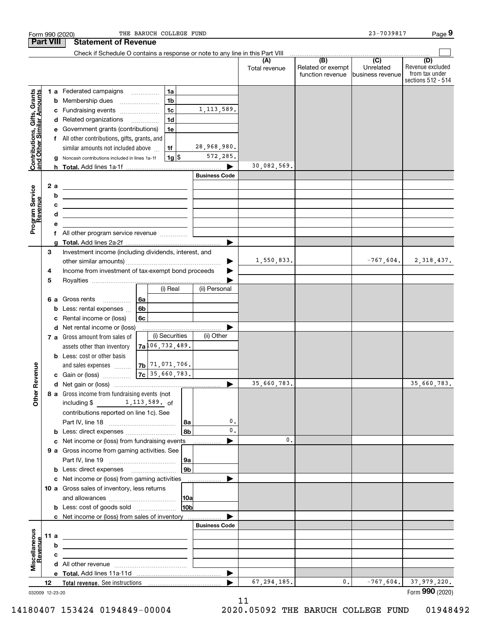|                                                           |                 |    | Form 990 (2020)                                                                 | THE BARUCH COLLEGE FUND              |                 |                       |                      |                                                     | 23-7039817                    | Page 9                                                          |
|-----------------------------------------------------------|-----------------|----|---------------------------------------------------------------------------------|--------------------------------------|-----------------|-----------------------|----------------------|-----------------------------------------------------|-------------------------------|-----------------------------------------------------------------|
| <b>Part VIII</b>                                          |                 |    | <b>Statement of Revenue</b>                                                     |                                      |                 |                       |                      |                                                     |                               |                                                                 |
|                                                           |                 |    | Check if Schedule O contains a response or note to any line in this Part VIII   |                                      |                 |                       |                      | $\overline{(\mathsf{B})}$ $\overline{(\mathsf{C})}$ |                               |                                                                 |
|                                                           |                 |    |                                                                                 |                                      |                 |                       | (A)<br>Total revenue | Related or exempt<br>function revenue               | Unrelated<br>business revenue | (D)<br>Revenue excluded<br>from tax under<br>sections 512 - 514 |
|                                                           |                 |    | 1 a Federated campaigns                                                         |                                      | 1a              |                       |                      |                                                     |                               |                                                                 |
|                                                           |                 | b  | Membership dues                                                                 | $\ldots \ldots \ldots \ldots \ldots$ | 1 <sub>b</sub>  |                       |                      |                                                     |                               |                                                                 |
|                                                           |                 | с  | Fundraising events                                                              |                                      | 1 <sub>c</sub>  | 1, 113, 589.          |                      |                                                     |                               |                                                                 |
|                                                           |                 |    | d Related organizations                                                         |                                      | 1 <sub>d</sub>  |                       |                      |                                                     |                               |                                                                 |
|                                                           |                 | е  | Government grants (contributions)                                               |                                      | 1e              |                       |                      |                                                     |                               |                                                                 |
|                                                           |                 |    | f All other contributions, gifts, grants, and                                   |                                      |                 |                       |                      |                                                     |                               |                                                                 |
| Contributions, Gifts, Grants<br>and Other Similar Amounts |                 |    | similar amounts not included above                                              |                                      | 1f              | 28,968,980.           |                      |                                                     |                               |                                                                 |
|                                                           |                 | g  | Noncash contributions included in lines 1a-1f                                   |                                      | $1g$ \$         | 572,285.              |                      |                                                     |                               |                                                                 |
|                                                           |                 |    |                                                                                 |                                      |                 |                       | 30,082,569.          |                                                     |                               |                                                                 |
|                                                           |                 |    |                                                                                 |                                      |                 | <b>Business Code</b>  |                      |                                                     |                               |                                                                 |
|                                                           |                 | 2a | <u> 1989 - Johann Stoff, amerikansk politiker (</u>                             |                                      |                 |                       |                      |                                                     |                               |                                                                 |
|                                                           |                 | b  | <u> 1989 - Andrea Stadt, fransk politik (d. 1989)</u>                           |                                      |                 |                       |                      |                                                     |                               |                                                                 |
|                                                           |                 | с  | <u> 2000 - Jan Barbara (h. 1888).</u>                                           |                                      |                 |                       |                      |                                                     |                               |                                                                 |
| Program Service<br>Revenue                                |                 | d  | <u> 1989 - Johann Stein, mars an de Frankrik (f. 1989)</u>                      |                                      |                 |                       |                      |                                                     |                               |                                                                 |
|                                                           |                 | е  |                                                                                 |                                      |                 |                       |                      |                                                     |                               |                                                                 |
|                                                           |                 |    | f All other program service revenue                                             |                                      |                 |                       |                      |                                                     |                               |                                                                 |
|                                                           |                 | g  |                                                                                 |                                      |                 |                       |                      |                                                     |                               |                                                                 |
|                                                           | 3               |    | Investment income (including dividends, interest, and                           |                                      |                 |                       |                      |                                                     |                               |                                                                 |
|                                                           |                 |    |                                                                                 |                                      |                 |                       | 1,550,833.           |                                                     |                               | $-767,604.$ 2, 318, 437.                                        |
|                                                           | 4               |    | Income from investment of tax-exempt bond proceeds                              |                                      |                 |                       |                      |                                                     |                               |                                                                 |
|                                                           | 5               |    |                                                                                 |                                      |                 |                       |                      |                                                     |                               |                                                                 |
|                                                           |                 |    |                                                                                 |                                      | (i) Real        | (ii) Personal         |                      |                                                     |                               |                                                                 |
|                                                           |                 |    | 6 a Gross rents<br>$\overline{\phantom{a}}$                                     | 6a                                   |                 |                       |                      |                                                     |                               |                                                                 |
|                                                           |                 | b  | Less: rental expenses                                                           | 6b                                   |                 |                       |                      |                                                     |                               |                                                                 |
|                                                           |                 | c  | Rental income or (loss)                                                         | 6c                                   |                 |                       |                      |                                                     |                               |                                                                 |
|                                                           |                 | d  | Net rental income or (loss)                                                     |                                      |                 |                       |                      |                                                     |                               |                                                                 |
|                                                           |                 |    | 7 a Gross amount from sales of                                                  |                                      | (i) Securities  | (ii) Other            |                      |                                                     |                               |                                                                 |
|                                                           |                 |    | assets other than inventory                                                     | $7a^{106}$ , 732, 489.               |                 |                       |                      |                                                     |                               |                                                                 |
|                                                           |                 |    | <b>b</b> Less: cost or other basis                                              |                                      |                 |                       |                      |                                                     |                               |                                                                 |
|                                                           |                 |    | and sales expenses                                                              | $7b$ 71, 071, 706.                   |                 |                       |                      |                                                     |                               |                                                                 |
| evenue                                                    |                 |    | c Gain or (loss)                                                                | $7c$ 35,660,783.                     |                 |                       |                      |                                                     |                               |                                                                 |
|                                                           |                 |    |                                                                                 |                                      |                 |                       | 35,660,783.          |                                                     |                               | 35,660,783.                                                     |
| Other <sub>R</sub>                                        |                 |    | 8 a Gross income from fundraising events (not                                   |                                      |                 |                       |                      |                                                     |                               |                                                                 |
|                                                           |                 |    | including $$1, 113, 589$ of                                                     |                                      |                 |                       |                      |                                                     |                               |                                                                 |
|                                                           |                 |    | contributions reported on line 1c). See                                         |                                      |                 |                       |                      |                                                     |                               |                                                                 |
|                                                           |                 |    |                                                                                 |                                      | 8a              | 0.                    |                      |                                                     |                               |                                                                 |
|                                                           |                 |    | <b>b</b> Less: direct expenses <i></i>                                          |                                      | 8b              | $\mathbf{0}$ .        |                      |                                                     |                               |                                                                 |
|                                                           |                 | с  | Net income or (loss) from fundraising events                                    |                                      |                 |                       | 0.                   |                                                     |                               |                                                                 |
|                                                           |                 |    | 9 a Gross income from gaming activities. See                                    |                                      |                 |                       |                      |                                                     |                               |                                                                 |
|                                                           |                 |    |                                                                                 |                                      | 9a              |                       |                      |                                                     |                               |                                                                 |
|                                                           |                 |    | <b>b</b> Less: direct expenses <b>manually</b>                                  |                                      | 9 <sub>b</sub>  |                       |                      |                                                     |                               |                                                                 |
|                                                           |                 |    | c Net income or (loss) from gaming activities                                   |                                      |                 |                       |                      |                                                     |                               |                                                                 |
|                                                           |                 |    | 10 a Gross sales of inventory, less returns                                     |                                      |                 |                       |                      |                                                     |                               |                                                                 |
|                                                           |                 |    |                                                                                 |                                      | 10a             |                       |                      |                                                     |                               |                                                                 |
|                                                           |                 |    | <b>b</b> Less: cost of goods sold                                               |                                      | 10 <sub>b</sub> |                       |                      |                                                     |                               |                                                                 |
|                                                           |                 |    | c Net income or (loss) from sales of inventory                                  |                                      |                 |                       |                      |                                                     |                               |                                                                 |
|                                                           |                 |    |                                                                                 |                                      |                 | <b>Business Code</b>  |                      |                                                     |                               |                                                                 |
| Miscellaneous<br>Revenue                                  | 11 a            |    | <u> 1989 - Johann Stein, mars an deus Amerikaansk kommunister (</u>             |                                      |                 |                       |                      |                                                     |                               |                                                                 |
|                                                           |                 | b  | the contract of the contract of the contract of the contract of the contract of |                                      |                 |                       |                      |                                                     |                               |                                                                 |
|                                                           |                 | c  | the control of the control of the control of the control of the control of      |                                      |                 |                       |                      |                                                     |                               |                                                                 |
|                                                           |                 |    |                                                                                 |                                      |                 |                       |                      |                                                     |                               |                                                                 |
|                                                           |                 |    |                                                                                 |                                      |                 | $\blacktriangleright$ |                      |                                                     |                               |                                                                 |
|                                                           | 12              |    |                                                                                 |                                      |                 | ▶                     | 67, 294, 185.        | 0.                                                  | $-767,604.$                   | 37,979,220.                                                     |
|                                                           | 032009 12-23-20 |    |                                                                                 |                                      |                 |                       |                      |                                                     |                               | Form 990 (2020)                                                 |
|                                                           |                 |    |                                                                                 |                                      |                 |                       |                      |                                                     |                               |                                                                 |

032009 12-23-20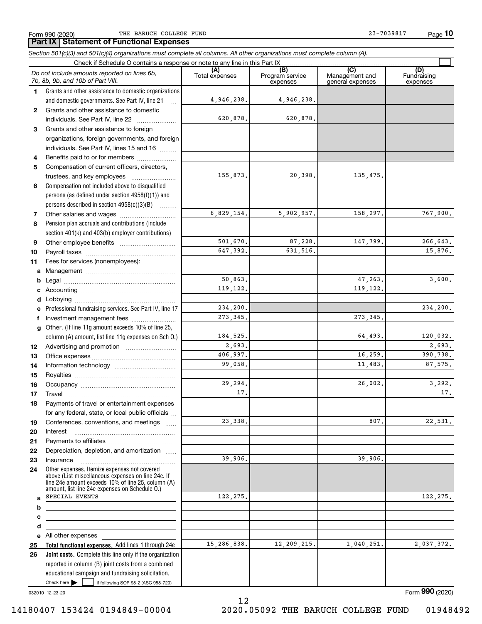Form 990 (2020) THE BARUCH COLLEGE FUND 23-7039817 Page

**10**

**Total functional expenses.**  Add lines 1 through 24e **Joint costs.** Complete this line only if the organization **(A)**<br>Total expenses **(B) (C) (D) 1234567891011abcdefg12131415161718192021222324abcde2526***Section 501(c)(3) and 501(c)(4) organizations must complete all columns. All other organizations must complete column (A).* Grants and other assistance to domestic organizations and domestic governments. See Part IV, line 21 Compensation not included above to disqualified persons (as defined under section 4958(f)(1)) and persons described in section 4958(c)(3)(B)  $\quad \ldots \ldots \ldots$ Pension plan accruals and contributions (include section 401(k) and 403(b) employer contributions) Professional fundraising services. See Part IV, line 17 Other. (If line 11g amount exceeds 10% of line 25, column (A) amount, list line 11g expenses on Sch O.) Other expenses. Itemize expenses not covered above (List miscellaneous expenses on line 24e. If line 24e amount exceeds 10% of line 25, column (A) amount, list line 24e expenses on Schedule O.) reported in column (B) joint costs from a combined Check if Schedule O contains a response or note to any line in this Part IX (C) (C) (C) (C) (C) (C) Program service expensesManagement and general expenses Fundraising expensesGrants and other assistance to domestic individuals. See Part IV, line 22 ..................... Grants and other assistance to foreign organizations, foreign governments, and foreign individuals. See Part IV, lines 15 and 16  $\ldots$ Benefits paid to or for members .................... Compensation of current officers, directors, trustees, and key employees  $\ldots$   $\ldots$   $\ldots$   $\ldots$   $\ldots$ Other salaries and wages ~~~~~~~~~~ Other employee benefits ~~~~~~~~~~ Payroll taxes ~~~~~~~~~~~~~~~~ Fees for services (nonemployees): Management ~~~~~~~~~~~~~~~~ Legal ~~~~~~~~~~~~~~~~~~~~ Accounting ~~~~~~~~~~~~~~~~~ Lobbying ~~~~~~~~~~~~~~~~~~ lnvestment management fees ....................... Advertising and promotion \_\_\_\_\_\_\_\_\_\_\_\_\_\_\_\_\_\_\_ Office expenses ~~~~~~~~~~~~~~~ Information technology ~~~~~~~~~~~ Royalties ~~~~~~~~~~~~~~~~~~ Occupancy ~~~~~~~~~~~~~~~~~ Travel ……………………………………………… Payments of travel or entertainment expenses for any federal, state, or local public officials ... Conferences, conventions, and meetings InterestPayments to affiliates [*[[[[[[[[[[[[[]]]]]* ~~~~~~~~~~~~~~~~~~Depreciation, depletion, and amortization  $\,\,\ldots\,\,$ Insurance~~~~~~~~~~~~~~~~~All other expenses *Do not include amounts reported on lines 6b, 7b, 8b, 9b, and 10b of Part VIII.*  $\mathcal{L}^{\text{max}}$ 4,946,238. 620,878. 155,873. 6,829,154. 501,670. 647,392. 50,863. 119,122. 234,200. 184,525. 2,693. 406,997. 99,058. 29,294. 17.23,338. 39,906. 122,275. 15,286,838. 273,345. 4,946,238. 620,878. 20,398. 135,475. 5,902,957. 158,297. 767,900. 87,228. 147,799. 266,643. 631,516. 15,876. 47,263. 3,600. 119,122. 234,200. 273,345. 64,493. 120,032. 2,693. 16,259. 390,738. 11,483. 87,575. 26,002. 3,292. 17.807. 22,531. 39,906. 122,275. 12,209,215. 1,040,251. 2,037,372. SPECIAL EVENTS

032010 12-23-20

Check here  $\blacktriangleright$ 

Check here  $\bullet$  if following SOP 98-2 (ASC 958-720)

educational campaign and fundraising solicitation.

Form (2020) **990**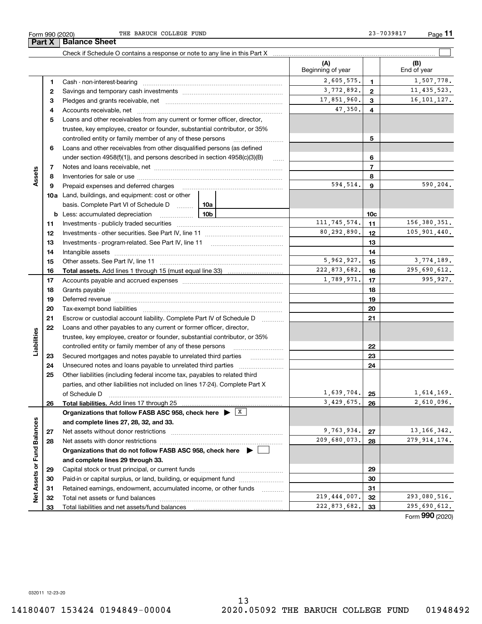**Part X Balance Sheet**

THE BARUCH COLLEGE FUND 23-7039817

|                             |    | Check if Schedule O contains a response or note to any line in this Part X                                    |                          |                 |                      |
|-----------------------------|----|---------------------------------------------------------------------------------------------------------------|--------------------------|-----------------|----------------------|
|                             |    |                                                                                                               | (A)<br>Beginning of year |                 | (B)<br>End of year   |
|                             | 1  |                                                                                                               | 2,605,575.               | $\mathbf{1}$    | 1,507,778.           |
|                             | 2  |                                                                                                               | 3,772,892.               | $\overline{2}$  | 11, 435, 523.        |
|                             | 3  |                                                                                                               | 17,851,960.              | 3               | 16, 101, 127.        |
|                             | 4  |                                                                                                               | 47,350.                  | 4               |                      |
|                             | 5  | Loans and other receivables from any current or former officer, director,                                     |                          |                 |                      |
|                             |    | trustee, key employee, creator or founder, substantial contributor, or 35%                                    |                          |                 |                      |
|                             |    | controlled entity or family member of any of these persons                                                    |                          | 5               |                      |
|                             | 6  | Loans and other receivables from other disqualified persons (as defined                                       |                          |                 |                      |
|                             |    | under section $4958(f)(1)$ , and persons described in section $4958(c)(3)(B)$                                 | $\ldots$                 | 6               |                      |
|                             | 7  |                                                                                                               |                          | $\overline{7}$  |                      |
| Assets                      | 8  |                                                                                                               |                          | 8               |                      |
|                             | 9  | Prepaid expenses and deferred charges                                                                         | 594,514.                 | 9               | 590,204.             |
|                             |    | <b>10a</b> Land, buildings, and equipment: cost or other                                                      |                          |                 |                      |
|                             |    | basis. Complete Part VI of Schedule D  10a                                                                    |                          |                 |                      |
|                             |    | <u>10b</u><br><b>b</b> Less: accumulated depreciation                                                         |                          | 10 <sub>c</sub> |                      |
|                             | 11 |                                                                                                               | 111, 745, 574.           | 11              | 156,380,351.         |
|                             | 12 |                                                                                                               | 80,292,890.              | 12              | 105,901,440.         |
|                             | 13 |                                                                                                               |                          | 13              |                      |
|                             | 14 |                                                                                                               |                          | 14              |                      |
|                             | 15 |                                                                                                               | 5,962,927.               | 15              | 3,774,189.           |
|                             | 16 |                                                                                                               | 222,873,682.             | 16              | 295,690,612.         |
|                             | 17 |                                                                                                               | 1,789,971.               | 17              | 995,927.             |
|                             | 18 |                                                                                                               |                          | 18              |                      |
|                             | 19 |                                                                                                               |                          | 19              |                      |
|                             | 20 |                                                                                                               |                          | 20              |                      |
|                             | 21 | Escrow or custodial account liability. Complete Part IV of Schedule D                                         |                          | 21              |                      |
|                             | 22 | Loans and other payables to any current or former officer, director,                                          |                          |                 |                      |
| Liabilities                 |    | trustee, key employee, creator or founder, substantial contributor, or 35%                                    |                          |                 |                      |
|                             |    | controlled entity or family member of any of these persons                                                    |                          | 22              |                      |
|                             | 23 | Secured mortgages and notes payable to unrelated third parties                                                |                          | 23              |                      |
|                             | 24 |                                                                                                               |                          | 24              |                      |
|                             | 25 | Other liabilities (including federal income tax, payables to related third                                    |                          |                 |                      |
|                             |    | parties, and other liabilities not included on lines 17-24). Complete Part X                                  |                          |                 |                      |
|                             |    | of Schedule D                                                                                                 | 1,639,704.               | 25              | 1,614,169.           |
|                             | 26 | Total liabilities. Add lines 17 through 25                                                                    | 3,429,675.               | 26              | 2,610,096.           |
|                             |    | Organizations that follow FASB ASC 958, check here $\blacktriangleright \begin{array}{c} \perp X \end{array}$ |                          |                 |                      |
|                             |    | and complete lines 27, 28, 32, and 33.                                                                        |                          |                 |                      |
|                             | 27 |                                                                                                               | 9,763,934.               | 27              | 13, 166, 342.        |
|                             | 28 |                                                                                                               | 209,680,073.             | 28              | 279, 914, 174.       |
|                             |    | Organizations that do not follow FASB ASC 958, check here ▶ □                                                 |                          |                 |                      |
|                             |    | and complete lines 29 through 33.                                                                             |                          |                 |                      |
|                             | 29 |                                                                                                               |                          | 29              |                      |
|                             | 30 | Paid-in or capital surplus, or land, building, or equipment fund                                              |                          | 30              |                      |
| Net Assets or Fund Balances | 31 | Retained earnings, endowment, accumulated income, or other funds                                              |                          | 31              |                      |
|                             | 32 |                                                                                                               | 219,444,007.             | 32              | 293,080,516.         |
|                             | 33 |                                                                                                               | 222,873,682.             | 33              | 295,690,612.<br>nnn. |

Form (2020) **990**

032011 12-23-20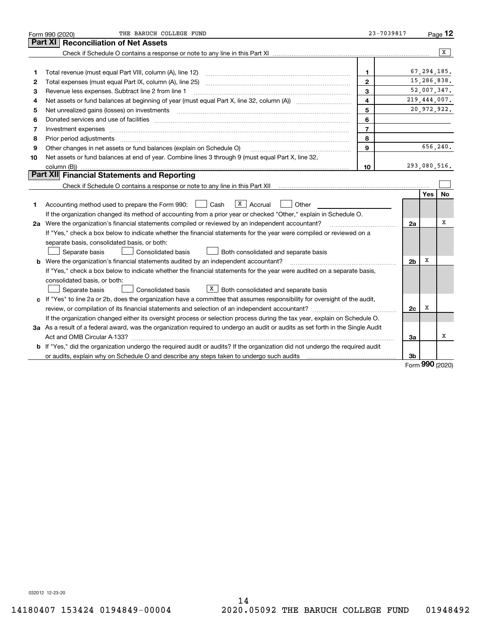|    | THE BARUCH COLLEGE FUND<br>Form 990 (2020)                                                                                                                                                                                    | 23-7039817     |                |               | Page $12$ |
|----|-------------------------------------------------------------------------------------------------------------------------------------------------------------------------------------------------------------------------------|----------------|----------------|---------------|-----------|
|    | Part XI<br><b>Reconciliation of Net Assets</b>                                                                                                                                                                                |                |                |               |           |
|    |                                                                                                                                                                                                                               |                |                |               | X         |
|    |                                                                                                                                                                                                                               |                |                |               |           |
| 1  | Total revenue (must equal Part VIII, column (A), line 12)                                                                                                                                                                     | 1              |                | 67, 294, 185. |           |
| 2  |                                                                                                                                                                                                                               | $\mathbf{2}$   |                | 15,286,838.   |           |
| 3  | Revenue less expenses. Subtract line 2 from line 1                                                                                                                                                                            | 3              |                | 52,007,347.   |           |
| 4  |                                                                                                                                                                                                                               | 4              |                | 219,444,007.  |           |
| 5  |                                                                                                                                                                                                                               | 5              |                | 20,972,922.   |           |
| 6  |                                                                                                                                                                                                                               | 6              |                |               |           |
| 7  | Investment expenses www.communication.communication.com/www.communication.com/www.communication.com                                                                                                                           | $\overline{7}$ |                |               |           |
| 8  | Prior period adjustments                                                                                                                                                                                                      | 8              |                |               |           |
| 9  | Other changes in net assets or fund balances (explain on Schedule O)                                                                                                                                                          | $\mathbf{9}$   |                | 656,240.      |           |
| 10 | Net assets or fund balances at end of year. Combine lines 3 through 9 (must equal Part X, line 32,                                                                                                                            |                |                |               |           |
|    | column (B))                                                                                                                                                                                                                   | 10             |                | 293,080,516.  |           |
|    | Part XII Financial Statements and Reporting                                                                                                                                                                                   |                |                |               |           |
|    | Check if Schedule O contains a response or note to any line in this Part XII [11] [12] Check if Schedule O contains a response or note to any line in this Part XII                                                           |                |                |               |           |
|    |                                                                                                                                                                                                                               |                |                | <b>Yes</b>    | No        |
| 1. | $X \vert$ Accrual<br>Cash<br>Other<br>Accounting method used to prepare the Form 990:                                                                                                                                         |                |                |               |           |
|    | If the organization changed its method of accounting from a prior year or checked "Other," explain in Schedule O.                                                                                                             |                |                |               |           |
|    | 2a Were the organization's financial statements compiled or reviewed by an independent accountant?                                                                                                                            |                | 2a             |               | x         |
|    | If "Yes," check a box below to indicate whether the financial statements for the year were compiled or reviewed on a                                                                                                          |                |                |               |           |
|    | separate basis, consolidated basis, or both:                                                                                                                                                                                  |                |                |               |           |
|    | Separate basis<br>Consolidated basis<br>Both consolidated and separate basis                                                                                                                                                  |                |                |               |           |
|    | <b>b</b> Were the organization's financial statements audited by an independent accountant?                                                                                                                                   |                | 2 <sub>b</sub> | х             |           |
|    | If "Yes," check a box below to indicate whether the financial statements for the year were audited on a separate basis,                                                                                                       |                |                |               |           |
|    | consolidated basis, or both:                                                                                                                                                                                                  |                |                |               |           |
|    | $X$ Both consolidated and separate basis<br>Consolidated basis<br>Separate basis                                                                                                                                              |                |                |               |           |
|    | c If "Yes" to line 2a or 2b, does the organization have a committee that assumes responsibility for oversight of the audit,                                                                                                   |                |                |               |           |
|    |                                                                                                                                                                                                                               |                | 2c             | х             |           |
|    | If the organization changed either its oversight process or selection process during the tax year, explain on Schedule O.                                                                                                     |                |                |               |           |
|    | 3a As a result of a federal award, was the organization required to undergo an audit or audits as set forth in the Single Audit                                                                                               |                |                |               |           |
|    |                                                                                                                                                                                                                               |                | 3a             |               | х         |
|    | b If "Yes," did the organization undergo the required audit or audits? If the organization did not undergo the required audit                                                                                                 |                |                |               |           |
|    | or audits, explain why on Schedule O and describe any steps taken to undergo such audits [11] contains the school of audits [11] or audits [11] or audits [11] or audits [11] or audits [11] or audits [11] or audits [11] or |                | 3b             | <u>nnn</u>    |           |

Form (2020) **990**

032012 12-23-20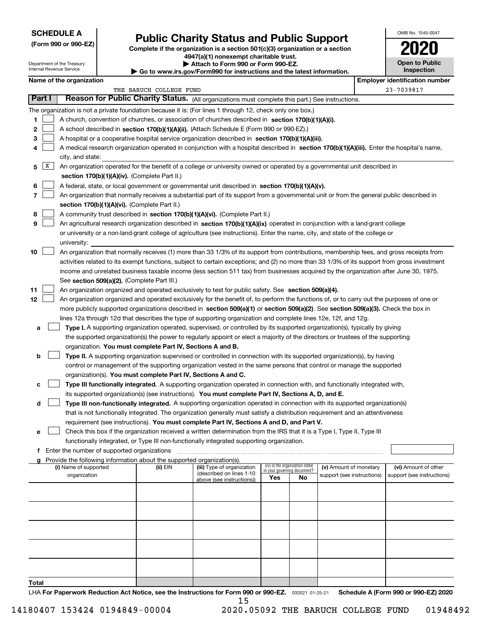### **SCHEDULE A**

Department of the Treasury Internal Revenue Service

**(Form 990 or 990-EZ)**

# **Public Charity Status and Public Support**

**Complete if the organization is a section 501(c)(3) organization or a section 4947(a)(1) nonexempt charitable trust. | Attach to Form 990 or Form 990-EZ.**   $\blacktriangleright$  Go to

| www.irs.gov/Form990 for instructions and the latest information. |  |  |
|------------------------------------------------------------------|--|--|
|------------------------------------------------------------------|--|--|

| OMB No. 1545-0047 |  |
|-------------------|--|
|                   |  |

**Open to Public**

|  | Inspection |  |
|--|------------|--|
|  |            |  |

| Name of the organization |  |
|--------------------------|--|
|--------------------------|--|

| Name of the organization<br><b>Employer identification number</b> |   |                                                                                                                                              |                         |                            |                                 |    |                            |  |                            |  |  |  |
|-------------------------------------------------------------------|---|----------------------------------------------------------------------------------------------------------------------------------------------|-------------------------|----------------------------|---------------------------------|----|----------------------------|--|----------------------------|--|--|--|
|                                                                   |   |                                                                                                                                              | THE BARUCH COLLEGE FUND |                            |                                 |    |                            |  | 23-7039817                 |  |  |  |
| <b>Part I</b>                                                     |   | Reason for Public Charity Status. (All organizations must complete this part.) See instructions.                                             |                         |                            |                                 |    |                            |  |                            |  |  |  |
|                                                                   |   | The organization is not a private foundation because it is: (For lines 1 through 12, check only one box.)                                    |                         |                            |                                 |    |                            |  |                            |  |  |  |
| 1.                                                                |   | A church, convention of churches, or association of churches described in section 170(b)(1)(A)(i).                                           |                         |                            |                                 |    |                            |  |                            |  |  |  |
| $\mathbf{2}$                                                      |   | A school described in section 170(b)(1)(A)(ii). (Attach Schedule E (Form 990 or 990-EZ).)                                                    |                         |                            |                                 |    |                            |  |                            |  |  |  |
| 3                                                                 |   | A hospital or a cooperative hospital service organization described in section $170(b)(1)(A)(iii)$ .                                         |                         |                            |                                 |    |                            |  |                            |  |  |  |
| 4                                                                 |   | A medical research organization operated in conjunction with a hospital described in section 170(b)(1)(A)(iii). Enter the hospital's name,   |                         |                            |                                 |    |                            |  |                            |  |  |  |
|                                                                   |   | city, and state:                                                                                                                             |                         |                            |                                 |    |                            |  |                            |  |  |  |
| 5.                                                                | X | An organization operated for the benefit of a college or university owned or operated by a governmental unit described in                    |                         |                            |                                 |    |                            |  |                            |  |  |  |
|                                                                   |   | section 170(b)(1)(A)(iv). (Complete Part II.)                                                                                                |                         |                            |                                 |    |                            |  |                            |  |  |  |
| 6                                                                 |   | A federal, state, or local government or governmental unit described in section 170(b)(1)(A)(v).                                             |                         |                            |                                 |    |                            |  |                            |  |  |  |
| 7                                                                 |   | An organization that normally receives a substantial part of its support from a governmental unit or from the general public described in    |                         |                            |                                 |    |                            |  |                            |  |  |  |
|                                                                   |   |                                                                                                                                              |                         |                            |                                 |    |                            |  |                            |  |  |  |
|                                                                   |   | section 170(b)(1)(A)(vi). (Complete Part II.)                                                                                                |                         |                            |                                 |    |                            |  |                            |  |  |  |
| 8                                                                 |   | A community trust described in section 170(b)(1)(A)(vi). (Complete Part II.)                                                                 |                         |                            |                                 |    |                            |  |                            |  |  |  |
| 9                                                                 |   | An agricultural research organization described in section 170(b)(1)(A)(ix) operated in conjunction with a land-grant college                |                         |                            |                                 |    |                            |  |                            |  |  |  |
|                                                                   |   | or university or a non-land-grant college of agriculture (see instructions). Enter the name, city, and state of the college or               |                         |                            |                                 |    |                            |  |                            |  |  |  |
|                                                                   |   | university:                                                                                                                                  |                         |                            |                                 |    |                            |  |                            |  |  |  |
| 10                                                                |   | An organization that normally receives (1) more than 33 1/3% of its support from contributions, membership fees, and gross receipts from     |                         |                            |                                 |    |                            |  |                            |  |  |  |
|                                                                   |   | activities related to its exempt functions, subject to certain exceptions; and (2) no more than 33 1/3% of its support from gross investment |                         |                            |                                 |    |                            |  |                            |  |  |  |
|                                                                   |   | income and unrelated business taxable income (less section 511 tax) from businesses acquired by the organization after June 30, 1975.        |                         |                            |                                 |    |                            |  |                            |  |  |  |
|                                                                   |   | See section 509(a)(2). (Complete Part III.)                                                                                                  |                         |                            |                                 |    |                            |  |                            |  |  |  |
| 11                                                                |   | An organization organized and operated exclusively to test for public safety. See section 509(a)(4).                                         |                         |                            |                                 |    |                            |  |                            |  |  |  |
| 12                                                                |   | An organization organized and operated exclusively for the benefit of, to perform the functions of, or to carry out the purposes of one or   |                         |                            |                                 |    |                            |  |                            |  |  |  |
|                                                                   |   | more publicly supported organizations described in section 509(a)(1) or section 509(a)(2). See section 509(a)(3). Check the box in           |                         |                            |                                 |    |                            |  |                            |  |  |  |
|                                                                   |   | lines 12a through 12d that describes the type of supporting organization and complete lines 12e, 12f, and 12g.                               |                         |                            |                                 |    |                            |  |                            |  |  |  |
| а                                                                 |   | Type I. A supporting organization operated, supervised, or controlled by its supported organization(s), typically by giving                  |                         |                            |                                 |    |                            |  |                            |  |  |  |
|                                                                   |   | the supported organization(s) the power to regularly appoint or elect a majority of the directors or trustees of the supporting              |                         |                            |                                 |    |                            |  |                            |  |  |  |
|                                                                   |   | organization. You must complete Part IV, Sections A and B.                                                                                   |                         |                            |                                 |    |                            |  |                            |  |  |  |
| b                                                                 |   | Type II. A supporting organization supervised or controlled in connection with its supported organization(s), by having                      |                         |                            |                                 |    |                            |  |                            |  |  |  |
|                                                                   |   | control or management of the supporting organization vested in the same persons that control or manage the supported                         |                         |                            |                                 |    |                            |  |                            |  |  |  |
|                                                                   |   | organization(s). You must complete Part IV, Sections A and C.                                                                                |                         |                            |                                 |    |                            |  |                            |  |  |  |
| с                                                                 |   | Type III functionally integrated. A supporting organization operated in connection with, and functionally integrated with,                   |                         |                            |                                 |    |                            |  |                            |  |  |  |
|                                                                   |   | its supported organization(s) (see instructions). You must complete Part IV, Sections A, D, and E.                                           |                         |                            |                                 |    |                            |  |                            |  |  |  |
| d                                                                 |   | Type III non-functionally integrated. A supporting organization operated in connection with its supported organization(s)                    |                         |                            |                                 |    |                            |  |                            |  |  |  |
|                                                                   |   | that is not functionally integrated. The organization generally must satisfy a distribution requirement and an attentiveness                 |                         |                            |                                 |    |                            |  |                            |  |  |  |
|                                                                   |   | requirement (see instructions). You must complete Part IV, Sections A and D, and Part V.                                                     |                         |                            |                                 |    |                            |  |                            |  |  |  |
|                                                                   |   |                                                                                                                                              |                         |                            |                                 |    |                            |  |                            |  |  |  |
|                                                                   |   | □ Check this box if the organization received a written determination from the IRS that it is a Type I, Type II, Type III                    |                         |                            |                                 |    |                            |  |                            |  |  |  |
|                                                                   |   | functionally integrated, or Type III non-functionally integrated supporting organization.                                                    |                         |                            |                                 |    |                            |  |                            |  |  |  |
|                                                                   |   | f Enter the number of supported organizations                                                                                                |                         |                            |                                 |    |                            |  |                            |  |  |  |
| a                                                                 |   | Provide the following information about the supported organization(s).<br>(i) Name of supported                                              | (ii) EIN                | (iii) Type of organization | (iv) Is the organization listed |    | (v) Amount of monetary     |  | (vi) Amount of other       |  |  |  |
|                                                                   |   | organization                                                                                                                                 |                         | (described on lines 1-10   | in your governing document?     |    | support (see instructions) |  | support (see instructions) |  |  |  |
|                                                                   |   |                                                                                                                                              |                         | above (see instructions))  | Yes                             | No |                            |  |                            |  |  |  |
|                                                                   |   |                                                                                                                                              |                         |                            |                                 |    |                            |  |                            |  |  |  |
|                                                                   |   |                                                                                                                                              |                         |                            |                                 |    |                            |  |                            |  |  |  |
|                                                                   |   |                                                                                                                                              |                         |                            |                                 |    |                            |  |                            |  |  |  |
|                                                                   |   |                                                                                                                                              |                         |                            |                                 |    |                            |  |                            |  |  |  |
|                                                                   |   |                                                                                                                                              |                         |                            |                                 |    |                            |  |                            |  |  |  |
|                                                                   |   |                                                                                                                                              |                         |                            |                                 |    |                            |  |                            |  |  |  |
|                                                                   |   |                                                                                                                                              |                         |                            |                                 |    |                            |  |                            |  |  |  |
|                                                                   |   |                                                                                                                                              |                         |                            |                                 |    |                            |  |                            |  |  |  |
|                                                                   |   |                                                                                                                                              |                         |                            |                                 |    |                            |  |                            |  |  |  |
|                                                                   |   |                                                                                                                                              |                         |                            |                                 |    |                            |  |                            |  |  |  |
| <b>Total</b>                                                      |   |                                                                                                                                              |                         |                            |                                 |    |                            |  |                            |  |  |  |

LHA For Paperwork Reduction Act Notice, see the Instructions for Form 990 or 990-EZ. <sub>032021</sub> o1-25-21 Schedule A (Form 990 or 990-EZ) 2020 15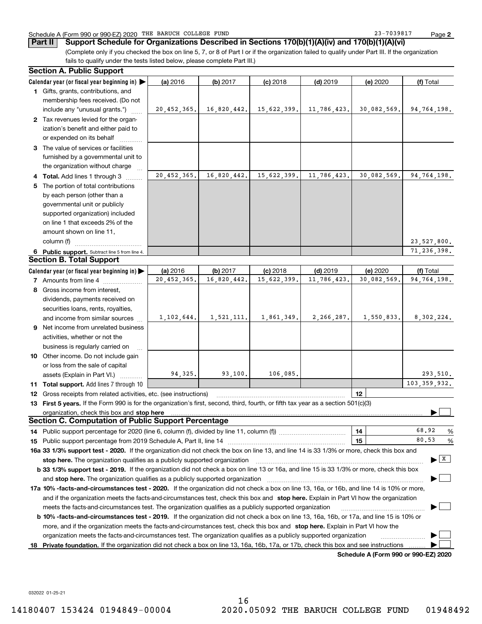### Schedule A (Form 990 or 990-EZ) 2020 Page THE BARUCH COLLEGE FUND 23-7039817

**2**

(Complete only if you checked the box on line 5, 7, or 8 of Part I or if the organization failed to qualify under Part III. If the organization **Part II** Support Schedule for Organizations Described in Sections 170(b)(1)(A)(iv) and 170(b)(1)(A)(vi)

fails to qualify under the tests listed below, please complete Part III.)

|   | <b>Section A. Public Support</b>                                                                                                               |               |             |             |              |                                      |                                      |
|---|------------------------------------------------------------------------------------------------------------------------------------------------|---------------|-------------|-------------|--------------|--------------------------------------|--------------------------------------|
|   | Calendar year (or fiscal year beginning in)                                                                                                    | (a) 2016      | (b) 2017    | $(c)$ 2018  | $(d)$ 2019   | (e) 2020                             | (f) Total                            |
|   | 1 Gifts, grants, contributions, and                                                                                                            |               |             |             |              |                                      |                                      |
|   | membership fees received. (Do not                                                                                                              |               |             |             |              |                                      |                                      |
|   | include any "unusual grants.")                                                                                                                 | 20, 452, 365. | 16,820,442. | 15,622,399. | 11,786,423.  | 30,082,569.                          | 94,764,198.                          |
|   | 2 Tax revenues levied for the organ-                                                                                                           |               |             |             |              |                                      |                                      |
|   | ization's benefit and either paid to                                                                                                           |               |             |             |              |                                      |                                      |
|   | or expended on its behalf                                                                                                                      |               |             |             |              |                                      |                                      |
|   | 3 The value of services or facilities                                                                                                          |               |             |             |              |                                      |                                      |
|   | furnished by a governmental unit to                                                                                                            |               |             |             |              |                                      |                                      |
|   | the organization without charge                                                                                                                |               |             |             |              |                                      |                                      |
|   | 4 Total. Add lines 1 through 3                                                                                                                 | 20,452,365.   | 16,820,442. | 15,622,399. | 11,786,423.  | 30,082,569.                          | 94,764,198.                          |
| 5 | The portion of total contributions                                                                                                             |               |             |             |              |                                      |                                      |
|   | by each person (other than a                                                                                                                   |               |             |             |              |                                      |                                      |
|   | governmental unit or publicly                                                                                                                  |               |             |             |              |                                      |                                      |
|   | supported organization) included                                                                                                               |               |             |             |              |                                      |                                      |
|   | on line 1 that exceeds 2% of the                                                                                                               |               |             |             |              |                                      |                                      |
|   | amount shown on line 11,                                                                                                                       |               |             |             |              |                                      |                                      |
|   | column (f)                                                                                                                                     |               |             |             |              |                                      | 23,527,800.                          |
|   | 6 Public support. Subtract line 5 from line 4.                                                                                                 |               |             |             |              |                                      | 71,236,398.                          |
|   | <b>Section B. Total Support</b>                                                                                                                |               |             |             |              |                                      |                                      |
|   | Calendar year (or fiscal year beginning in)                                                                                                    | (a) 2016      | (b) 2017    | $(c)$ 2018  | $(d)$ 2019   | (e) 2020                             | (f) Total                            |
|   | 7 Amounts from line 4                                                                                                                          | 20,452,365.   | 16,820,442. | 15,622,399. | 11,786,423.  | 30,082,569.                          | 94,764,198.                          |
|   | 8 Gross income from interest,                                                                                                                  |               |             |             |              |                                      |                                      |
|   | dividends, payments received on                                                                                                                |               |             |             |              |                                      |                                      |
|   | securities loans, rents, royalties,                                                                                                            |               |             |             |              |                                      |                                      |
|   | and income from similar sources                                                                                                                | 1, 102, 644.  | 1,521,111.  | 1,861,349.  | 2, 266, 287. | 1,550,833.                           | 8,302,224.                           |
|   | 9 Net income from unrelated business                                                                                                           |               |             |             |              |                                      |                                      |
|   |                                                                                                                                                |               |             |             |              |                                      |                                      |
|   | activities, whether or not the                                                                                                                 |               |             |             |              |                                      |                                      |
|   | business is regularly carried on                                                                                                               |               |             |             |              |                                      |                                      |
|   | 10 Other income. Do not include gain                                                                                                           |               |             |             |              |                                      |                                      |
|   | or loss from the sale of capital                                                                                                               |               |             |             |              |                                      |                                      |
|   | assets (Explain in Part VI.)                                                                                                                   | 94,325.       | 93,100.     | 106,085.    |              |                                      | 293,510.                             |
|   | 11 Total support. Add lines 7 through 10                                                                                                       |               |             |             |              |                                      | 103, 359, 932.                       |
|   | <b>12</b> Gross receipts from related activities, etc. (see instructions)                                                                      |               |             |             |              | 12                                   |                                      |
|   | 13 First 5 years. If the Form 990 is for the organization's first, second, third, fourth, or fifth tax year as a section 501(c)(3)             |               |             |             |              |                                      |                                      |
|   | organization, check this box and stop here                                                                                                     |               |             |             |              |                                      |                                      |
|   | <b>Section C. Computation of Public Support Percentage</b>                                                                                     |               |             |             |              |                                      |                                      |
|   | 14 Public support percentage for 2020 (line 6, column (f), divided by line 11, column (f) <i>marroummaname</i>                                 |               |             |             |              | 14                                   | 68.92<br>%                           |
|   |                                                                                                                                                |               |             |             |              | 15                                   | 80.53<br>%                           |
|   | 16a 33 1/3% support test - 2020. If the organization did not check the box on line 13, and line 14 is 33 1/3% or more, check this box and      |               |             |             |              |                                      |                                      |
|   | stop here. The organization qualifies as a publicly supported organization                                                                     |               |             |             |              |                                      | $\blacktriangleright$ $\overline{X}$ |
|   | b 33 1/3% support test - 2019. If the organization did not check a box on line 13 or 16a, and line 15 is 33 1/3% or more, check this box       |               |             |             |              |                                      |                                      |
|   | and stop here. The organization qualifies as a publicly supported organization                                                                 |               |             |             |              |                                      |                                      |
|   | 17a 10% -facts-and-circumstances test - 2020. If the organization did not check a box on line 13, 16a, or 16b, and line 14 is 10% or more,     |               |             |             |              |                                      |                                      |
|   | and if the organization meets the facts-and-circumstances test, check this box and stop here. Explain in Part VI how the organization          |               |             |             |              |                                      |                                      |
|   | meets the facts-and-circumstances test. The organization qualifies as a publicly supported organization                                        |               |             |             |              |                                      |                                      |
|   | <b>b 10% -facts-and-circumstances test - 2019.</b> If the organization did not check a box on line 13, 16a, 16b, or 17a, and line 15 is 10% or |               |             |             |              |                                      |                                      |
|   | more, and if the organization meets the facts-and-circumstances test, check this box and stop here. Explain in Part VI how the                 |               |             |             |              |                                      |                                      |
|   | organization meets the facts-and-circumstances test. The organization qualifies as a publicly supported organization                           |               |             |             |              |                                      |                                      |
|   | 18 Private foundation. If the organization did not check a box on line 13, 16a, 16b, 17a, or 17b, check this box and see instructions          |               |             |             |              |                                      |                                      |
|   |                                                                                                                                                |               |             |             |              | Schedule A (Form 990 or 990-F7) 2020 |                                      |

**Schedule A (Form 990 or 990-EZ) 2020**

032022 01-25-21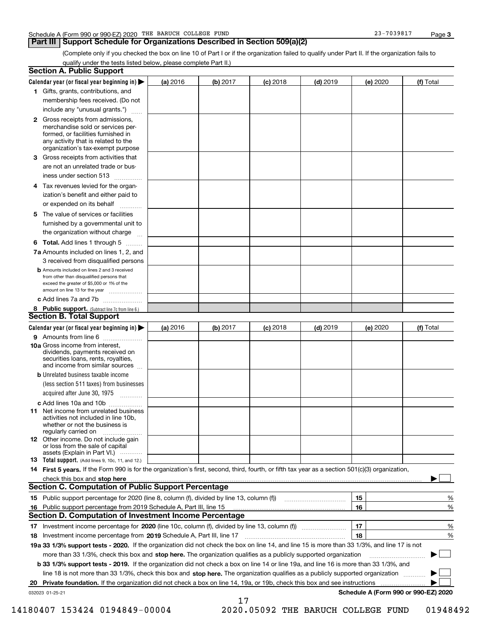### **Part III Support Schedule for Organizations Described in Section 509(a)(2)**

**3**

(Complete only if you checked the box on line 10 of Part I or if the organization failed to qualify under Part II. If the organization fails to qualify under the tests listed below, please complete Part II.)

|     | <b>Section A. Public Support</b>                                                                                                                                                                                              |          |          |            |            |          |                                      |
|-----|-------------------------------------------------------------------------------------------------------------------------------------------------------------------------------------------------------------------------------|----------|----------|------------|------------|----------|--------------------------------------|
|     | Calendar year (or fiscal year beginning in) $\blacktriangleright$                                                                                                                                                             | (a) 2016 | (b) 2017 | $(c)$ 2018 | $(d)$ 2019 | (e) 2020 | (f) Total                            |
|     | 1 Gifts, grants, contributions, and                                                                                                                                                                                           |          |          |            |            |          |                                      |
|     | membership fees received. (Do not                                                                                                                                                                                             |          |          |            |            |          |                                      |
|     | include any "unusual grants.")                                                                                                                                                                                                |          |          |            |            |          |                                      |
|     | <b>2</b> Gross receipts from admissions,<br>merchandise sold or services per-<br>formed, or facilities furnished in<br>any activity that is related to the<br>organization's tax-exempt purpose                               |          |          |            |            |          |                                      |
|     | 3 Gross receipts from activities that<br>are not an unrelated trade or bus-<br>iness under section 513                                                                                                                        |          |          |            |            |          |                                      |
|     | 4 Tax revenues levied for the organ-<br>ization's benefit and either paid to<br>or expended on its behalf                                                                                                                     |          |          |            |            |          |                                      |
|     | .<br>5 The value of services or facilities<br>furnished by a governmental unit to<br>the organization without charge                                                                                                          |          |          |            |            |          |                                      |
|     | <b>6 Total.</b> Add lines 1 through 5 $\dots$                                                                                                                                                                                 |          |          |            |            |          |                                      |
|     | 7a Amounts included on lines 1, 2, and<br>3 received from disqualified persons                                                                                                                                                |          |          |            |            |          |                                      |
|     | <b>b</b> Amounts included on lines 2 and 3 received<br>from other than disqualified persons that<br>exceed the greater of \$5,000 or 1% of the<br>amount on line 13 for the year                                              |          |          |            |            |          |                                      |
|     | c Add lines 7a and 7b                                                                                                                                                                                                         |          |          |            |            |          |                                      |
|     | 8 Public support. (Subtract line 7c from line 6.)<br><b>Section B. Total Support</b>                                                                                                                                          |          |          |            |            |          |                                      |
|     | Calendar year (or fiscal year beginning in)                                                                                                                                                                                   | (a) 2016 | (b) 2017 | $(c)$ 2018 | $(d)$ 2019 | (e) 2020 | (f) Total                            |
|     | 9 Amounts from line 6                                                                                                                                                                                                         |          |          |            |            |          |                                      |
|     | 10a Gross income from interest,<br>dividends, payments received on<br>securities loans, rents, royalties,<br>and income from similar sources                                                                                  |          |          |            |            |          |                                      |
|     | <b>b</b> Unrelated business taxable income<br>(less section 511 taxes) from businesses<br>acquired after June 30, 1975 [10001]                                                                                                |          |          |            |            |          |                                      |
|     | c Add lines 10a and 10b                                                                                                                                                                                                       |          |          |            |            |          |                                      |
|     | 11 Net income from unrelated business<br>activities not included in line 10b,<br>whether or not the business is<br>regularly carried on                                                                                       |          |          |            |            |          |                                      |
|     | 12 Other income. Do not include gain<br>or loss from the sale of capital<br>assets (Explain in Part VI.)                                                                                                                      |          |          |            |            |          |                                      |
|     | 13 Total support. (Add lines 9, 10c, 11, and 12.)                                                                                                                                                                             |          |          |            |            |          |                                      |
|     | 14 First 5 years. If the Form 990 is for the organization's first, second, third, fourth, or fifth tax year as a section 501(c)(3) organization,                                                                              |          |          |            |            |          |                                      |
|     | check this box and stop here manufactured content to the state of the state of the state of the state of the state of the state of the state of the state of the state of the state of the state of the state of the state of |          |          |            |            |          |                                      |
|     | <b>Section C. Computation of Public Support Percentage</b>                                                                                                                                                                    |          |          |            |            |          |                                      |
|     | 15 Public support percentage for 2020 (line 8, column (f), divided by line 13, column (f))                                                                                                                                    |          |          |            |            | 15       | %                                    |
| 16. | Public support percentage from 2019 Schedule A, Part III, line 15                                                                                                                                                             |          |          |            |            | 16       | %                                    |
|     | Section D. Computation of Investment Income Percentage                                                                                                                                                                        |          |          |            |            |          |                                      |
|     | 17 Investment income percentage for 2020 (line 10c, column (f), divided by line 13, column (f))                                                                                                                               |          |          |            |            | 17       | %                                    |
|     | 18 Investment income percentage from 2019 Schedule A, Part III, line 17                                                                                                                                                       |          |          |            |            | 18       | %                                    |
|     | 19a 33 1/3% support tests - 2020. If the organization did not check the box on line 14, and line 15 is more than 33 1/3%, and line 17 is not                                                                                  |          |          |            |            |          |                                      |
|     | more than 33 1/3%, check this box and stop here. The organization qualifies as a publicly supported organization                                                                                                              |          |          |            |            |          | $\sim$                               |
|     | b 33 1/3% support tests - 2019. If the organization did not check a box on line 14 or line 19a, and line 16 is more than 33 1/3%, and                                                                                         |          |          |            |            |          |                                      |
|     | line 18 is not more than 33 1/3%, check this box and stop here. The organization qualifies as a publicly supported organization                                                                                               |          |          |            |            |          |                                      |
| 20  | Private foundation. If the organization did not check a box on line 14, 19a, or 19b, check this box and see instructions                                                                                                      |          |          |            |            |          | Schedule A (Form 990 or 990-EZ) 2020 |
|     | 032023 01-25-21                                                                                                                                                                                                               |          | 17       |            |            |          |                                      |

14180407 153424 0194849-00004 2020.05092 THE BARUCH COLLEGE FUND 01948492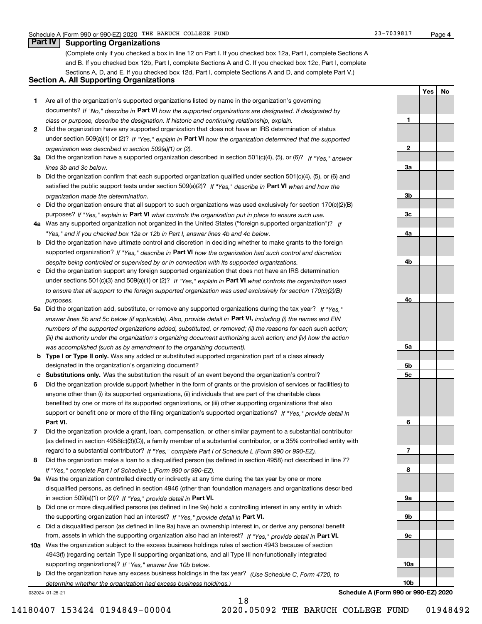**1**

**2**

**3a**

**3b**

**3c**

**4a**

**4b**

**4c**

**5a**

**5b5c**

**6**

**7**

**8**

**9a**

**9b**

**9c**

**10a**

**10b**

**YesNo**

### **Part IV Supporting Organizations**

(Complete only if you checked a box in line 12 on Part I. If you checked box 12a, Part I, complete Sections A and B. If you checked box 12b, Part I, complete Sections A and C. If you checked box 12c, Part I, complete Sections A, D, and E. If you checked box 12d, Part I, complete Sections A and D, and complete Part V.)

### **Section A. All Supporting Organizations**

- **1** Are all of the organization's supported organizations listed by name in the organization's governing documents? If "No," describe in **Part VI** how the supported organizations are designated. If designated by *class or purpose, describe the designation. If historic and continuing relationship, explain.*
- **2** Did the organization have any supported organization that does not have an IRS determination of status under section 509(a)(1) or (2)? If "Yes," explain in Part VI how the organization determined that the supported *organization was described in section 509(a)(1) or (2).*
- **3a** Did the organization have a supported organization described in section 501(c)(4), (5), or (6)? If "Yes," answer *lines 3b and 3c below.*
- **b** Did the organization confirm that each supported organization qualified under section 501(c)(4), (5), or (6) and satisfied the public support tests under section 509(a)(2)? If "Yes," describe in **Part VI** when and how the *organization made the determination.*
- **c**Did the organization ensure that all support to such organizations was used exclusively for section 170(c)(2)(B) purposes? If "Yes," explain in **Part VI** what controls the organization put in place to ensure such use.
- **4a***If* Was any supported organization not organized in the United States ("foreign supported organization")? *"Yes," and if you checked box 12a or 12b in Part I, answer lines 4b and 4c below.*
- **b** Did the organization have ultimate control and discretion in deciding whether to make grants to the foreign supported organization? If "Yes," describe in **Part VI** how the organization had such control and discretion *despite being controlled or supervised by or in connection with its supported organizations.*
- **c** Did the organization support any foreign supported organization that does not have an IRS determination under sections 501(c)(3) and 509(a)(1) or (2)? If "Yes," explain in **Part VI** what controls the organization used *to ensure that all support to the foreign supported organization was used exclusively for section 170(c)(2)(B) purposes.*
- **5a** Did the organization add, substitute, or remove any supported organizations during the tax year? If "Yes," answer lines 5b and 5c below (if applicable). Also, provide detail in **Part VI,** including (i) the names and EIN *numbers of the supported organizations added, substituted, or removed; (ii) the reasons for each such action; (iii) the authority under the organization's organizing document authorizing such action; and (iv) how the action was accomplished (such as by amendment to the organizing document).*
- **b** Type I or Type II only. Was any added or substituted supported organization part of a class already designated in the organization's organizing document?
- **cSubstitutions only.**  Was the substitution the result of an event beyond the organization's control?
- **6** Did the organization provide support (whether in the form of grants or the provision of services or facilities) to **Part VI.** *If "Yes," provide detail in* support or benefit one or more of the filing organization's supported organizations? anyone other than (i) its supported organizations, (ii) individuals that are part of the charitable class benefited by one or more of its supported organizations, or (iii) other supporting organizations that also
- **7**Did the organization provide a grant, loan, compensation, or other similar payment to a substantial contributor *If "Yes," complete Part I of Schedule L (Form 990 or 990-EZ).* regard to a substantial contributor? (as defined in section 4958(c)(3)(C)), a family member of a substantial contributor, or a 35% controlled entity with
- **8** Did the organization make a loan to a disqualified person (as defined in section 4958) not described in line 7? *If "Yes," complete Part I of Schedule L (Form 990 or 990-EZ).*
- **9a** Was the organization controlled directly or indirectly at any time during the tax year by one or more in section 509(a)(1) or (2))? If "Yes," *provide detail in* <code>Part VI.</code> disqualified persons, as defined in section 4946 (other than foundation managers and organizations described
- **b** Did one or more disqualified persons (as defined in line 9a) hold a controlling interest in any entity in which the supporting organization had an interest? If "Yes," provide detail in P**art VI**.
- **c**Did a disqualified person (as defined in line 9a) have an ownership interest in, or derive any personal benefit from, assets in which the supporting organization also had an interest? If "Yes," provide detail in P**art VI.**
- **10a** Was the organization subject to the excess business holdings rules of section 4943 because of section supporting organizations)? If "Yes," answer line 10b below. 4943(f) (regarding certain Type II supporting organizations, and all Type III non-functionally integrated
- **b** Did the organization have any excess business holdings in the tax year? (Use Schedule C, Form 4720, to *determine whether the organization had excess business holdings.)*

18

032024 01-25-21

**Schedule A (Form 990 or 990-EZ) 2020**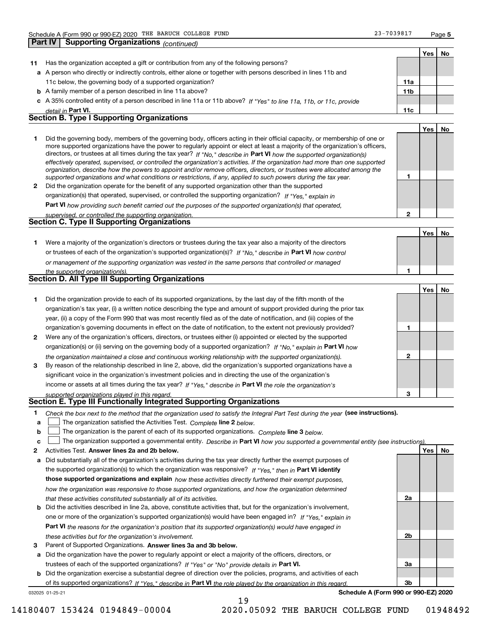**Part IV Supporting Organizations** *(continued)*

**2**

**Yes**

**No**

|    |                                                                                                                      |                 | Yes | No. |
|----|----------------------------------------------------------------------------------------------------------------------|-----------------|-----|-----|
| 11 | Has the organization accepted a gift or contribution from any of the following persons?                              |                 |     |     |
|    | a A person who directly or indirectly controls, either alone or together with persons described in lines 11b and     |                 |     |     |
|    | 11c below, the governing body of a supported organization?                                                           | 11a             |     |     |
|    | <b>b</b> A family member of a person described in line 11a above?                                                    | 11 <sub>b</sub> |     |     |
|    | c A 35% controlled entity of a person described in line 11a or 11b above? If "Yes" to line 11a, 11b, or 11c, provide |                 |     |     |
|    | detail in Part VI.                                                                                                   | 11c             |     |     |
|    | <b>Section B. Type I Supporting Organizations</b>                                                                    |                 |     |     |
|    |                                                                                                                      |                 | Yes | Νo  |
|    |                                                                                                                      |                 |     |     |

|   | Did the governing body, members of the governing body, officers acting in their official capacity, or membership of one or<br>more supported organizations have the power to regularly appoint or elect at least a majority of the organization's officers,<br>directors, or trustees at all times during the tax year? If "No," describe in Part VI how the supported organization(s)<br>effectively operated, supervised, or controlled the organization's activities. If the organization had more than one supported<br>organization, describe how the powers to appoint and/or remove officers, directors, or trustees were allocated among the |  |
|---|------------------------------------------------------------------------------------------------------------------------------------------------------------------------------------------------------------------------------------------------------------------------------------------------------------------------------------------------------------------------------------------------------------------------------------------------------------------------------------------------------------------------------------------------------------------------------------------------------------------------------------------------------|--|
|   | supported organizations and what conditions or restrictions, if any, applied to such powers during the tax year.                                                                                                                                                                                                                                                                                                                                                                                                                                                                                                                                     |  |
| 2 | Did the organization operate for the benefit of any supported organization other than the supported<br>$\mathbf{r}$ , and $\mathbf{r}$ , and $\mathbf{r}$ , and $\mathbf{r}$ , and $\mathbf{r}$ , and $\mathbf{r}$ , and $\mathbf{r}$ , and $\mathbf{r}$ , and $\mathbf{r}$                                                                                                                                                                                                                                                                                                                                                                          |  |

*If "Yes," explain in* organization(s) that operated, supervised, or controlled the supporting organization?

**Part VI**  *how providing such benefit carried out the purposes of the supported organization(s) that operated,*

| supervised, or controlled the supporting organization. |  |
|--------------------------------------------------------|--|
| <b>Section C. Type II Supporting Organizations</b>     |  |

**Yes No 1**or trustees of each of the organization's supported organization(s)? If "No," describe in **Part VI** how control **1***or management of the supporting organization was vested in the same persons that controlled or managed the supported organization(s).* Were a majority of the organization's directors or trustees during the tax year also a majority of the directors

| <b>Section D. All Type III Supporting Organizations</b> |  |
|---------------------------------------------------------|--|
|                                                         |  |

|                |                                                                                                                        |   | Yes INO |  |
|----------------|------------------------------------------------------------------------------------------------------------------------|---|---------|--|
|                | Did the organization provide to each of its supported organizations, by the last day of the fifth month of the         |   |         |  |
|                | organization's tax year, (i) a written notice describing the type and amount of support provided during the prior tax  |   |         |  |
|                | year, (ii) a copy of the Form 990 that was most recently filed as of the date of notification, and (iii) copies of the |   |         |  |
|                | organization's governing documents in effect on the date of notification, to the extent not previously provided?       |   |         |  |
| $\overline{2}$ | Were any of the organization's officers, directors, or trustees either (i) appointed or elected by the supported       |   |         |  |
|                | organization(s) or (ii) serving on the governing body of a supported organization? If "No," explain in Part VI how     |   |         |  |
|                | the organization maintained a close and continuous working relationship with the supported organization(s).            | 2 |         |  |
| 3              | By reason of the relationship described in line 2, above, did the organization's supported organizations have a        |   |         |  |
|                | significant voice in the organization's investment policies and in directing the use of the organization's             |   |         |  |
|                | income or assets at all times during the tax year? If "Yes," describe in Part VI the role the organization's           |   |         |  |
|                | supported organizations played in this regard.                                                                         | з |         |  |

# *supported organizations played in this regard.* **Section E. Type III Functionally Integrated Supporting Organizations**

|  | Check the box next to the method that the organization used to satisfy the Integral Part Test during the year (see instructions). |  |  |  |
|--|-----------------------------------------------------------------------------------------------------------------------------------|--|--|--|
|--|-----------------------------------------------------------------------------------------------------------------------------------|--|--|--|

- **a**The organization satisfied the Activities Test. *Complete* line 2 below.  $\mathcal{L}^{\text{max}}$
- **b**The organization is the parent of each of its supported organizations. *Complete* line 3 *below.*  $\mathcal{L}^{\text{max}}$

|  | $\mathbf{c}$ The organization supported a governmental entity. Describe in Part VI how you supported a governmental entity (see instructions). |  |  |  |  |
|--|------------------------------------------------------------------------------------------------------------------------------------------------|--|--|--|--|
|--|------------------------------------------------------------------------------------------------------------------------------------------------|--|--|--|--|

19

- **2Answer lines 2a and 2b below. Yes No** Activities Test.
- **a** Did substantially all of the organization's activities during the tax year directly further the exempt purposes of the supported organization(s) to which the organization was responsive? If "Yes," then in **Part VI identify those supported organizations and explain**  *how these activities directly furthered their exempt purposes, how the organization was responsive to those supported organizations, and how the organization determined that these activities constituted substantially all of its activities.*
- **b** Did the activities described in line 2a, above, constitute activities that, but for the organization's involvement, **Part VI**  *the reasons for the organization's position that its supported organization(s) would have engaged in* one or more of the organization's supported organization(s) would have been engaged in? If "Yes," e*xplain in these activities but for the organization's involvement.*
- **3**Parent of Supported Organizations. Answer lines 3a and 3b below.

**a** Did the organization have the power to regularly appoint or elect a majority of the officers, directors, or trustees of each of the supported organizations? If "Yes" or "No" provide details in **Part VI.** 

**b** Did the organization exercise a substantial degree of direction over the policies, programs, and activities of each of its supported organizations? If "Yes," describe in Part VI the role played by the organization in this regard.

032025 01-25-21

**Schedule A (Form 990 or 990-EZ) 2020**

**2a**

**2b**

**3a**

**3b**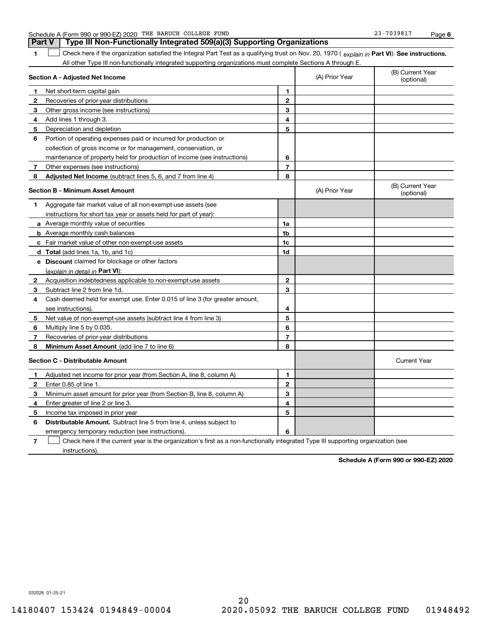| 1            | Check here if the organization satisfied the Integral Part Test as a qualifying trust on Nov. 20, 1970 (explain in Part VI). See instructions.<br>All other Type III non-functionally integrated supporting organizations must complete Sections A through E. |                |                |                                |
|--------------|---------------------------------------------------------------------------------------------------------------------------------------------------------------------------------------------------------------------------------------------------------------|----------------|----------------|--------------------------------|
|              | Section A - Adjusted Net Income                                                                                                                                                                                                                               |                | (A) Prior Year | (B) Current Year<br>(optional) |
| $\mathbf 1$  | Net short-term capital gain                                                                                                                                                                                                                                   | 1              |                |                                |
| 2            | Recoveries of prior-year distributions                                                                                                                                                                                                                        | $\mathbf{2}$   |                |                                |
| 3            | Other gross income (see instructions)                                                                                                                                                                                                                         | 3              |                |                                |
| 4            | Add lines 1 through 3.                                                                                                                                                                                                                                        | 4              |                |                                |
| 5            | Depreciation and depletion                                                                                                                                                                                                                                    | 5              |                |                                |
| 6            | Portion of operating expenses paid or incurred for production or                                                                                                                                                                                              |                |                |                                |
|              | collection of gross income or for management, conservation, or                                                                                                                                                                                                |                |                |                                |
|              | maintenance of property held for production of income (see instructions)                                                                                                                                                                                      | 6              |                |                                |
| $\mathbf{7}$ | Other expenses (see instructions)                                                                                                                                                                                                                             | $\overline{7}$ |                |                                |
| 8            | <b>Adjusted Net Income</b> (subtract lines 5, 6, and 7 from line 4)                                                                                                                                                                                           | 8              |                |                                |
|              | <b>Section B - Minimum Asset Amount</b>                                                                                                                                                                                                                       |                | (A) Prior Year | (B) Current Year<br>(optional) |
| 1            | Aggregate fair market value of all non-exempt-use assets (see                                                                                                                                                                                                 |                |                |                                |
|              | instructions for short tax year or assets held for part of year):                                                                                                                                                                                             |                |                |                                |
|              | a Average monthly value of securities                                                                                                                                                                                                                         | 1a             |                |                                |
|              | <b>b</b> Average monthly cash balances                                                                                                                                                                                                                        | 1b             |                |                                |
|              | c Fair market value of other non-exempt-use assets                                                                                                                                                                                                            | 1c             |                |                                |
|              | <b>d</b> Total (add lines 1a, 1b, and 1c)                                                                                                                                                                                                                     | 1d             |                |                                |
|              | e Discount claimed for blockage or other factors                                                                                                                                                                                                              |                |                |                                |
|              | (explain in detail in Part VI):                                                                                                                                                                                                                               |                |                |                                |
| $\mathbf{2}$ | Acquisition indebtedness applicable to non-exempt-use assets                                                                                                                                                                                                  | $\mathbf{2}$   |                |                                |
| 3            | Subtract line 2 from line 1d.                                                                                                                                                                                                                                 | 3              |                |                                |
| 4            | Cash deemed held for exempt use. Enter 0.015 of line 3 (for greater amount,                                                                                                                                                                                   |                |                |                                |
|              | see instructions)                                                                                                                                                                                                                                             | 4              |                |                                |
| 5            | Net value of non-exempt-use assets (subtract line 4 from line 3)                                                                                                                                                                                              | 5              |                |                                |
| 6            | Multiply line 5 by 0.035.                                                                                                                                                                                                                                     | 6              |                |                                |
| 7            | Recoveries of prior-year distributions                                                                                                                                                                                                                        | $\overline{7}$ |                |                                |
| 8            | Minimum Asset Amount (add line 7 to line 6)                                                                                                                                                                                                                   | 8              |                |                                |
|              | <b>Section C - Distributable Amount</b>                                                                                                                                                                                                                       |                |                | <b>Current Year</b>            |
| 1            | Adjusted net income for prior year (from Section A, line 8, column A)                                                                                                                                                                                         | 1              |                |                                |
| $\mathbf{2}$ | Enter 0.85 of line 1.                                                                                                                                                                                                                                         | $\overline{2}$ |                |                                |
| 3            | Minimum asset amount for prior year (from Section B, line 8, column A)                                                                                                                                                                                        | 3              |                |                                |
| 4            | Enter greater of line 2 or line 3.                                                                                                                                                                                                                            | 4              |                |                                |
| 5            | Income tax imposed in prior year                                                                                                                                                                                                                              | 5              |                |                                |
| 6            | <b>Distributable Amount.</b> Subtract line 5 from line 4, unless subject to                                                                                                                                                                                   |                |                |                                |
|              | emergency temporary reduction (see instructions).                                                                                                                                                                                                             | 6              |                |                                |

Schedule A (Form 990 or 990-EZ) 2020 Page THE BARUCH COLLEGE FUND 23-7039817

**Part V Type III Non-Functionally Integrated 509(a)(3) Supporting Organizations** 

**7**Check here if the current year is the organization's first as a non-functionally integrated Type III supporting organization (see instructions).

**Schedule A (Form 990 or 990-EZ) 2020**

**6**

032026 01-25-21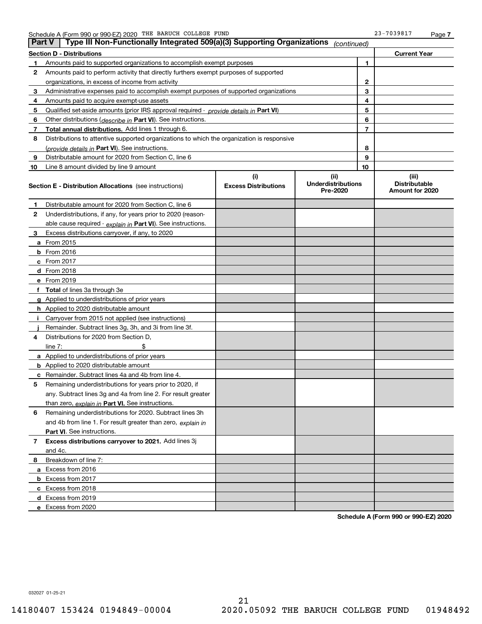| <b>Part V</b> | Type III Non-Functionally Integrated 509(a)(3) Supporting Organizations                    |                                    | (continued)                                   |    |                                                  |
|---------------|--------------------------------------------------------------------------------------------|------------------------------------|-----------------------------------------------|----|--------------------------------------------------|
|               | <b>Section D - Distributions</b>                                                           |                                    |                                               |    | <b>Current Year</b>                              |
| 1             | Amounts paid to supported organizations to accomplish exempt purposes                      |                                    | 1                                             |    |                                                  |
| 2             | Amounts paid to perform activity that directly furthers exempt purposes of supported       |                                    |                                               |    |                                                  |
|               | organizations, in excess of income from activity                                           |                                    | $\mathbf{2}$                                  |    |                                                  |
| 3             | Administrative expenses paid to accomplish exempt purposes of supported organizations      |                                    |                                               | 3  |                                                  |
| 4             | Amounts paid to acquire exempt-use assets                                                  |                                    |                                               | 4  |                                                  |
| 5             | Qualified set-aside amounts (prior IRS approval required - provide details in Part VI)     |                                    |                                               | 5  |                                                  |
| 6             | Other distributions ( <i>describe in</i> Part VI). See instructions.                       |                                    |                                               | 6  |                                                  |
| 7             | Total annual distributions. Add lines 1 through 6.                                         |                                    |                                               | 7  |                                                  |
| 8             | Distributions to attentive supported organizations to which the organization is responsive |                                    |                                               |    |                                                  |
|               | (provide details in Part VI). See instructions.                                            |                                    |                                               | 8  |                                                  |
| 9             | Distributable amount for 2020 from Section C, line 6                                       |                                    |                                               | 9  |                                                  |
| 10            | Line 8 amount divided by line 9 amount                                                     |                                    |                                               | 10 |                                                  |
|               | <b>Section E - Distribution Allocations</b> (see instructions)                             | (i)<br><b>Excess Distributions</b> | (ii)<br><b>Underdistributions</b><br>Pre-2020 |    | (iii)<br><b>Distributable</b><br>Amount for 2020 |
| 1             | Distributable amount for 2020 from Section C, line 6                                       |                                    |                                               |    |                                                  |
| 2             | Underdistributions, if any, for years prior to 2020 (reason-                               |                                    |                                               |    |                                                  |
|               | able cause required - explain in Part VI). See instructions.                               |                                    |                                               |    |                                                  |
| 3             | Excess distributions carryover, if any, to 2020                                            |                                    |                                               |    |                                                  |
|               | a From 2015                                                                                |                                    |                                               |    |                                                  |
|               | <b>b</b> From 2016                                                                         |                                    |                                               |    |                                                  |
|               | $c$ From 2017                                                                              |                                    |                                               |    |                                                  |
|               | d From 2018                                                                                |                                    |                                               |    |                                                  |
|               | e From 2019                                                                                |                                    |                                               |    |                                                  |
|               | f Total of lines 3a through 3e                                                             |                                    |                                               |    |                                                  |
|               | g Applied to underdistributions of prior years                                             |                                    |                                               |    |                                                  |
|               | <b>h</b> Applied to 2020 distributable amount                                              |                                    |                                               |    |                                                  |
|               | Carryover from 2015 not applied (see instructions)                                         |                                    |                                               |    |                                                  |
|               | Remainder. Subtract lines 3g, 3h, and 3i from line 3f.                                     |                                    |                                               |    |                                                  |
| 4             | Distributions for 2020 from Section D,                                                     |                                    |                                               |    |                                                  |
|               | line $7:$                                                                                  |                                    |                                               |    |                                                  |
|               | a Applied to underdistributions of prior years                                             |                                    |                                               |    |                                                  |
|               | <b>b</b> Applied to 2020 distributable amount                                              |                                    |                                               |    |                                                  |
|               | c Remainder. Subtract lines 4a and 4b from line 4.                                         |                                    |                                               |    |                                                  |
| 5.            | Remaining underdistributions for years prior to 2020, if                                   |                                    |                                               |    |                                                  |
|               | any. Subtract lines 3g and 4a from line 2. For result greater                              |                                    |                                               |    |                                                  |
|               | than zero, explain in Part VI. See instructions.                                           |                                    |                                               |    |                                                  |
| 6             | Remaining underdistributions for 2020. Subtract lines 3h                                   |                                    |                                               |    |                                                  |
|               | and 4b from line 1. For result greater than zero, explain in                               |                                    |                                               |    |                                                  |
|               | Part VI. See instructions.                                                                 |                                    |                                               |    |                                                  |
| 7             | Excess distributions carryover to 2021. Add lines 3j                                       |                                    |                                               |    |                                                  |
|               | and 4c.                                                                                    |                                    |                                               |    |                                                  |
| 8             | Breakdown of line 7:                                                                       |                                    |                                               |    |                                                  |
|               | a Excess from 2016                                                                         |                                    |                                               |    |                                                  |
|               | <b>b</b> Excess from 2017                                                                  |                                    |                                               |    |                                                  |
|               | c Excess from 2018                                                                         |                                    |                                               |    |                                                  |
|               | d Excess from 2019                                                                         |                                    |                                               |    |                                                  |
|               | e Excess from 2020                                                                         |                                    |                                               |    |                                                  |

**Schedule A (Form 990 or 990-EZ) 2020**

032027 01-25-21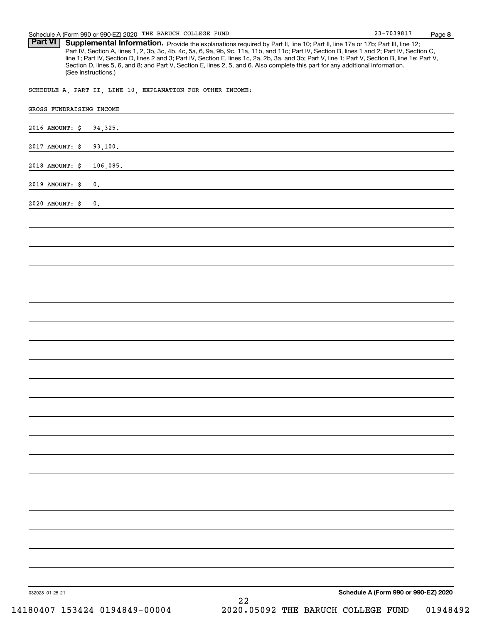Part VI | Supplemental Information. Provide the explanations required by Part II, line 10; Part II, line 17a or 17b; Part III, line 12; Part IV, Section A, lines 1, 2, 3b, 3c, 4b, 4c, 5a, 6, 9a, 9b, 9c, 11a, 11b, and 11c; Part IV, Section B, lines 1 and 2; Part IV, Section C, line 1; Part IV, Section D, lines 2 and 3; Part IV, Section E, lines 1c, 2a, 2b, 3a, and 3b; Part V, line 1; Part V, Section B, line 1e; Part V, Section D, lines 5, 6, and 8; and Part V, Section E, lines 2, 5, and 6. Also complete this part for any additional information. (See instructions.)

SCHEDULE A, PART II, LINE 10, EXPLANATION FOR OTHER INCOME:

| 2016 AMOUNT: \$<br>94, 325. |                                      |
|-----------------------------|--------------------------------------|
| 2017 AMOUNT: \$<br>93,100.  |                                      |
|                             |                                      |
| 2018 AMOUNT: \$<br>106,085. |                                      |
| 2019 AMOUNT: \$<br>$0$ .    |                                      |
| 2020 AMOUNT: \$<br>$0$ .    |                                      |
|                             |                                      |
|                             |                                      |
|                             |                                      |
|                             |                                      |
|                             |                                      |
|                             |                                      |
|                             |                                      |
|                             |                                      |
|                             |                                      |
|                             |                                      |
|                             |                                      |
|                             |                                      |
|                             |                                      |
|                             |                                      |
|                             |                                      |
|                             |                                      |
|                             |                                      |
|                             |                                      |
|                             |                                      |
|                             |                                      |
|                             |                                      |
|                             |                                      |
|                             |                                      |
|                             |                                      |
| 032028 01-25-21             | Schedule A (Form 990 or 990-EZ) 2020 |

23-7039817

**8**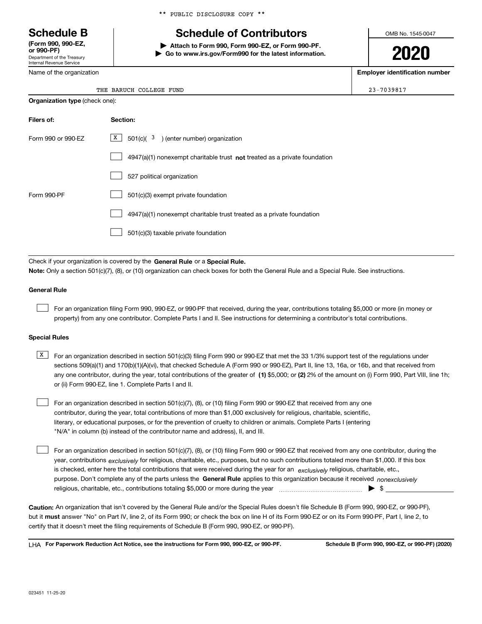Department of the Treasury Internal Revenue Service **(Form 990, 990-EZ, or 990-PF)**

Name of the organization

\*\* PUBLIC DISCLOSURE COPY \*\*

# **Schedule B Schedule of Contributors**

**| Attach to Form 990, Form 990-EZ, or Form 990-PF. | Go to www.irs.gov/Form990 for the latest information.** OMB No. 1545-0047

**2020**

**Employer identification number**

 $23 - 7039817$ 

|  | THE BARUCH COLLEGE FUND |  |
|--|-------------------------|--|

| <b>Organization type (check one):</b> |                                                                                    |  |  |  |
|---------------------------------------|------------------------------------------------------------------------------------|--|--|--|
| Filers of:                            | Section:                                                                           |  |  |  |
| Form 990 or 990-EZ                    | $\boxed{\text{X}}$ 501(c)( 3) (enter number) organization                          |  |  |  |
|                                       | $4947(a)(1)$ nonexempt charitable trust <b>not</b> treated as a private foundation |  |  |  |
|                                       | 527 political organization                                                         |  |  |  |
| Form 990-PF                           | 501(c)(3) exempt private foundation                                                |  |  |  |
|                                       | 4947(a)(1) nonexempt charitable trust treated as a private foundation              |  |  |  |
|                                       | 501(c)(3) taxable private foundation                                               |  |  |  |

Check if your organization is covered by the **General Rule** or a **Special Rule. Note:**  Only a section 501(c)(7), (8), or (10) organization can check boxes for both the General Rule and a Special Rule. See instructions.

### **General Rule**

 $\mathcal{L}^{\text{max}}$ 

For an organization filing Form 990, 990-EZ, or 990-PF that received, during the year, contributions totaling \$5,000 or more (in money or property) from any one contributor. Complete Parts I and II. See instructions for determining a contributor's total contributions.

### **Special Rules**

any one contributor, during the year, total contributions of the greater of  $\,$  (1) \$5,000; or **(2)** 2% of the amount on (i) Form 990, Part VIII, line 1h;  $\overline{X}$  For an organization described in section 501(c)(3) filing Form 990 or 990-EZ that met the 33 1/3% support test of the regulations under sections 509(a)(1) and 170(b)(1)(A)(vi), that checked Schedule A (Form 990 or 990-EZ), Part II, line 13, 16a, or 16b, and that received from or (ii) Form 990-EZ, line 1. Complete Parts I and II.

For an organization described in section 501(c)(7), (8), or (10) filing Form 990 or 990-EZ that received from any one contributor, during the year, total contributions of more than \$1,000 exclusively for religious, charitable, scientific, literary, or educational purposes, or for the prevention of cruelty to children or animals. Complete Parts I (entering "N/A" in column (b) instead of the contributor name and address), II, and III.  $\mathcal{L}^{\text{max}}$ 

purpose. Don't complete any of the parts unless the **General Rule** applies to this organization because it received *nonexclusively* year, contributions <sub>exclusively</sub> for religious, charitable, etc., purposes, but no such contributions totaled more than \$1,000. If this box is checked, enter here the total contributions that were received during the year for an *exclusively* religious, charitable, etc., For an organization described in section 501(c)(7), (8), or (10) filing Form 990 or 990-EZ that received from any one contributor, during the religious, charitable, etc., contributions totaling \$5,000 or more during the year  $\Box$ — $\Box$   $\Box$  $\mathcal{L}^{\text{max}}$ 

**Caution:**  An organization that isn't covered by the General Rule and/or the Special Rules doesn't file Schedule B (Form 990, 990-EZ, or 990-PF),  **must** but it answer "No" on Part IV, line 2, of its Form 990; or check the box on line H of its Form 990-EZ or on its Form 990-PF, Part I, line 2, to certify that it doesn't meet the filing requirements of Schedule B (Form 990, 990-EZ, or 990-PF).

**For Paperwork Reduction Act Notice, see the instructions for Form 990, 990-EZ, or 990-PF. Schedule B (Form 990, 990-EZ, or 990-PF) (2020)** LHA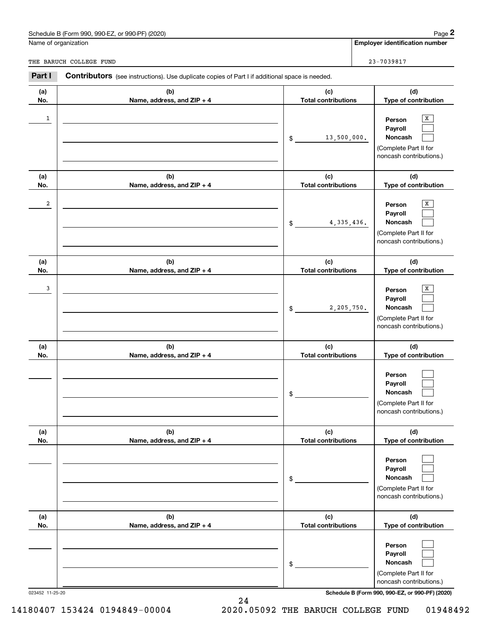### Schedule B (Form 990, 990-EZ, or 990-PF) (2020) Page 2

|                         | Schedule B (Form 990, 990-EZ, or 990-PF) (2020)                                                       |                                   | Page 2                                                                                |
|-------------------------|-------------------------------------------------------------------------------------------------------|-----------------------------------|---------------------------------------------------------------------------------------|
|                         | Name of organization                                                                                  |                                   | <b>Employer identification number</b>                                                 |
|                         | THE BARUCH COLLEGE FUND                                                                               |                                   | 23-7039817                                                                            |
| Part I                  | <b>Contributors</b> (see instructions). Use duplicate copies of Part I if additional space is needed. |                                   |                                                                                       |
| (a)<br>No.              | (b)<br>Name, address, and ZIP + 4                                                                     | (c)<br><b>Total contributions</b> | (d)<br>Type of contribution                                                           |
| $\mathbf{1}$            |                                                                                                       | 13,500,000.<br>\$                 | х<br>Person<br>Payroll<br>Noncash<br>(Complete Part II for<br>noncash contributions.) |
| (a)<br>No.              | (b)<br>Name, address, and ZIP + 4                                                                     | (c)<br><b>Total contributions</b> | (d)<br>Type of contribution                                                           |
| $\overline{\mathbf{c}}$ |                                                                                                       | 4, 335, 436.<br>\$                | х<br>Person<br>Payroll<br>Noncash<br>(Complete Part II for<br>noncash contributions.) |
| (a)<br>No.              | (b)<br>Name, address, and ZIP + 4                                                                     | (c)<br><b>Total contributions</b> | (d)<br>Type of contribution                                                           |
| 3                       |                                                                                                       | 2,205,750.<br>\$                  | х<br>Person<br>Payroll<br>Noncash<br>(Complete Part II for<br>noncash contributions.) |
| (a)<br>No.              | (b)<br>Name, address, and ZIP + 4                                                                     | (c)<br><b>Total contributions</b> | (d)<br>Type of contribution                                                           |
|                         |                                                                                                       | \$                                | Person<br>Payroll<br>Noncash<br>(Complete Part II for<br>noncash contributions.)      |
| (a)<br>No.              | (b)<br>Name, address, and ZIP + 4                                                                     | (c)<br><b>Total contributions</b> | (d)<br>Type of contribution                                                           |
|                         |                                                                                                       | \$                                | Person<br>Payroll<br>Noncash<br>(Complete Part II for<br>noncash contributions.)      |
| (a)<br>No.              | (b)<br>Name, address, and ZIP + 4                                                                     | (c)<br><b>Total contributions</b> | (d)<br>Type of contribution                                                           |
|                         |                                                                                                       | \$                                | Person<br>Payroll<br>Noncash<br>(Complete Part II for<br>noncash contributions.)      |

023452 11-25-20 **Schedule B (Form 990, 990-EZ, or 990-PF) (2020)**

14180407 153424 0194849-00004 2020.05092 THE BARUCH COLLEGE FUND 01948492

24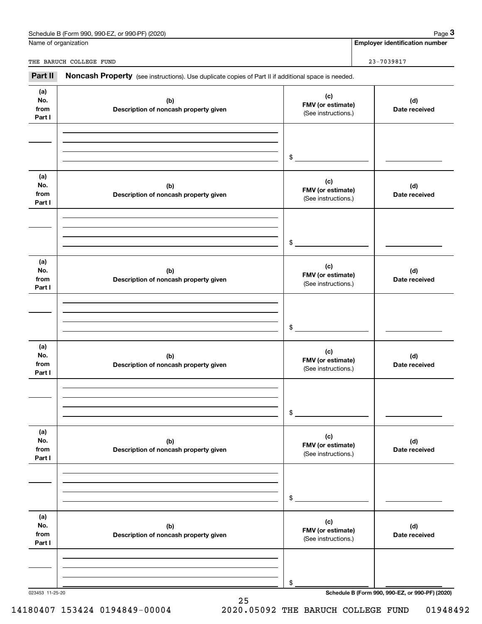| (2020)<br>Schedule<br>---<br>or 990-PF<br>990-F<br>990<br>$-2$<br>в (t<br>. | 12000<br>aue |
|-----------------------------------------------------------------------------|--------------|
|                                                                             |              |

Name of organization

**Employer identification number**

THE BARUCH COLLEGE FUND **23-7039817** 

023453 11-25-20 **Schedule B (Form 990, 990-EZ, or 990-PF) (2020) (a) No.fromPart I (c) FMV (or estimate) (b) Description of noncash property given (d) Date received (a)No.fromPart I (c) FMV (or estimate) (b) Description of noncash property given (d) Date received (a)No.fromPart I (c) FMV (or estimate) (b) Description of noncash property given (d) Date received (a) No.fromPart I (c) FMV (or estimate) (b) Description of noncash property given (d) Date received (a) No.fromPart I (c) FMV (or estimate) (b) Description of noncash property given (d) Date received (a) No.fromPart I (c)FMV (or estimate) (b)Description of noncash property given (d)Date received** Noncash Property (see instructions). Use duplicate copies of Part II if additional space is needed. (See instructions.) \$(See instructions.) \$(See instructions.) \$(See instructions.) \$(See instructions.) \$(See instructions.) \$Chedule B (Form 990, 990-EZ, or 990-PF) (2020)<br> **23-Part II Additional Space 3**<br> **23-P039817**<br> **23-P039817**<br> **23-P039817** 

25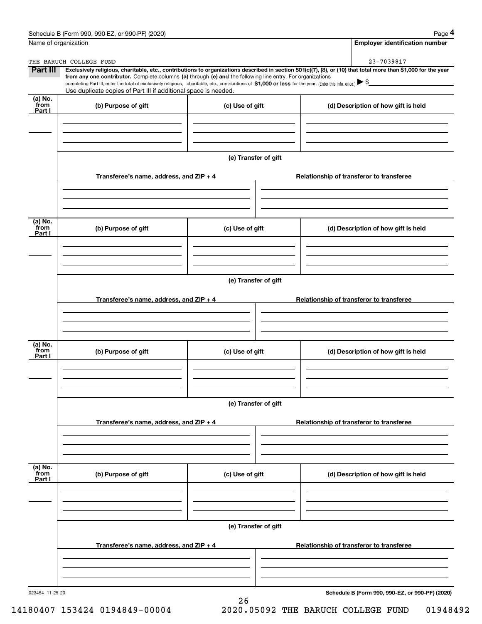|                           | Schedule B (Form 990, 990-EZ, or 990-PF) (2020)                                                                                                                                                                                                                                                 |                      | Page 4                                                                                                                                                         |  |  |  |
|---------------------------|-------------------------------------------------------------------------------------------------------------------------------------------------------------------------------------------------------------------------------------------------------------------------------------------------|----------------------|----------------------------------------------------------------------------------------------------------------------------------------------------------------|--|--|--|
| Name of organization      |                                                                                                                                                                                                                                                                                                 |                      | <b>Employer identification number</b>                                                                                                                          |  |  |  |
|                           | THE BARUCH COLLEGE FUND                                                                                                                                                                                                                                                                         |                      | 23-7039817                                                                                                                                                     |  |  |  |
| Part III                  |                                                                                                                                                                                                                                                                                                 |                      | Exclusively religious, charitable, etc., contributions to organizations described in section 501(c)(7), (8), or (10) that total more than \$1,000 for the year |  |  |  |
|                           | from any one contributor. Complete columns (a) through (e) and the following line entry. For organizations<br>completing Part III, enter the total of exclusively religious, charitable, etc., contributions of \$1,000 or less for the year. (Enter this info. once.) $\blacktriangleright$ \$ |                      |                                                                                                                                                                |  |  |  |
|                           | Use duplicate copies of Part III if additional space is needed.                                                                                                                                                                                                                                 |                      |                                                                                                                                                                |  |  |  |
| (a) No.<br>from<br>Part I | (b) Purpose of gift                                                                                                                                                                                                                                                                             | (c) Use of gift      | (d) Description of how gift is held                                                                                                                            |  |  |  |
|                           |                                                                                                                                                                                                                                                                                                 |                      |                                                                                                                                                                |  |  |  |
|                           |                                                                                                                                                                                                                                                                                                 |                      |                                                                                                                                                                |  |  |  |
|                           |                                                                                                                                                                                                                                                                                                 |                      |                                                                                                                                                                |  |  |  |
|                           |                                                                                                                                                                                                                                                                                                 |                      |                                                                                                                                                                |  |  |  |
|                           |                                                                                                                                                                                                                                                                                                 | (e) Transfer of gift |                                                                                                                                                                |  |  |  |
|                           |                                                                                                                                                                                                                                                                                                 |                      |                                                                                                                                                                |  |  |  |
|                           | Transferee's name, address, and ZIP + 4                                                                                                                                                                                                                                                         |                      | Relationship of transferor to transferee                                                                                                                       |  |  |  |
|                           |                                                                                                                                                                                                                                                                                                 |                      |                                                                                                                                                                |  |  |  |
|                           |                                                                                                                                                                                                                                                                                                 |                      |                                                                                                                                                                |  |  |  |
|                           |                                                                                                                                                                                                                                                                                                 |                      |                                                                                                                                                                |  |  |  |
| (a) No.<br>from           | (b) Purpose of gift                                                                                                                                                                                                                                                                             | (c) Use of gift      | (d) Description of how gift is held                                                                                                                            |  |  |  |
| Part I                    |                                                                                                                                                                                                                                                                                                 |                      |                                                                                                                                                                |  |  |  |
|                           |                                                                                                                                                                                                                                                                                                 |                      |                                                                                                                                                                |  |  |  |
|                           |                                                                                                                                                                                                                                                                                                 |                      |                                                                                                                                                                |  |  |  |
|                           |                                                                                                                                                                                                                                                                                                 |                      |                                                                                                                                                                |  |  |  |
|                           |                                                                                                                                                                                                                                                                                                 | (e) Transfer of gift |                                                                                                                                                                |  |  |  |
|                           |                                                                                                                                                                                                                                                                                                 |                      |                                                                                                                                                                |  |  |  |
|                           | Transferee's name, address, and ZIP + 4                                                                                                                                                                                                                                                         |                      | Relationship of transferor to transferee                                                                                                                       |  |  |  |
|                           |                                                                                                                                                                                                                                                                                                 |                      |                                                                                                                                                                |  |  |  |
|                           |                                                                                                                                                                                                                                                                                                 |                      |                                                                                                                                                                |  |  |  |
|                           |                                                                                                                                                                                                                                                                                                 |                      |                                                                                                                                                                |  |  |  |
| (a) No.<br>from           |                                                                                                                                                                                                                                                                                                 |                      |                                                                                                                                                                |  |  |  |
| Part I                    | (b) Purpose of gift                                                                                                                                                                                                                                                                             | (c) Use of gift      | (d) Description of how gift is held                                                                                                                            |  |  |  |
|                           |                                                                                                                                                                                                                                                                                                 |                      |                                                                                                                                                                |  |  |  |
|                           |                                                                                                                                                                                                                                                                                                 |                      |                                                                                                                                                                |  |  |  |
|                           |                                                                                                                                                                                                                                                                                                 |                      |                                                                                                                                                                |  |  |  |
|                           |                                                                                                                                                                                                                                                                                                 |                      |                                                                                                                                                                |  |  |  |
|                           |                                                                                                                                                                                                                                                                                                 | (e) Transfer of gift |                                                                                                                                                                |  |  |  |
|                           | Transferee's name, address, and $ZIP + 4$                                                                                                                                                                                                                                                       |                      | Relationship of transferor to transferee                                                                                                                       |  |  |  |
|                           |                                                                                                                                                                                                                                                                                                 |                      |                                                                                                                                                                |  |  |  |
|                           |                                                                                                                                                                                                                                                                                                 |                      |                                                                                                                                                                |  |  |  |
|                           |                                                                                                                                                                                                                                                                                                 |                      |                                                                                                                                                                |  |  |  |
|                           |                                                                                                                                                                                                                                                                                                 |                      |                                                                                                                                                                |  |  |  |
| (a) No.<br>from           | (b) Purpose of gift                                                                                                                                                                                                                                                                             | (c) Use of gift      | (d) Description of how gift is held                                                                                                                            |  |  |  |
| Part I                    |                                                                                                                                                                                                                                                                                                 |                      |                                                                                                                                                                |  |  |  |
|                           |                                                                                                                                                                                                                                                                                                 |                      |                                                                                                                                                                |  |  |  |
|                           |                                                                                                                                                                                                                                                                                                 |                      |                                                                                                                                                                |  |  |  |
|                           |                                                                                                                                                                                                                                                                                                 |                      |                                                                                                                                                                |  |  |  |
|                           | (e) Transfer of gift                                                                                                                                                                                                                                                                            |                      |                                                                                                                                                                |  |  |  |
|                           |                                                                                                                                                                                                                                                                                                 |                      |                                                                                                                                                                |  |  |  |
|                           | Transferee's name, address, and $ZIP + 4$                                                                                                                                                                                                                                                       |                      | Relationship of transferor to transferee                                                                                                                       |  |  |  |
|                           |                                                                                                                                                                                                                                                                                                 |                      |                                                                                                                                                                |  |  |  |
|                           |                                                                                                                                                                                                                                                                                                 |                      |                                                                                                                                                                |  |  |  |
|                           |                                                                                                                                                                                                                                                                                                 |                      |                                                                                                                                                                |  |  |  |
|                           |                                                                                                                                                                                                                                                                                                 |                      |                                                                                                                                                                |  |  |  |

26

023454 11-25-20

**Schedule B (Form 990, 990-EZ, or 990-PF) (2020)**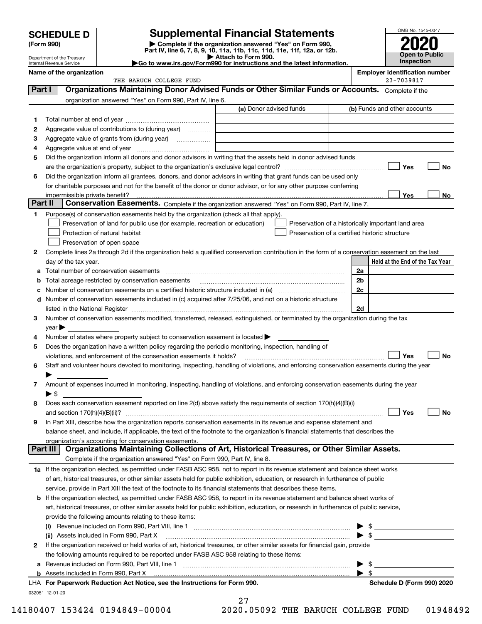| <b>SCHEDULE D</b> |  |
|-------------------|--|
|-------------------|--|

Department of the Treasury

| (Form 990) |
|------------|
|            |

# **SCHEDULE D Supplemental Financial Statements**

(Form 990)<br>
Pepartment of the Treasury<br>
Department of the Treasury<br>
Department of the Treasury<br>
Department of the Treasury<br> **Co to www.irs.gov/Form990 for instructions and the latest information.**<br> **Co to www.irs.gov/Form9** 



| Internal Revenue Service |  |
|--------------------------|--|
| Name of the organizatio  |  |

**Name of the organization Employer identification number**

|         | וזמוווס טו נווס טו שמווובמנוטוו<br>THE BARUCH COLLEGE FUND                                                                                     |                         | Employer luentification number<br>23-7039817       |           |
|---------|------------------------------------------------------------------------------------------------------------------------------------------------|-------------------------|----------------------------------------------------|-----------|
| Part I  | Organizations Maintaining Donor Advised Funds or Other Similar Funds or Accounts. Complete if the                                              |                         |                                                    |           |
|         | organization answered "Yes" on Form 990, Part IV, line 6.                                                                                      |                         |                                                    |           |
|         |                                                                                                                                                | (a) Donor advised funds | (b) Funds and other accounts                       |           |
| 1.      |                                                                                                                                                |                         |                                                    |           |
| 2       | Aggregate value of contributions to (during year)                                                                                              |                         |                                                    |           |
| з       | Aggregate value of grants from (during year)                                                                                                   |                         |                                                    |           |
| 4       |                                                                                                                                                |                         |                                                    |           |
| 5       | Did the organization inform all donors and donor advisors in writing that the assets held in donor advised funds                               |                         |                                                    |           |
|         |                                                                                                                                                |                         | Yes                                                | No        |
| 6       | Did the organization inform all grantees, donors, and donor advisors in writing that grant funds can be used only                              |                         |                                                    |           |
|         | for charitable purposes and not for the benefit of the donor or donor advisor, or for any other purpose conferring                             |                         |                                                    |           |
|         | impermissible private benefit?                                                                                                                 |                         | Yes                                                | No        |
| Part II | Conservation Easements. Complete if the organization answered "Yes" on Form 990, Part IV, line 7.                                              |                         |                                                    |           |
| 1.      | Purpose(s) of conservation easements held by the organization (check all that apply).                                                          |                         |                                                    |           |
|         | Preservation of land for public use (for example, recreation or education)                                                                     |                         | Preservation of a historically important land area |           |
|         | Protection of natural habitat                                                                                                                  |                         | Preservation of a certified historic structure     |           |
|         | Preservation of open space                                                                                                                     |                         |                                                    |           |
| 2       | Complete lines 2a through 2d if the organization held a qualified conservation contribution in the form of a conservation easement on the last |                         |                                                    |           |
|         | day of the tax year.                                                                                                                           |                         | Held at the End of the Tax Year                    |           |
|         | Total number of conservation easements                                                                                                         |                         | 2a                                                 |           |
| b       | Total acreage restricted by conservation easements                                                                                             |                         | 2 <sub>b</sub>                                     |           |
| c       |                                                                                                                                                |                         | 2c                                                 |           |
| d       | Number of conservation easements included in (c) acquired after 7/25/06, and not on a historic structure                                       |                         |                                                    |           |
|         |                                                                                                                                                |                         | 2d                                                 |           |
| з       | Number of conservation easements modified, transferred, released, extinguished, or terminated by the organization during the tax               |                         |                                                    |           |
|         | $year \triangleright$                                                                                                                          |                         |                                                    |           |
| 4       | Number of states where property subject to conservation easement is located                                                                    |                         |                                                    |           |
| 5       | Does the organization have a written policy regarding the periodic monitoring, inspection, handling of                                         |                         |                                                    |           |
|         | violations, and enforcement of the conservation easements it holds?                                                                            |                         | Yes                                                | <b>No</b> |
| 6       | Staff and volunteer hours devoted to monitoring, inspecting, handling of violations, and enforcing conservation easements during the year      |                         |                                                    |           |
|         |                                                                                                                                                |                         |                                                    |           |
| 7       | Amount of expenses incurred in monitoring, inspecting, handling of violations, and enforcing conservation easements during the year            |                         |                                                    |           |
|         | $\blacktriangleright$ \$                                                                                                                       |                         |                                                    |           |
| 8       | Does each conservation easement reported on line 2(d) above satisfy the requirements of section 170(h)(4)(B)(i)                                |                         |                                                    |           |
|         | and section $170(h)(4)(B)(ii)?$                                                                                                                |                         | Yes                                                | No        |
| 9       | In Part XIII, describe how the organization reports conservation easements in its revenue and expense statement and                            |                         |                                                    |           |
|         | balance sheet, and include, if applicable, the text of the footnote to the organization's financial statements that describes the              |                         |                                                    |           |
|         | organization's accounting for conservation easements.                                                                                          |                         |                                                    |           |
|         | Organizations Maintaining Collections of Art, Historical Treasures, or Other Similar Assets.<br>  Part III                                     |                         |                                                    |           |
|         | Complete if the organization answered "Yes" on Form 990, Part IV, line 8.                                                                      |                         |                                                    |           |
|         | 1a If the organization elected, as permitted under FASB ASC 958, not to report in its revenue statement and balance sheet works                |                         |                                                    |           |
|         | of art, historical treasures, or other similar assets held for public exhibition, education, or research in furtherance of public              |                         |                                                    |           |
|         | service, provide in Part XIII the text of the footnote to its financial statements that describes these items.                                 |                         |                                                    |           |
| b       | If the organization elected, as permitted under FASB ASC 958, to report in its revenue statement and balance sheet works of                    |                         |                                                    |           |
|         | art, historical treasures, or other similar assets held for public exhibition, education, or research in furtherance of public service,        |                         |                                                    |           |
|         | provide the following amounts relating to these items:                                                                                         |                         |                                                    |           |
|         | (i)                                                                                                                                            |                         | $\frac{1}{2}$                                      |           |
|         | (ii) Assets included in Form 990, Part X                                                                                                       |                         |                                                    |           |
| 2       | If the organization received or held works of art, historical treasures, or other similar assets for financial gain, provide                   |                         |                                                    |           |
|         | the following amounts required to be reported under FASB ASC 958 relating to these items:                                                      |                         |                                                    |           |
| а       | Revenue included on Form 990, Part VIII, line 1 [2000] [2000] [2000] [2000] [3000] [3000] [3000] [3000] [3000                                  |                         | $\triangleright$ \$                                |           |
|         |                                                                                                                                                |                         | $\blacktriangleright$ \$                           |           |

| LHA For Paperwork Reduction Act Notice, see the Instructions for Form 990. | Schedule D (Form 990) 2020 |
|----------------------------------------------------------------------------|----------------------------|
| 032051 12-01-20                                                            |                            |

| Schedule D (Form 990) 2020 |
|----------------------------|
|----------------------------|

| ∠    |  |            |  |
|------|--|------------|--|
| າດາດ |  | <b>OEO</b> |  |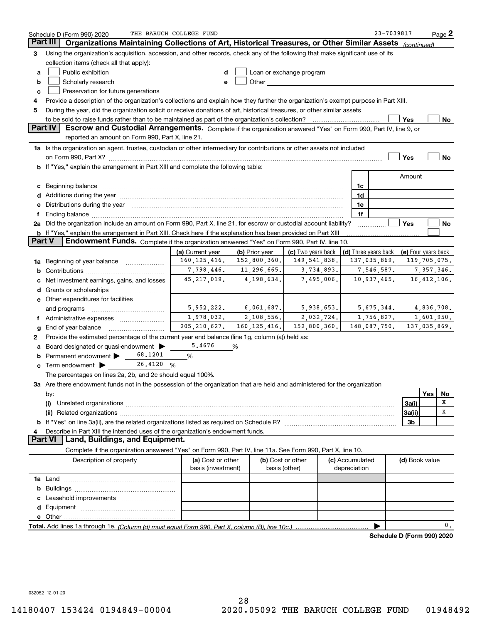|                 | Schedule D (Form 990) 2020                                                                                                                                                                                                                                      | THE BARUCH COLLEGE FUND  |                |                    |                                            | 23-7039817                 |                            |               | $Page$ 2 |
|-----------------|-----------------------------------------------------------------------------------------------------------------------------------------------------------------------------------------------------------------------------------------------------------------|--------------------------|----------------|--------------------|--------------------------------------------|----------------------------|----------------------------|---------------|----------|
| <b>Part III</b> | Organizations Maintaining Collections of Art, Historical Treasures, or Other Similar Assets                                                                                                                                                                     |                          |                |                    |                                            |                            | (continued)                |               |          |
| 3               | Using the organization's acquisition, accession, and other records, check any of the following that make significant use of its                                                                                                                                 |                          |                |                    |                                            |                            |                            |               |          |
|                 | collection items (check all that apply):                                                                                                                                                                                                                        |                          |                |                    |                                            |                            |                            |               |          |
| a               | Public exhibition<br>Loan or exchange program<br>d                                                                                                                                                                                                              |                          |                |                    |                                            |                            |                            |               |          |
| b               | Scholarly research<br>Other <b>Communist Communist Communist Communist Communist Communist Communist Communist Communist Communist Communist Communist Communist Communist Communist Communist Communist Communist Communist Communist Communist Commu</b><br>e |                          |                |                    |                                            |                            |                            |               |          |
| с               | Preservation for future generations                                                                                                                                                                                                                             |                          |                |                    |                                            |                            |                            |               |          |
| 4               | Provide a description of the organization's collections and explain how they further the organization's exempt purpose in Part XIII.                                                                                                                            |                          |                |                    |                                            |                            |                            |               |          |
| 5               | During the year, did the organization solicit or receive donations of art, historical treasures, or other similar assets                                                                                                                                        |                          |                |                    |                                            |                            |                            |               |          |
|                 |                                                                                                                                                                                                                                                                 |                          |                |                    |                                            |                            | Yes                        |               | No       |
|                 | Part IV<br>Escrow and Custodial Arrangements. Complete if the organization answered "Yes" on Form 990, Part IV, line 9, or                                                                                                                                      |                          |                |                    |                                            |                            |                            |               |          |
|                 | reported an amount on Form 990, Part X, line 21.                                                                                                                                                                                                                |                          |                |                    |                                            |                            |                            |               |          |
|                 | 1a Is the organization an agent, trustee, custodian or other intermediary for contributions or other assets not included                                                                                                                                        |                          |                |                    |                                            |                            |                            |               |          |
|                 | on Form 990, Part X? [11] matter contracts and contracts and contracts are contracted as a function of the set of the set of the set of the set of the set of the set of the set of the set of the set of the set of the set o                                  |                          |                |                    |                                            |                            | Yes                        |               | No       |
|                 | <b>b</b> If "Yes," explain the arrangement in Part XIII and complete the following table:                                                                                                                                                                       |                          |                |                    |                                            |                            |                            |               |          |
|                 |                                                                                                                                                                                                                                                                 |                          |                |                    |                                            |                            | Amount                     |               |          |
|                 |                                                                                                                                                                                                                                                                 |                          |                |                    | 1c                                         |                            |                            |               |          |
|                 | c Beginning balance measurements and the contract of the contract of the contract of the contract of the contract of the contract of the contract of the contract of the contract of the contract of the contract of the contr                                  |                          |                |                    | 1d                                         |                            |                            |               |          |
|                 | Additions during the year manufactured and an according to the set of the set of the set of the set of the set of the set of the set of the set of the set of the set of the set of the set of the set of the set of the set o                                  |                          |                |                    | 1e                                         |                            |                            |               |          |
| е<br>f          | Distributions during the year manufactured and continuum and contract the year manufactured and contract the year manufactured and contract the year manufactured and contract the year manufactured and contract the year man                                  |                          |                |                    | 1f                                         |                            |                            |               |          |
|                 | 2a Did the organization include an amount on Form 990, Part X, line 21, for escrow or custodial account liability?                                                                                                                                              |                          |                |                    |                                            |                            | Yes                        |               | No       |
|                 | b If "Yes," explain the arrangement in Part XIII. Check here if the explanation has been provided on Part XIII                                                                                                                                                  |                          |                |                    |                                            |                            |                            |               |          |
| <b>Part V</b>   | Endowment Funds. Complete if the organization answered "Yes" on Form 990, Part IV, line 10.                                                                                                                                                                     |                          |                |                    |                                            |                            |                            |               |          |
|                 |                                                                                                                                                                                                                                                                 | (a) Current year         | (b) Prior year | (c) Two years back |                                            |                            |                            |               |          |
|                 |                                                                                                                                                                                                                                                                 | 160, 125, 416.           | 152,800,360.   | 149, 541, 838.     | (d) Three years back   (e) Four years back | 137,035,869.               |                            |               |          |
|                 | 1a Beginning of year balance                                                                                                                                                                                                                                    | 7,798,446.               | 11,296,665.    | 3,734,893.         |                                            | 7,546,587.                 | 119,705,075.<br>7,357,346. |               |          |
| b               |                                                                                                                                                                                                                                                                 | 45, 217, 019.            | 4,198,634.     | 7,495,006.         |                                            | 10,937,465.                |                            | 16, 412, 106. |          |
|                 | Net investment earnings, gains, and losses                                                                                                                                                                                                                      |                          |                |                    |                                            |                            |                            |               |          |
| d               |                                                                                                                                                                                                                                                                 |                          |                |                    |                                            |                            |                            |               |          |
|                 | e Other expenditures for facilities                                                                                                                                                                                                                             |                          |                |                    |                                            | 5,675,344.                 |                            |               |          |
|                 | and programs                                                                                                                                                                                                                                                    | 5,952,222.<br>1,978,032. | 6,061,687.     | 5,938,653.         |                                            |                            | 4,836,708.                 |               |          |
|                 | f Administrative expenses                                                                                                                                                                                                                                       |                          | 2,108,556.     | 2,032,724.         |                                            | 1,756,827.                 |                            | 1,601,950.    |          |
| g               | End of year balance                                                                                                                                                                                                                                             | 205, 210, 627.           | 160, 125, 416. | 152,800,360.       |                                            | 148,087,750.               | 137,035,869.               |               |          |
| 2               | Provide the estimated percentage of the current year end balance (line 1g, column (a)) held as:                                                                                                                                                                 |                          |                |                    |                                            |                            |                            |               |          |
| а               | Board designated or quasi-endowment                                                                                                                                                                                                                             | 5.4676                   | %              |                    |                                            |                            |                            |               |          |
| b               | 68.1201<br>Permanent endowment >                                                                                                                                                                                                                                | %                        |                |                    |                                            |                            |                            |               |          |
|                 | 26.4120 %<br>$\mathbf c$ Term endowment $\blacktriangleright$                                                                                                                                                                                                   |                          |                |                    |                                            |                            |                            |               |          |
|                 | The percentages on lines 2a, 2b, and 2c should equal 100%.                                                                                                                                                                                                      |                          |                |                    |                                            |                            |                            |               |          |
|                 | 3a Are there endowment funds not in the possession of the organization that are held and administered for the organization                                                                                                                                      |                          |                |                    |                                            |                            |                            |               |          |
|                 | by:                                                                                                                                                                                                                                                             |                          |                |                    |                                            |                            |                            | Yes           | No       |
|                 | (i)                                                                                                                                                                                                                                                             |                          |                |                    |                                            |                            | 3a(i)                      |               | х        |
|                 |                                                                                                                                                                                                                                                                 |                          |                |                    |                                            |                            | 3a(ii)                     |               | х        |
|                 |                                                                                                                                                                                                                                                                 |                          |                |                    |                                            |                            | 3 <sub>b</sub>             |               |          |
| 4               | Describe in Part XIII the intended uses of the organization's endowment funds.                                                                                                                                                                                  |                          |                |                    |                                            |                            |                            |               |          |
|                 | <b>Part VI</b><br>Land, Buildings, and Equipment.                                                                                                                                                                                                               |                          |                |                    |                                            |                            |                            |               |          |
|                 | Complete if the organization answered "Yes" on Form 990, Part IV, line 11a. See Form 990, Part X, line 10.                                                                                                                                                      |                          |                |                    |                                            |                            |                            |               |          |
|                 | Description of property                                                                                                                                                                                                                                         | (a) Cost or other        |                | (b) Cost or other  | (c) Accumulated                            |                            | (d) Book value             |               |          |
|                 |                                                                                                                                                                                                                                                                 | basis (investment)       |                | basis (other)      | depreciation                               |                            |                            |               |          |
|                 |                                                                                                                                                                                                                                                                 |                          |                |                    |                                            |                            |                            |               |          |
| b               |                                                                                                                                                                                                                                                                 |                          |                |                    |                                            |                            |                            |               |          |
| c               |                                                                                                                                                                                                                                                                 |                          |                |                    |                                            |                            |                            |               |          |
|                 |                                                                                                                                                                                                                                                                 |                          |                |                    |                                            |                            |                            |               |          |
|                 |                                                                                                                                                                                                                                                                 |                          |                |                    |                                            |                            |                            |               |          |
|                 |                                                                                                                                                                                                                                                                 |                          |                |                    |                                            |                            |                            |               | 0.       |
|                 |                                                                                                                                                                                                                                                                 |                          |                |                    |                                            | Schedule D (Form 990) 2020 |                            |               |          |

032052 12-01-20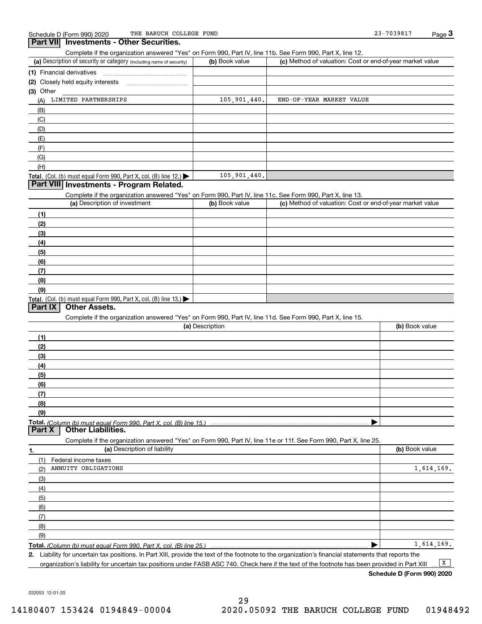**Part VII Investments - Other Securities.** 

|                                                                                                                   |                 | Complete if the organization answered "Yes" on Form 990, Part IV, line 11b. See Form 990, Part X, line 12. |                |
|-------------------------------------------------------------------------------------------------------------------|-----------------|------------------------------------------------------------------------------------------------------------|----------------|
| (a) Description of security or category (including name of security)                                              | (b) Book value  | (c) Method of valuation: Cost or end-of-year market value                                                  |                |
| (1) Financial derivatives                                                                                         |                 |                                                                                                            |                |
|                                                                                                                   |                 |                                                                                                            |                |
| $(3)$ Other                                                                                                       |                 |                                                                                                            |                |
| LIMITED PARTNERSHIPS<br>(A)                                                                                       | 105,901,440.    | END-OF-YEAR MARKET VALUE                                                                                   |                |
| (B)                                                                                                               |                 |                                                                                                            |                |
| (C)                                                                                                               |                 |                                                                                                            |                |
| (D)                                                                                                               |                 |                                                                                                            |                |
| (E)                                                                                                               |                 |                                                                                                            |                |
| (F)                                                                                                               |                 |                                                                                                            |                |
| (G)                                                                                                               |                 |                                                                                                            |                |
| (H)                                                                                                               |                 |                                                                                                            |                |
| Total. (Col. (b) must equal Form 990, Part X, col. (B) line 12.)                                                  | 105,901,440.    |                                                                                                            |                |
| Part VIII Investments - Program Related.                                                                          |                 |                                                                                                            |                |
| Complete if the organization answered "Yes" on Form 990, Part IV, line 11c. See Form 990, Part X, line 13.        |                 |                                                                                                            |                |
| (a) Description of investment                                                                                     | (b) Book value  | (c) Method of valuation: Cost or end-of-year market value                                                  |                |
| (1)                                                                                                               |                 |                                                                                                            |                |
| (2)                                                                                                               |                 |                                                                                                            |                |
| (3)                                                                                                               |                 |                                                                                                            |                |
| (4)                                                                                                               |                 |                                                                                                            |                |
|                                                                                                                   |                 |                                                                                                            |                |
| (5)                                                                                                               |                 |                                                                                                            |                |
| (6)                                                                                                               |                 |                                                                                                            |                |
| (7)                                                                                                               |                 |                                                                                                            |                |
| (8)                                                                                                               |                 |                                                                                                            |                |
| (9)                                                                                                               |                 |                                                                                                            |                |
| Total. (Col. (b) must equal Form 990, Part X, col. (B) line 13.)<br>Part IX<br><b>Other Assets.</b>               |                 |                                                                                                            |                |
|                                                                                                                   |                 |                                                                                                            |                |
| Complete if the organization answered "Yes" on Form 990, Part IV, line 11d. See Form 990, Part X, line 15.        | (a) Description |                                                                                                            | (b) Book value |
|                                                                                                                   |                 |                                                                                                            |                |
| (1)                                                                                                               |                 |                                                                                                            |                |
| (2)                                                                                                               |                 |                                                                                                            |                |
| (3)                                                                                                               |                 |                                                                                                            |                |
|                                                                                                                   |                 |                                                                                                            |                |
| (4)                                                                                                               |                 |                                                                                                            |                |
| (5)                                                                                                               |                 |                                                                                                            |                |
| (6)                                                                                                               |                 |                                                                                                            |                |
| (7)                                                                                                               |                 |                                                                                                            |                |
| (8)                                                                                                               |                 |                                                                                                            |                |
| (9)                                                                                                               |                 |                                                                                                            |                |
| Part X<br><b>Other Liabilities.</b>                                                                               |                 |                                                                                                            |                |
| Complete if the organization answered "Yes" on Form 990, Part IV, line 11e or 11f. See Form 990, Part X, line 25. |                 |                                                                                                            |                |
| (a) Description of liability<br>٦.                                                                                |                 |                                                                                                            | (b) Book value |
| (1)<br>Federal income taxes                                                                                       |                 |                                                                                                            |                |
| ANNUITY OBLIGATIONS<br>(2)                                                                                        |                 |                                                                                                            | 1,614,169.     |
| (3)                                                                                                               |                 |                                                                                                            |                |
| (4)                                                                                                               |                 |                                                                                                            |                |
| (5)                                                                                                               |                 |                                                                                                            |                |
| (6)                                                                                                               |                 |                                                                                                            |                |
| (7)                                                                                                               |                 |                                                                                                            |                |
| (8)                                                                                                               |                 |                                                                                                            |                |

**Total.**  *(Column (b) must equal Form 990, Part X, col. (B) line 25.)* 

**2.**Liability for uncertain tax positions. In Part XIII, provide the text of the footnote to the organization's financial statements that reports the organization's liability for uncertain tax positions under FASB ASC 740. Check here if the text of the footnote has been provided in Part XIII  $\boxed{\mathbf{X}}$ 

**Schedule D (Form 990) 2020**

1,614,169.

 $\blacktriangleright$ 

032053 12-01-20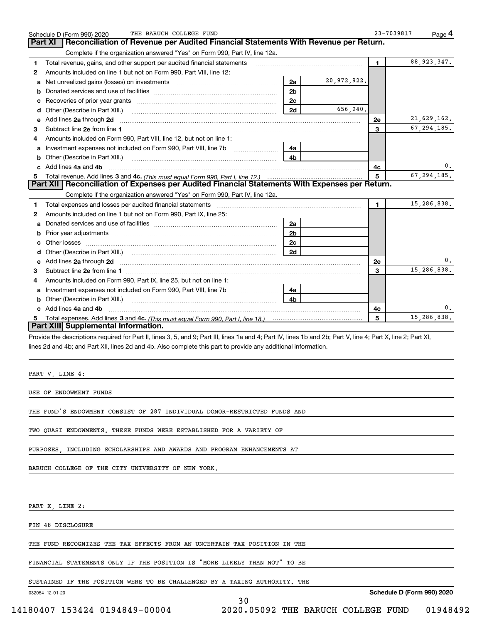|   | THE BARUCH COLLEGE FUND<br>Schedule D (Form 990) 2020                                                                                                                                                                                                                                               |                |             | 23-7039817   | Page 4        |
|---|-----------------------------------------------------------------------------------------------------------------------------------------------------------------------------------------------------------------------------------------------------------------------------------------------------|----------------|-------------|--------------|---------------|
|   | Reconciliation of Revenue per Audited Financial Statements With Revenue per Return.<br><b>Part XI</b>                                                                                                                                                                                               |                |             |              |               |
|   | Complete if the organization answered "Yes" on Form 990, Part IV, line 12a.                                                                                                                                                                                                                         |                |             |              |               |
| 1 | Total revenue, gains, and other support per audited financial statements                                                                                                                                                                                                                            |                |             | 1.           | 88, 923, 347. |
| 2 | Amounts included on line 1 but not on Form 990, Part VIII, line 12:                                                                                                                                                                                                                                 |                |             |              |               |
| a |                                                                                                                                                                                                                                                                                                     | 2a             | 20,972,922. |              |               |
| b |                                                                                                                                                                                                                                                                                                     | 2 <sub>b</sub> |             |              |               |
| c |                                                                                                                                                                                                                                                                                                     | 2c             |             |              |               |
| d |                                                                                                                                                                                                                                                                                                     | 2d             | 656,240.    |              |               |
|   | e Add lines 2a through 2d                                                                                                                                                                                                                                                                           |                |             | 2e           | 21,629,162.   |
| 3 |                                                                                                                                                                                                                                                                                                     |                |             | 3            | 67, 294, 185. |
| 4 | Amounts included on Form 990, Part VIII, line 12, but not on line 1:                                                                                                                                                                                                                                |                |             |              |               |
|   |                                                                                                                                                                                                                                                                                                     | 4a             |             |              |               |
|   |                                                                                                                                                                                                                                                                                                     | 4b             |             |              |               |
|   | c Add lines 4a and 4b                                                                                                                                                                                                                                                                               |                |             | 4c           | 0.            |
|   | Part XII   Reconciliation of Expenses per Audited Financial Statements With Expenses per Return.                                                                                                                                                                                                    |                |             | 5            | 67.294.185.   |
|   |                                                                                                                                                                                                                                                                                                     |                |             |              |               |
|   | Complete if the organization answered "Yes" on Form 990, Part IV, line 12a.                                                                                                                                                                                                                         |                |             |              | 15,286,838.   |
| 1 |                                                                                                                                                                                                                                                                                                     |                |             | $\mathbf{1}$ |               |
| 2 | Amounts included on line 1 but not on Form 990, Part IX, line 25:                                                                                                                                                                                                                                   |                |             |              |               |
| a |                                                                                                                                                                                                                                                                                                     | 2a             |             |              |               |
| b |                                                                                                                                                                                                                                                                                                     | 2 <sub>b</sub> |             |              |               |
| c |                                                                                                                                                                                                                                                                                                     | 2c<br>2d       |             |              |               |
| d |                                                                                                                                                                                                                                                                                                     |                |             |              | 0.            |
| 3 | e Add lines 2a through 2d <b>[10]</b> Manuscription and the Add lines 2a through 2d <b>[10]</b> Manuscription <b>Address</b> 2a through 2d                                                                                                                                                          |                |             | 2e<br>3      | 15,286,838.   |
| 4 | Amounts included on Form 990, Part IX, line 25, but not on line 1:                                                                                                                                                                                                                                  |                |             |              |               |
|   | <b>a</b> Investment expenses not included on Form 990, Part VIII, line 7b                                                                                                                                                                                                                           | 4a             |             |              |               |
|   |                                                                                                                                                                                                                                                                                                     | 4b             |             |              |               |
|   | c Add lines 4a and 4b                                                                                                                                                                                                                                                                               |                |             | 4c           | 0.            |
| 5 |                                                                                                                                                                                                                                                                                                     |                |             | 5            | 15,286,838.   |
|   | Part XIII Supplemental Information.                                                                                                                                                                                                                                                                 |                |             |              |               |
|   | Provide the descriptions required for Part II, lines 3, 5, and 9; Part III, lines 1a and 4; Part IV, lines 1b and 2b; Part V, line 4; Part X, line 2; Part XI,<br>lines 2d and 4b; and Part XII, lines 2d and 4b. Also complete this part to provide any additional information.<br>PART V, LINE 4: |                |             |              |               |
|   | USE OF ENDOWMENT FUNDS                                                                                                                                                                                                                                                                              |                |             |              |               |
|   | THE FUND'S ENDOWMENT CONSIST OF 287 INDIVIDUAL DONOR-RESTRICTED FUNDS AND                                                                                                                                                                                                                           |                |             |              |               |
|   | TWO QUASI ENDOWMENTS. THESE FUNDS WERE ESTABLISHED FOR A VARIETY OF                                                                                                                                                                                                                                 |                |             |              |               |
|   | PURPOSES, INCLUDING SCHOLARSHIPS AND AWARDS AND PROGRAM ENHANCEMENTS AT                                                                                                                                                                                                                             |                |             |              |               |
|   | BARUCH COLLEGE OF THE CITY UNIVERSITY OF NEW YORK.                                                                                                                                                                                                                                                  |                |             |              |               |
|   | PART X, LINE 2:                                                                                                                                                                                                                                                                                     |                |             |              |               |
|   | FIN 48 DISCLOSURE                                                                                                                                                                                                                                                                                   |                |             |              |               |
|   |                                                                                                                                                                                                                                                                                                     |                |             |              |               |

30

THE FUND RECOGNIZES THE TAX EFFECTS FROM AN UNCERTAIN TAX POSITION IN THE

FINANCIAL STATEMENTS ONLY IF THE POSITION IS "MORE LIKELY THAN NOT" TO BE

SUSTAINED IF THE POSITION WERE TO BE CHALLENGED BY A TAXING AUTHORITY. THE

032054 12-01-20

**Schedule D (Form 990) 2020**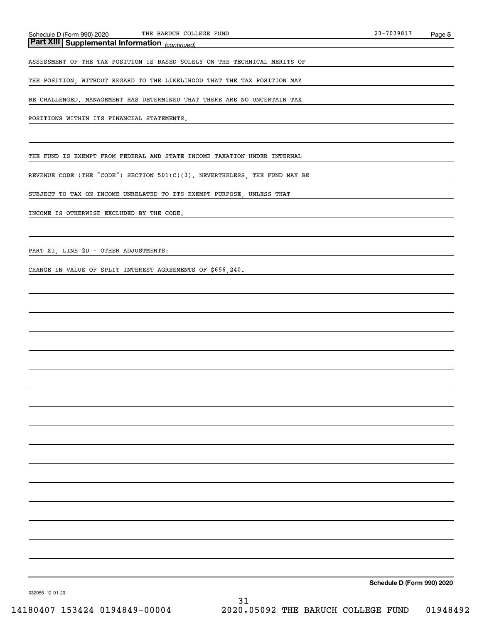*(continued)* **Part XIII Supplemental Information** 

ASSESSMENT OF THE TAX POSITION IS BASED SOLELY ON THE TECHNICAL MERITS OF

THE POSITION, WITHOUT REGARD TO THE LIKELIHOOD THAT THE TAX POSITION MAY

BE CHALLENGED. MANAGEMENT HAS DETERMINED THAT THERE ARE NO UNCERTAIN TAX

POSITIONS WITHIN ITS FINANCIAL STATEMENTS.

THE FUND IS EXEMPT FROM FEDERAL AND STATE INCOME TAXATION UNDER INTERNAL

REVENUE CODE (THE "CODE") SECTION 501(C)(3). NEVERTHELESS, THE FUND MAY BE

SUBJECT TO TAX ON INCOME UNRELATED TO ITS EXEMPT PURPOSE, UNLESS THAT

INCOME IS OTHERWISE EXCLUDED BY THE CODE.

PART XI, LINE 2D - OTHER ADJUSTMENTS:

CHANGE IN VALUE OF SPLIT INTEREST AGREEMENTS OF \$656,240.

**Schedule D (Form 990) 2020**

032055 12-01-20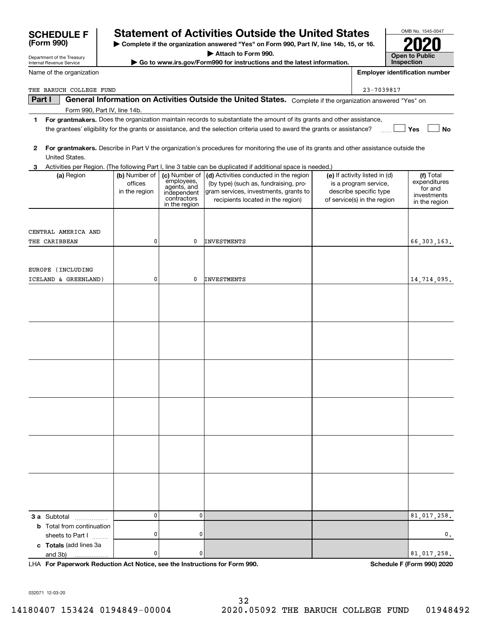| Activities per Region. (The following Part I, line 3 table can be duplicated if additional space is needed.)<br>(a) Region | (b) Number of<br>offices<br>in the region | employees,<br>agents, and<br>independent<br>contractors<br>in the region | (c) Number of $\vert$ (d) Activities conducted in the region<br>(by type) (such as, fundraising, pro-<br>gram services, investments, grants to<br>recipients located in the region) | (e) If activity listed in (d)<br>is a program service,<br>describe specific type<br>of service(s) in the region | (f) Total<br>expenditures<br>for and<br>investments<br>in the region |
|----------------------------------------------------------------------------------------------------------------------------|-------------------------------------------|--------------------------------------------------------------------------|-------------------------------------------------------------------------------------------------------------------------------------------------------------------------------------|-----------------------------------------------------------------------------------------------------------------|----------------------------------------------------------------------|
| CENTRAL AMERICA AND<br>THE CARIBBEAN                                                                                       | 0                                         | 0                                                                        | <b>INVESTMENTS</b>                                                                                                                                                                  |                                                                                                                 | 66, 303, 163.                                                        |
| EUROPE (INCLUDING<br>ICELAND & GREENLAND)                                                                                  | 0                                         | 0                                                                        | <b>INVESTMENTS</b>                                                                                                                                                                  |                                                                                                                 | 14,714,095.                                                          |
|                                                                                                                            |                                           |                                                                          |                                                                                                                                                                                     |                                                                                                                 |                                                                      |
|                                                                                                                            |                                           |                                                                          |                                                                                                                                                                                     |                                                                                                                 |                                                                      |
|                                                                                                                            |                                           |                                                                          |                                                                                                                                                                                     |                                                                                                                 |                                                                      |
|                                                                                                                            |                                           |                                                                          |                                                                                                                                                                                     |                                                                                                                 |                                                                      |
|                                                                                                                            |                                           |                                                                          |                                                                                                                                                                                     |                                                                                                                 |                                                                      |
|                                                                                                                            |                                           |                                                                          |                                                                                                                                                                                     |                                                                                                                 |                                                                      |
| 3 a Subtotal<br>.                                                                                                          | 0                                         | 0                                                                        |                                                                                                                                                                                     |                                                                                                                 | 81,017,258.                                                          |
| <b>b</b> Total from continuation<br>sheets to Part I<br>c Totals (add lines 3a                                             | 0                                         | 0                                                                        |                                                                                                                                                                                     |                                                                                                                 | $\mathbf 0$ .                                                        |
| and 3b)<br>.<br>LHA For Paperwork Reduction Act Notice, see the Instructions for Form 990.                                 | 0                                         | 0                                                                        |                                                                                                                                                                                     |                                                                                                                 | 81,017,258.<br>Schedule F (Form 990) 2020                            |
| 032071 12-03-20                                                                                                            |                                           |                                                                          | 32                                                                                                                                                                                  |                                                                                                                 |                                                                      |

| 2 For grantmakers. Describe in Part V the organization's procedures for monitoring the use of its grants and other assistance outside the |
|-------------------------------------------------------------------------------------------------------------------------------------------|
| United States.                                                                                                                            |

| Part I | General Information on Activities Outside the United States. Complete if the organization answered |            |
|--------|----------------------------------------------------------------------------------------------------|------------|
|        | THE BARUCH COLLEGE FUND                                                                            | 23-7039817 |

Department of the Treasury Internal Revenue Service

**(Form 990)**

Name of the organization

# **Part I**  $\parallel$  General Information on Activities Outside the United States. Complete if the organization answered "Yes" on

- Form 990, Part IV, line 14b.
- **Yes No** the grantees' eligibility for the grants or assistance, and the selection criteria used to award the grants or assistance?
- **1For grantmakers.**  Does the organization maintain records to substantiate the amount of its grants and other assistance,
- 
- 

| <b>SCHEDULE F</b> I | <b>Statement of Activities Outside the United States</b> |
|---------------------|----------------------------------------------------------|
|---------------------|----------------------------------------------------------|

**| Complete if the organization answered "Yes" on Form 990, Part IV, line 14b, 15, or 16.**

**| Attach to Form 990.**

**| Go to www.irs.gov/Form990 for instructions and the latest information.**

**InspectionEmployer identification number**

OMB No. 1545-0047

**2020**

**Open to Public** 

| ent of Activities Outside the United States |  |
|---------------------------------------------|--|
|---------------------------------------------|--|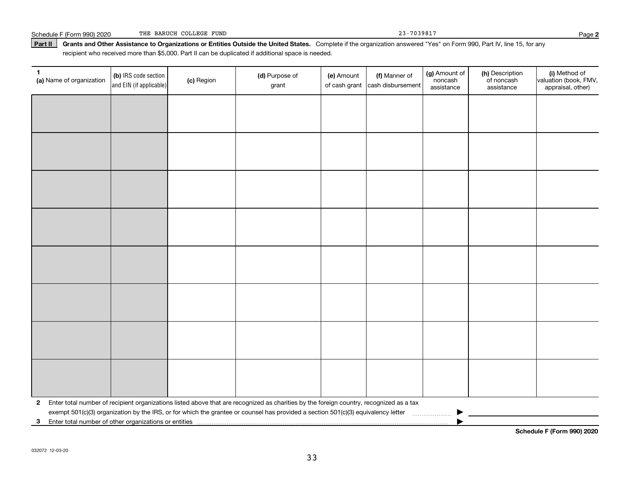| 7039817<br>COLLEGE<br>FUND<br>BARUCH<br>THE<br>Schedule<br>F(Form 990) 2020 | aae≺ |  |
|-----------------------------------------------------------------------------|------|--|
|-----------------------------------------------------------------------------|------|--|

#### **Part II Grants and Other Assistance to Organizations or Entities Outside the United States.**  Complete if the organization answered "Yes" on Form 990, Part IV, line 15, for any recipient who received more than \$5,000. Part II can be duplicated if additional space is needed.

| $\mathbf{1}$<br>(a) Name of organization | (b) IRS code section<br>and EIN (if applicable) | (c) Region | (d) Purpose of<br>grant                                                                                                                 | (e) Amount<br>of cash grant | (f) Manner of<br>cash disbursement | (g) Amount of<br>noncash<br>assistance | (h) Description<br>of noncash<br>assistance | (i) Method of<br>valuation (book, FMV,<br>appraisal, other) |
|------------------------------------------|-------------------------------------------------|------------|-----------------------------------------------------------------------------------------------------------------------------------------|-----------------------------|------------------------------------|----------------------------------------|---------------------------------------------|-------------------------------------------------------------|
|                                          |                                                 |            |                                                                                                                                         |                             |                                    |                                        |                                             |                                                             |
|                                          |                                                 |            |                                                                                                                                         |                             |                                    |                                        |                                             |                                                             |
|                                          |                                                 |            |                                                                                                                                         |                             |                                    |                                        |                                             |                                                             |
|                                          |                                                 |            |                                                                                                                                         |                             |                                    |                                        |                                             |                                                             |
|                                          |                                                 |            |                                                                                                                                         |                             |                                    |                                        |                                             |                                                             |
|                                          |                                                 |            |                                                                                                                                         |                             |                                    |                                        |                                             |                                                             |
|                                          |                                                 |            |                                                                                                                                         |                             |                                    |                                        |                                             |                                                             |
|                                          |                                                 |            |                                                                                                                                         |                             |                                    |                                        |                                             |                                                             |
|                                          |                                                 |            |                                                                                                                                         |                             |                                    |                                        |                                             |                                                             |
|                                          |                                                 |            |                                                                                                                                         |                             |                                    |                                        |                                             |                                                             |
|                                          |                                                 |            |                                                                                                                                         |                             |                                    |                                        |                                             |                                                             |
|                                          |                                                 |            |                                                                                                                                         |                             |                                    |                                        |                                             |                                                             |
|                                          |                                                 |            |                                                                                                                                         |                             |                                    |                                        |                                             |                                                             |
|                                          |                                                 |            |                                                                                                                                         |                             |                                    |                                        |                                             |                                                             |
|                                          |                                                 |            |                                                                                                                                         |                             |                                    |                                        |                                             |                                                             |
|                                          |                                                 |            |                                                                                                                                         |                             |                                    |                                        |                                             |                                                             |
| $\mathbf{2}$                             |                                                 |            | Enter total number of recipient organizations listed above that are recognized as charities by the foreign country, recognized as a tax |                             |                                    |                                        |                                             |                                                             |
|                                          |                                                 |            | exempt 501(c)(3) organization by the IRS, or for which the grantee or counsel has provided a section 501(c)(3) equivalency letter       |                             |                                    |                                        |                                             |                                                             |
|                                          |                                                 |            |                                                                                                                                         |                             |                                    |                                        |                                             |                                                             |

**Schedule F (Form 990) 2020**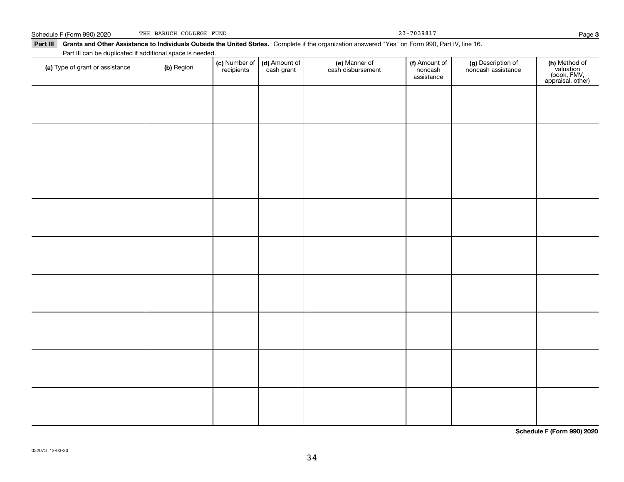| <u> Schedule F (Form 990) 2020</u>                                                                                                                        | THE BARUCH COLLEGE FUND |                             |                             |                                    | $23 - 7039817$                         |                                          | Page 3                                                         |
|-----------------------------------------------------------------------------------------------------------------------------------------------------------|-------------------------|-----------------------------|-----------------------------|------------------------------------|----------------------------------------|------------------------------------------|----------------------------------------------------------------|
| Part III Grants and Other Assistance to Individuals Outside the United States. Complete if the organization answered "Yes" on Form 990, Part IV, line 16. |                         |                             |                             |                                    |                                        |                                          |                                                                |
| Part III can be duplicated if additional space is needed.                                                                                                 |                         |                             |                             |                                    |                                        |                                          |                                                                |
| (a) Type of grant or assistance                                                                                                                           | (b) Region              | (c) Number of<br>recipients | (d) Amount of<br>cash grant | (e) Manner of<br>cash disbursement | (f) Amount of<br>noncash<br>assistance | (g) Description of<br>noncash assistance | (h) Method of<br>valuation<br>(book, FMV,<br>appraisal, other) |
|                                                                                                                                                           |                         |                             |                             |                                    |                                        |                                          |                                                                |
|                                                                                                                                                           |                         |                             |                             |                                    |                                        |                                          |                                                                |
|                                                                                                                                                           |                         |                             |                             |                                    |                                        |                                          |                                                                |
|                                                                                                                                                           |                         |                             |                             |                                    |                                        |                                          |                                                                |
|                                                                                                                                                           |                         |                             |                             |                                    |                                        |                                          |                                                                |
|                                                                                                                                                           |                         |                             |                             |                                    |                                        |                                          |                                                                |
|                                                                                                                                                           |                         |                             |                             |                                    |                                        |                                          |                                                                |
|                                                                                                                                                           |                         |                             |                             |                                    |                                        |                                          |                                                                |
|                                                                                                                                                           |                         |                             |                             |                                    |                                        |                                          |                                                                |
|                                                                                                                                                           |                         |                             |                             |                                    |                                        |                                          |                                                                |
|                                                                                                                                                           |                         |                             |                             |                                    |                                        |                                          |                                                                |

THE BARUCH COLLEGE FUND 23-7039817

**3**

**Schedule F (Form 990) 2020**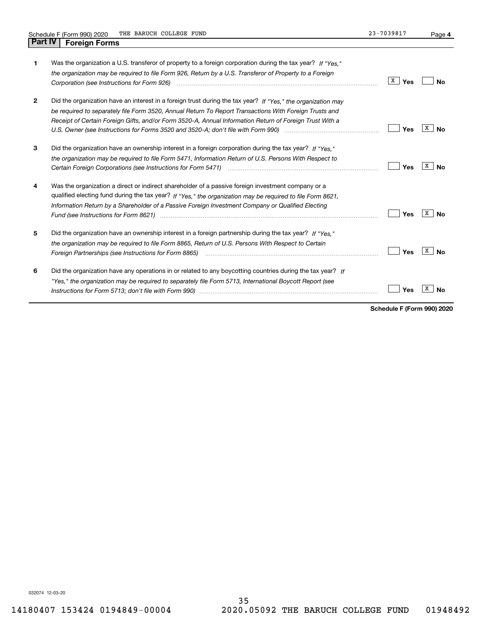| 1            | Was the organization a U.S. transferor of property to a foreign corporation during the tax year? If "Yes."<br>the organization may be required to file Form 926, Return by a U.S. Transferor of Property to a Foreign                                                                                                             | X<br>Yes | Nο      |
|--------------|-----------------------------------------------------------------------------------------------------------------------------------------------------------------------------------------------------------------------------------------------------------------------------------------------------------------------------------|----------|---------|
| $\mathbf{2}$ | Did the organization have an interest in a foreign trust during the tax year? If "Yes." the organization may<br>be required to separately file Form 3520, Annual Return To Report Transactions With Foreign Trusts and<br>Receipt of Certain Foreign Gifts, and/or Form 3520-A, Annual Information Return of Foreign Trust With a | Yes      | x<br>Nο |
| 3            | Did the organization have an ownership interest in a foreign corporation during the tax year? If "Yes."<br>the organization may be required to file Form 5471, Information Return of U.S. Persons With Respect to                                                                                                                 | Yes      | x<br>Nο |
| 4            | Was the organization a direct or indirect shareholder of a passive foreign investment company or a<br>qualified electing fund during the tax year? If "Yes," the organization may be required to file Form 8621,<br>Information Return by a Shareholder of a Passive Foreign Investment Company or Qualified Electing             | Yes      | x<br>Nο |
| 5            | Did the organization have an ownership interest in a foreign partnership during the tax year? If "Yes."<br>the organization may be required to file Form 8865, Return of U.S. Persons With Respect to Certain                                                                                                                     | Yes      | x<br>No |
| 6            | Did the organization have any operations in or related to any boycotting countries during the tax year? If<br>"Yes," the organization may be required to separately file Form 5713, International Boycott Report (see                                                                                                             | Yes      |         |

**Schedule F (Form 990) 2020**

032074 12-03-20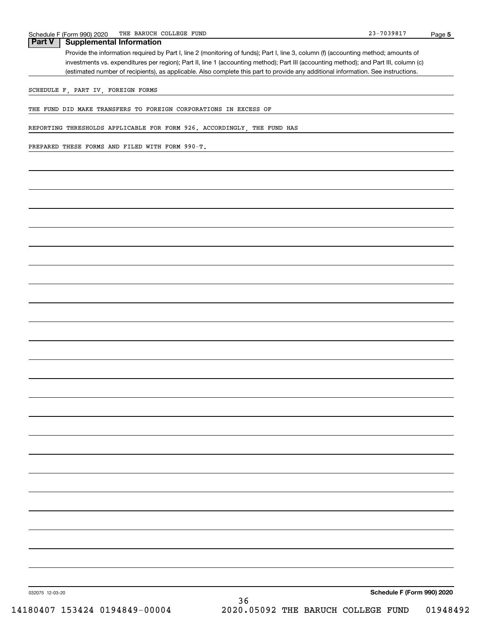### **Part V Supplemental Information**

Provide the information required by Part I, line 2 (monitoring of funds); Part I, line 3, column (f) (accounting method; amounts of investments vs. expenditures per region); Part II, line 1 (accounting method); Part III (accounting method); and Part III, column (c) (estimated number of recipients), as applicable. Also complete this part to provide any additional information. See instructions.

SCHEDULE F, PART IV, FOREIGN FORMS

THE FUND DID MAKE TRANSFERS TO FOREIGN CORPORATIONS IN EXCESS OF

REPORTING THRESHOLDS APPLICABLE FOR FORM 926. ACCORDINGLY, THE FUND HAS

PREPARED THESE FORMS AND FILED WITH FORM 990-T.

**Schedule F (Form 990) 2020**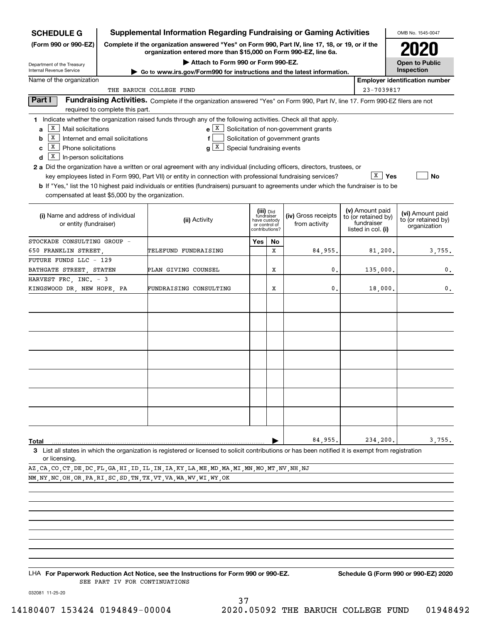| <b>SCHEDULE G</b>                                        |                                 | <b>Supplemental Information Regarding Fundraising or Gaming Activities</b>                                                                                                                                                                                  |                               |    |                                       |                                        | OMB No. 1545-0047                     |
|----------------------------------------------------------|---------------------------------|-------------------------------------------------------------------------------------------------------------------------------------------------------------------------------------------------------------------------------------------------------------|-------------------------------|----|---------------------------------------|----------------------------------------|---------------------------------------|
| (Form 990 or 990-EZ)                                     |                                 | Complete if the organization answered "Yes" on Form 990, Part IV, line 17, 18, or 19, or if the<br>organization entered more than \$15,000 on Form 990-EZ, line 6a.                                                                                         |                               |    |                                       |                                        |                                       |
| Department of the Treasury                               |                                 | Attach to Form 990 or Form 990-EZ.                                                                                                                                                                                                                          |                               |    |                                       |                                        | <b>Open to Public</b>                 |
| Internal Revenue Service                                 |                                 | Go to www.irs.gov/Form990 for instructions and the latest information.                                                                                                                                                                                      |                               |    |                                       |                                        | Inspection                            |
| Name of the organization                                 |                                 |                                                                                                                                                                                                                                                             |                               |    |                                       |                                        | <b>Employer identification number</b> |
|                                                          |                                 | THE BARUCH COLLEGE FUND                                                                                                                                                                                                                                     |                               |    |                                       | 23-7039817                             |                                       |
| Part I                                                   | required to complete this part. | Fundraising Activities. Complete if the organization answered "Yes" on Form 990, Part IV, line 17. Form 990-EZ filers are not                                                                                                                               |                               |    |                                       |                                        |                                       |
|                                                          |                                 | 1 Indicate whether the organization raised funds through any of the following activities. Check all that apply.                                                                                                                                             |                               |    |                                       |                                        |                                       |
| $X$ Mail solicitations<br>a                              |                                 | $e$   X                                                                                                                                                                                                                                                     |                               |    | Solicitation of non-government grants |                                        |                                       |
| $\boxed{\text{x}}$ Internet and email solicitations<br>b |                                 | f                                                                                                                                                                                                                                                           |                               |    | Solicitation of government grants     |                                        |                                       |
| $\overline{X}$ Phone solicitations<br>c                  |                                 | ΙX<br>Special fundraising events<br>g                                                                                                                                                                                                                       |                               |    |                                       |                                        |                                       |
| $\overline{X}$ In-person solicitations<br>d              |                                 |                                                                                                                                                                                                                                                             |                               |    |                                       |                                        |                                       |
|                                                          |                                 | <b>2 a</b> Did the organization have a written or oral agreement with any individual (including officers, directors, trustees, or                                                                                                                           |                               |    |                                       | $\overline{X}$   Yes                   | No                                    |
|                                                          |                                 | key employees listed in Form 990, Part VII) or entity in connection with professional fundraising services?<br><b>b</b> If "Yes," list the 10 highest paid individuals or entities (fundraisers) pursuant to agreements under which the fundraiser is to be |                               |    |                                       |                                        |                                       |
| compensated at least \$5,000 by the organization.        |                                 |                                                                                                                                                                                                                                                             |                               |    |                                       |                                        |                                       |
|                                                          |                                 |                                                                                                                                                                                                                                                             |                               |    |                                       |                                        |                                       |
| (i) Name and address of individual                       |                                 |                                                                                                                                                                                                                                                             | (iii) Did<br>fundraiser       |    | (iv) Gross receipts                   | (v) Amount paid<br>to (or retained by) | (vi) Amount paid                      |
| or entity (fundraiser)                                   |                                 | (ii) Activity                                                                                                                                                                                                                                               | have custody<br>or control of |    | from activity                         | fundraiser                             | to (or retained by)<br>organization   |
|                                                          |                                 |                                                                                                                                                                                                                                                             | contributions?                |    |                                       | listed in col. (i)                     |                                       |
| STOCKADE CONSULTING GROUP -                              |                                 |                                                                                                                                                                                                                                                             | Yes                           | No |                                       |                                        |                                       |
| 650 FRANKLIN STREET                                      |                                 | TELEFUND FUNDRAISING                                                                                                                                                                                                                                        |                               | X  | 84,955.                               | 81,200.                                | 3,755.                                |
| <b>FUTURE FUNDS LLC - 129</b>                            |                                 |                                                                                                                                                                                                                                                             |                               |    |                                       |                                        |                                       |
| BATHGATE STREET, STATEN                                  |                                 | PLAN GIVING COUNSEL                                                                                                                                                                                                                                         |                               | х  | 0.                                    | 135,000.                               | 0.                                    |
| HARVEST FRC, INC. - 3                                    |                                 |                                                                                                                                                                                                                                                             |                               |    |                                       |                                        |                                       |
| KINGSWOOD DR, NEW HOPE, PA                               |                                 | FUNDRAISING CONSULTING                                                                                                                                                                                                                                      |                               | х  | 0.                                    | 18,000.                                | 0.                                    |
|                                                          |                                 |                                                                                                                                                                                                                                                             |                               |    |                                       |                                        |                                       |
|                                                          |                                 |                                                                                                                                                                                                                                                             |                               |    |                                       |                                        |                                       |
|                                                          |                                 |                                                                                                                                                                                                                                                             |                               |    |                                       |                                        |                                       |
|                                                          |                                 |                                                                                                                                                                                                                                                             |                               |    |                                       |                                        |                                       |
|                                                          |                                 |                                                                                                                                                                                                                                                             |                               |    |                                       |                                        |                                       |
|                                                          |                                 |                                                                                                                                                                                                                                                             |                               |    |                                       |                                        |                                       |
|                                                          |                                 |                                                                                                                                                                                                                                                             |                               |    |                                       |                                        |                                       |
|                                                          |                                 |                                                                                                                                                                                                                                                             |                               |    |                                       |                                        |                                       |
|                                                          |                                 |                                                                                                                                                                                                                                                             |                               |    |                                       |                                        |                                       |
|                                                          |                                 |                                                                                                                                                                                                                                                             |                               |    |                                       |                                        |                                       |
|                                                          |                                 |                                                                                                                                                                                                                                                             |                               |    |                                       |                                        |                                       |
|                                                          |                                 |                                                                                                                                                                                                                                                             |                               |    |                                       |                                        |                                       |
|                                                          |                                 |                                                                                                                                                                                                                                                             |                               |    |                                       |                                        |                                       |
|                                                          |                                 |                                                                                                                                                                                                                                                             |                               |    | 84,955.                               | 234,200.                               | 3,755.                                |
| Total                                                    |                                 | 3 List all states in which the organization is registered or licensed to solicit contributions or has been notified it is exempt from registration                                                                                                          |                               |    |                                       |                                        |                                       |
| or licensing.                                            |                                 | CO CT DE DC FI CA HI ID II IN IA KY LA ME MD MA MI MN MO MT NU NH MI                                                                                                                                                                                        |                               |    |                                       |                                        |                                       |

AZ,CA,CO,CT,DE,DC,FL,GA,HI,ID,IL,IN,IA,KY,LA,ME,MD,MA,MI,MN,MO,MT,NV,NH,NJ NM,NY,NC,OH,OR,PA,RI,SC,SD,TN,TX,VT,VA,WA,WV,WI,WY,OK

LHA For Paperwork Reduction Act Notice, see the Instructions for Form 990 or 990-EZ. Schedule G (Form 990 or 990-EZ) 2020 SEE PART IV FOR CONTINUATIONS

032081 11-25-20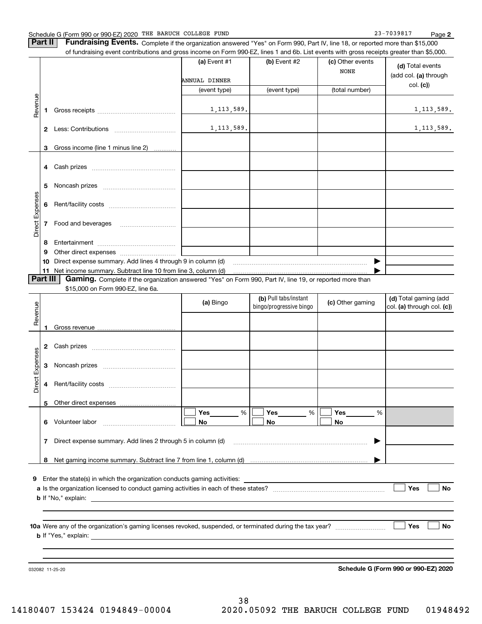**Part II** | Fundraising Events. Complete if the organization answered "Yes" on Form 990, Part IV, line 18, or reported more than \$15,000

|                 |    | of fundraising event contributions and gross income on Form 990-EZ, lines 1 and 6b. List events with gross receipts greater than \$5,000.                                   | (a) Event #1  | (b) Event #2            | (c) Other events      |                            |
|-----------------|----|-----------------------------------------------------------------------------------------------------------------------------------------------------------------------------|---------------|-------------------------|-----------------------|----------------------------|
|                 |    |                                                                                                                                                                             |               |                         | <b>NONE</b>           | (d) Total events           |
|                 |    |                                                                                                                                                                             | ANNUAL DINNER |                         |                       | (add col. (a) through      |
|                 |    |                                                                                                                                                                             | (event type)  | (event type)            | (total number)        | col. (c)                   |
|                 |    |                                                                                                                                                                             |               |                         |                       |                            |
| Revenue         | 1. |                                                                                                                                                                             | 1, 113, 589.  |                         |                       | 1, 113, 589.               |
|                 |    |                                                                                                                                                                             |               |                         |                       |                            |
|                 |    |                                                                                                                                                                             | 1, 113, 589.  |                         |                       | 1, 113, 589.               |
|                 |    |                                                                                                                                                                             |               |                         |                       |                            |
|                 | 3  | Gross income (line 1 minus line 2)                                                                                                                                          |               |                         |                       |                            |
|                 |    |                                                                                                                                                                             |               |                         |                       |                            |
|                 |    |                                                                                                                                                                             |               |                         |                       |                            |
|                 | 5  |                                                                                                                                                                             |               |                         |                       |                            |
|                 |    |                                                                                                                                                                             |               |                         |                       |                            |
|                 | 6  |                                                                                                                                                                             |               |                         |                       |                            |
|                 |    |                                                                                                                                                                             |               |                         |                       |                            |
| Direct Expenses |    | 7 Food and beverages                                                                                                                                                        |               |                         |                       |                            |
|                 |    |                                                                                                                                                                             |               |                         |                       |                            |
|                 | 8  |                                                                                                                                                                             |               |                         |                       |                            |
|                 | 9  |                                                                                                                                                                             |               |                         |                       |                            |
|                 | 10 | Direct expense summary. Add lines 4 through 9 in column (d)                                                                                                                 |               |                         | $\blacktriangleright$ |                            |
| Part III        |    | 11 Net income summary. Subtract line 10 from line 3, column (d)<br>Gaming. Complete if the organization answered "Yes" on Form 990, Part IV, line 19, or reported more than |               |                         |                       |                            |
|                 |    | \$15,000 on Form 990-EZ, line 6a.                                                                                                                                           |               |                         |                       |                            |
|                 |    |                                                                                                                                                                             |               | (b) Pull tabs/instant   |                       | (d) Total gaming (add      |
|                 |    |                                                                                                                                                                             | (a) Bingo     | bingo/progressive bingo | (c) Other gaming      | col. (a) through col. (c)) |
| Revenue         |    |                                                                                                                                                                             |               |                         |                       |                            |
|                 | 1  |                                                                                                                                                                             |               |                         |                       |                            |
|                 |    |                                                                                                                                                                             |               |                         |                       |                            |
|                 |    |                                                                                                                                                                             |               |                         |                       |                            |
| Direct Expenses |    |                                                                                                                                                                             |               |                         |                       |                            |
|                 |    |                                                                                                                                                                             |               |                         |                       |                            |
|                 |    |                                                                                                                                                                             |               |                         |                       |                            |
|                 | 4  |                                                                                                                                                                             |               |                         |                       |                            |
|                 | 5  |                                                                                                                                                                             |               |                         |                       |                            |
|                 |    |                                                                                                                                                                             | Yes<br>$\%$   | Yes<br>%                | Yes<br>%              |                            |
|                 |    | 6 Volunteer labor                                                                                                                                                           | No            | No                      | No                    |                            |
|                 |    |                                                                                                                                                                             |               |                         |                       |                            |
|                 | 7  | Direct expense summary. Add lines 2 through 5 in column (d)                                                                                                                 |               |                         |                       |                            |
|                 |    |                                                                                                                                                                             |               |                         |                       |                            |
|                 | 8  |                                                                                                                                                                             |               |                         |                       |                            |
|                 |    |                                                                                                                                                                             |               |                         |                       |                            |
| 9               |    | Enter the state(s) in which the organization conducts gaming activities:                                                                                                    |               |                         |                       |                            |
|                 |    |                                                                                                                                                                             |               |                         |                       | Yes<br><b>No</b>           |
|                 |    |                                                                                                                                                                             |               |                         |                       |                            |
|                 |    |                                                                                                                                                                             |               |                         |                       |                            |
|                 |    |                                                                                                                                                                             |               |                         |                       | <b>No</b><br>Yes           |
|                 |    |                                                                                                                                                                             |               |                         |                       |                            |
|                 |    |                                                                                                                                                                             |               |                         |                       |                            |

032082 11-25-20

**Schedule G (Form 990 or 990-EZ) 2020**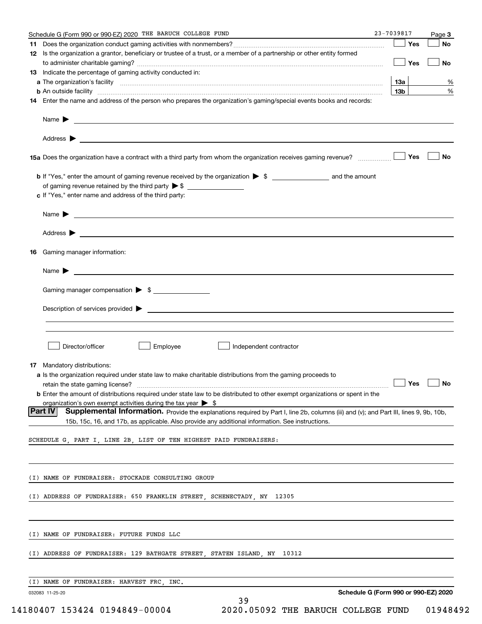|     | Schedule G (Form 990 or 990-EZ) 2020 THE BARUCH COLLEGE FUND                                                                                                                                                                                                                          | 23-7039817 |     | Page 3 |
|-----|---------------------------------------------------------------------------------------------------------------------------------------------------------------------------------------------------------------------------------------------------------------------------------------|------------|-----|--------|
| 11. |                                                                                                                                                                                                                                                                                       |            | Yes | No     |
|     | 12 Is the organization a grantor, beneficiary or trustee of a trust, or a member of a partnership or other entity formed                                                                                                                                                              |            |     |        |
|     |                                                                                                                                                                                                                                                                                       |            | Yes | No     |
|     | 13 Indicate the percentage of gaming activity conducted in:                                                                                                                                                                                                                           |            |     |        |
|     |                                                                                                                                                                                                                                                                                       |            | 13а | %      |
|     | <b>b</b> An outside facility <i>www.communicality www.communicality.communicality www.communicality www.communicality.communicality www.communicality.com</i><br>14 Enter the name and address of the person who prepares the organization's gaming/special events books and records: |            | 13b | %      |
|     |                                                                                                                                                                                                                                                                                       |            |     |        |
|     |                                                                                                                                                                                                                                                                                       |            |     |        |
|     |                                                                                                                                                                                                                                                                                       |            |     |        |
|     |                                                                                                                                                                                                                                                                                       |            | Yes | No     |
|     |                                                                                                                                                                                                                                                                                       |            |     |        |
|     | of gaming revenue retained by the third party $\triangleright$ \$                                                                                                                                                                                                                     |            |     |        |
|     | c If "Yes," enter name and address of the third party:                                                                                                                                                                                                                                |            |     |        |
|     | $Name \rightarrow$                                                                                                                                                                                                                                                                    |            |     |        |
|     |                                                                                                                                                                                                                                                                                       |            |     |        |
|     |                                                                                                                                                                                                                                                                                       |            |     |        |
| 16  | Gaming manager information:                                                                                                                                                                                                                                                           |            |     |        |
|     | $Name \rightarrow$                                                                                                                                                                                                                                                                    |            |     |        |
|     |                                                                                                                                                                                                                                                                                       |            |     |        |
|     | Gaming manager compensation > \$                                                                                                                                                                                                                                                      |            |     |        |
|     | $Description of services provided$ $\triangleright$                                                                                                                                                                                                                                   |            |     |        |
|     |                                                                                                                                                                                                                                                                                       |            |     |        |
|     |                                                                                                                                                                                                                                                                                       |            |     |        |
|     | Director/officer<br>Employee<br>Independent contractor                                                                                                                                                                                                                                |            |     |        |
|     |                                                                                                                                                                                                                                                                                       |            |     |        |
|     | 17 Mandatory distributions:                                                                                                                                                                                                                                                           |            |     |        |
|     | a Is the organization required under state law to make charitable distributions from the gaming proceeds to                                                                                                                                                                           |            |     |        |
|     | $\Box$ Yes $\Box$ No<br>retain the state gaming license?                                                                                                                                                                                                                              |            |     |        |
|     | <b>b</b> Enter the amount of distributions required under state law to be distributed to other exempt organizations or spent in the                                                                                                                                                   |            |     |        |
|     | organization's own exempt activities during the tax year $\triangleright$ \$<br> Part IV<br>Supplemental Information. Provide the explanations required by Part I, line 2b, columns (iii) and (v); and Part III, lines 9, 9b, 10b,                                                    |            |     |        |
|     | 15b, 15c, 16, and 17b, as applicable. Also provide any additional information. See instructions.                                                                                                                                                                                      |            |     |        |
|     | SCHEDULE G, PART I, LINE 2B, LIST OF TEN HIGHEST PAID FUNDRAISERS:                                                                                                                                                                                                                    |            |     |        |
|     |                                                                                                                                                                                                                                                                                       |            |     |        |
|     |                                                                                                                                                                                                                                                                                       |            |     |        |
|     | (I) NAME OF FUNDRAISER: STOCKADE CONSULTING GROUP                                                                                                                                                                                                                                     |            |     |        |
|     | (I) ADDRESS OF FUNDRAISER: 650 FRANKLIN STREET, SCHENECTADY, NY 12305                                                                                                                                                                                                                 |            |     |        |
|     |                                                                                                                                                                                                                                                                                       |            |     |        |
|     |                                                                                                                                                                                                                                                                                       |            |     |        |
|     | (I) NAME OF FUNDRAISER: FUTURE FUNDS LLC                                                                                                                                                                                                                                              |            |     |        |
|     | (I) ADDRESS OF FUNDRAISER: 129 BATHGATE STREET, STATEN ISLAND, NY<br>10312                                                                                                                                                                                                            |            |     |        |
|     |                                                                                                                                                                                                                                                                                       |            |     |        |
|     | (I) NAME OF FUNDRAISER: HARVEST FRC, INC.                                                                                                                                                                                                                                             |            |     |        |
|     | Schedule G (Form 990 or 990-EZ) 2020<br>032083 11-25-20                                                                                                                                                                                                                               |            |     |        |
|     | 39                                                                                                                                                                                                                                                                                    |            |     |        |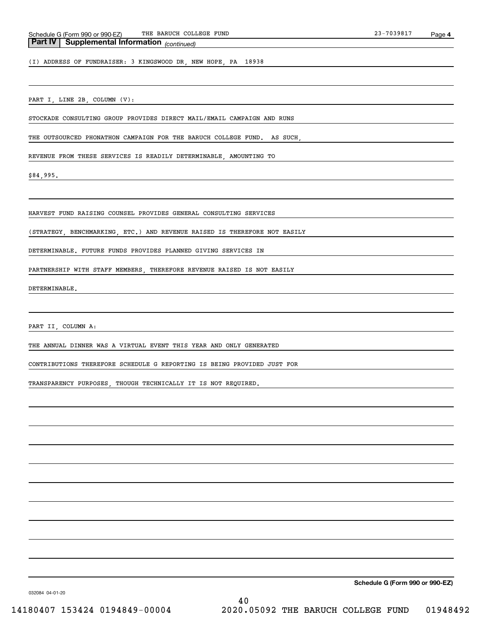### *(continued)* **Part IV Supplemental Information**

(I) ADDRESS OF FUNDRAISER: 3 KINGSWOOD DR, NEW HOPE, PA 18938

### PART I, LINE 2B, COLUMN (V):

STOCKADE CONSULTING GROUP PROVIDES DIRECT MAIL/EMAIL CAMPAIGN AND RUNS

THE OUTSOURCED PHONATHON CAMPAIGN FOR THE BARUCH COLLEGE FUND. AS SUCH,

REVENUE FROM THESE SERVICES IS READILY DETERMINABLE, AMOUNTING TO

\$84,995.

HARVEST FUND RAISING COUNSEL PROVIDES GENERAL CONSULTING SERVICES

(STRATEGY, BENCHMARKING, ETC.) AND REVENUE RAISED IS THEREFORE NOT EASILY

DETERMINABLE. FUTURE FUNDS PROVIDES PLANNED GIVING SERVICES IN

PARTNERSHIP WITH STAFF MEMBERS, THEREFORE REVENUE RAISED IS NOT EASILY

DETERMINABLE.

PART II, COLUMN A:

THE ANNUAL DINNER WAS A VIRTUAL EVENT THIS YEAR AND ONLY GENERATED

CONTRIBUTIONS THEREFORE SCHEDULE G REPORTING IS BEING PROVIDED JUST FOR

TRANSPARENCY PURPOSES, THOUGH TECHNICALLY IT IS NOT REQUIRED.

**Schedule G (Form 990 or 990-EZ)**

032084 04-01-20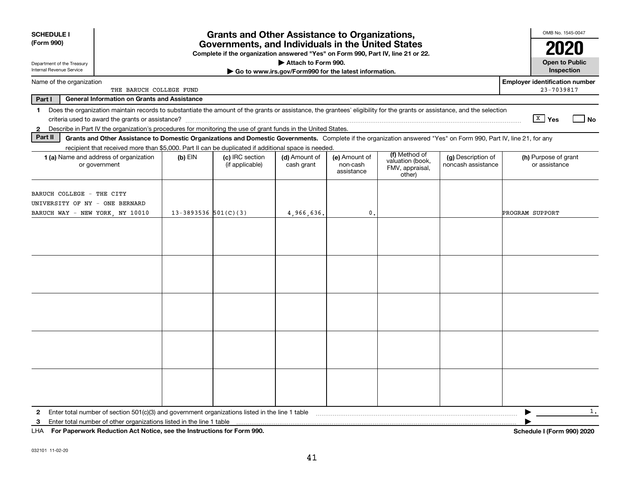| <b>SCHEDULE I</b><br>(Form 990)                        |                                                                                                                                                                                                                                                                                     |                            | <b>Grants and Other Assistance to Organizations,</b><br>Governments, and Individuals in the United States<br>Complete if the organization answered "Yes" on Form 990, Part IV, line 21 or 22. |                                                       |                                         |                                                                |                                          | OMB No. 1545-0047                                       |
|--------------------------------------------------------|-------------------------------------------------------------------------------------------------------------------------------------------------------------------------------------------------------------------------------------------------------------------------------------|----------------------------|-----------------------------------------------------------------------------------------------------------------------------------------------------------------------------------------------|-------------------------------------------------------|-----------------------------------------|----------------------------------------------------------------|------------------------------------------|---------------------------------------------------------|
| Department of the Treasury<br>Internal Revenue Service |                                                                                                                                                                                                                                                                                     |                            |                                                                                                                                                                                               | Attach to Form 990.                                   |                                         |                                                                |                                          | <b>Open to Public</b><br>Inspection                     |
| Name of the organization                               | THE BARUCH COLLEGE FUND                                                                                                                                                                                                                                                             |                            |                                                                                                                                                                                               | Go to www.irs.gov/Form990 for the latest information. |                                         |                                                                |                                          | <b>Employer identification number</b><br>23-7039817     |
| Part I                                                 | <b>General Information on Grants and Assistance</b>                                                                                                                                                                                                                                 |                            |                                                                                                                                                                                               |                                                       |                                         |                                                                |                                          |                                                         |
| $\mathbf 1$                                            | Does the organization maintain records to substantiate the amount of the grants or assistance, the grantees' eligibility for the grants or assistance, and the selection                                                                                                            |                            |                                                                                                                                                                                               |                                                       |                                         |                                                                |                                          |                                                         |
|                                                        |                                                                                                                                                                                                                                                                                     |                            |                                                                                                                                                                                               |                                                       |                                         |                                                                |                                          | $\sqrt{\frac{X}{X}}$ Yes<br>$\overline{\phantom{a}}$ No |
| $\mathbf{2}$<br>Part II                                | Describe in Part IV the organization's procedures for monitoring the use of grant funds in the United States.<br>Grants and Other Assistance to Domestic Organizations and Domestic Governments. Complete if the organization answered "Yes" on Form 990, Part IV, line 21, for any |                            |                                                                                                                                                                                               |                                                       |                                         |                                                                |                                          |                                                         |
|                                                        | recipient that received more than \$5,000. Part II can be duplicated if additional space is needed.                                                                                                                                                                                 |                            |                                                                                                                                                                                               |                                                       |                                         |                                                                |                                          |                                                         |
|                                                        | <b>1 (a)</b> Name and address of organization<br>or government                                                                                                                                                                                                                      | $(b)$ EIN                  | (c) IRC section<br>(if applicable)                                                                                                                                                            | (d) Amount of<br>cash grant                           | (e) Amount of<br>non-cash<br>assistance | (f) Method of<br>valuation (book,<br>FMV, appraisal,<br>other) | (g) Description of<br>noncash assistance | (h) Purpose of grant<br>or assistance                   |
|                                                        | BARUCH COLLEGE - THE CITY<br>UNIVERSITY OF NY - ONE BERNARD                                                                                                                                                                                                                         |                            |                                                                                                                                                                                               |                                                       |                                         |                                                                |                                          |                                                         |
|                                                        | BARUCH WAY - NEW YORK, NY 10010                                                                                                                                                                                                                                                     | $13 - 3893536$ $501(C)(3)$ |                                                                                                                                                                                               | 4,966,636.                                            | 0.                                      |                                                                |                                          | PROGRAM SUPPORT                                         |
|                                                        |                                                                                                                                                                                                                                                                                     |                            |                                                                                                                                                                                               |                                                       |                                         |                                                                |                                          |                                                         |
|                                                        |                                                                                                                                                                                                                                                                                     |                            |                                                                                                                                                                                               |                                                       |                                         |                                                                |                                          |                                                         |
|                                                        |                                                                                                                                                                                                                                                                                     |                            |                                                                                                                                                                                               |                                                       |                                         |                                                                |                                          |                                                         |
|                                                        |                                                                                                                                                                                                                                                                                     |                            |                                                                                                                                                                                               |                                                       |                                         |                                                                |                                          |                                                         |
|                                                        |                                                                                                                                                                                                                                                                                     |                            |                                                                                                                                                                                               |                                                       |                                         |                                                                |                                          |                                                         |
|                                                        |                                                                                                                                                                                                                                                                                     |                            |                                                                                                                                                                                               |                                                       |                                         |                                                                |                                          | 1.<br>▶                                                 |
| 3                                                      | UUA Deu Den surrent: Destretien Ast Netice and the Instructions for Form 000                                                                                                                                                                                                        |                            |                                                                                                                                                                                               |                                                       |                                         |                                                                |                                          | Calconials UFax<br>.0001000                             |

**For Paperwork Reduction Act Notice, see the Instructions for Form 990. Schedule I (Form 990) 2020** LHA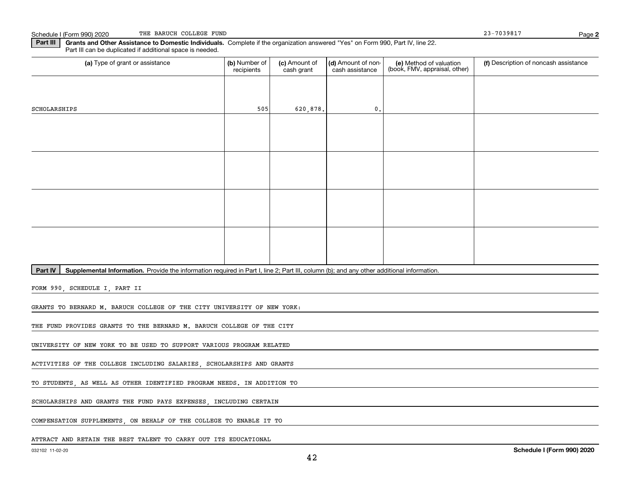**2**

**Part III | Grants and Other Assistance to Domestic Individuals. Complete if the organization answered "Yes" on Form 990, Part IV, line 22.** Part III can be duplicated if additional space is needed.

| (a) Type of grant or assistance                                                                                                                      | (b) Number of | (c) Amount of | (d) Amount of non- | (e) Method of valuation<br>(book, FMV, appraisal, other) | (f) Description of noncash assistance |
|------------------------------------------------------------------------------------------------------------------------------------------------------|---------------|---------------|--------------------|----------------------------------------------------------|---------------------------------------|
|                                                                                                                                                      | recipients    | cash grant    | cash assistance    |                                                          |                                       |
|                                                                                                                                                      |               |               |                    |                                                          |                                       |
|                                                                                                                                                      |               |               |                    |                                                          |                                       |
|                                                                                                                                                      |               |               |                    |                                                          |                                       |
|                                                                                                                                                      |               |               |                    |                                                          |                                       |
| SCHOLARSHIPS                                                                                                                                         | 505           | 620,878.      | $\mathbf{0}$ .     |                                                          |                                       |
|                                                                                                                                                      |               |               |                    |                                                          |                                       |
|                                                                                                                                                      |               |               |                    |                                                          |                                       |
|                                                                                                                                                      |               |               |                    |                                                          |                                       |
|                                                                                                                                                      |               |               |                    |                                                          |                                       |
|                                                                                                                                                      |               |               |                    |                                                          |                                       |
|                                                                                                                                                      |               |               |                    |                                                          |                                       |
|                                                                                                                                                      |               |               |                    |                                                          |                                       |
|                                                                                                                                                      |               |               |                    |                                                          |                                       |
|                                                                                                                                                      |               |               |                    |                                                          |                                       |
|                                                                                                                                                      |               |               |                    |                                                          |                                       |
|                                                                                                                                                      |               |               |                    |                                                          |                                       |
|                                                                                                                                                      |               |               |                    |                                                          |                                       |
|                                                                                                                                                      |               |               |                    |                                                          |                                       |
|                                                                                                                                                      |               |               |                    |                                                          |                                       |
|                                                                                                                                                      |               |               |                    |                                                          |                                       |
|                                                                                                                                                      |               |               |                    |                                                          |                                       |
|                                                                                                                                                      |               |               |                    |                                                          |                                       |
|                                                                                                                                                      |               |               |                    |                                                          |                                       |
|                                                                                                                                                      |               |               |                    |                                                          |                                       |
|                                                                                                                                                      |               |               |                    |                                                          |                                       |
| Part IV<br>Supplemental Information. Provide the information required in Part I, line 2; Part III, column (b); and any other additional information. |               |               |                    |                                                          |                                       |

FORM 990, SCHEDULE I, PART II

GRANTS TO BERNARD M. BARUCH COLLEGE OF THE CITY UNIVERSITY OF NEW YORK:

THE FUND PROVIDES GRANTS TO THE BERNARD M. BARUCH COLLEGE OF THE CITY

UNIVERSITY OF NEW YORK TO BE USED TO SUPPORT VARIOUS PROGRAM RELATED

ACTIVITIES OF THE COLLEGE INCLUDING SALARIES, SCHOLARSHIPS AND GRANTS

TO STUDENTS, AS WELL AS OTHER IDENTIFIED PROGRAM NEEDS. IN ADDITION TO

SCHOLARSHIPS AND GRANTS THE FUND PAYS EXPENSES, INCLUDING CERTAIN

COMPENSATION SUPPLEMENTS, ON BEHALF OF THE COLLEGE TO ENABLE IT TO

ATTRACT AND RETAIN THE BEST TALENT TO CARRY OUT ITS EDUCATIONAL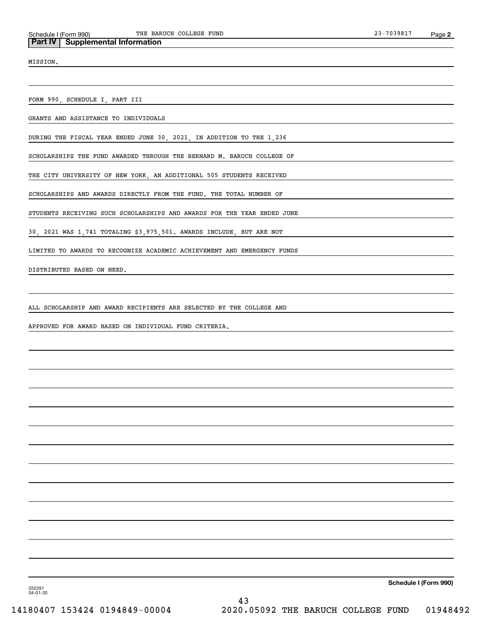MISSION.

FORM 990, SCHEDULE I, PART III

GRANTS AND ASSISTANCE TO INDIVIDUALS

DURING THE FISCAL YEAR ENDED JUNE 30, 2021, IN ADDITION TO THE 1,236

SCHOLARSHIPS THE FUND AWARDED THROUGH THE BERNARD M. BARUCH COLLEGE OF

THE CITY UNIVERSITY OF NEW YORK, AN ADDITIONAL 505 STUDENTS RECEIVED

SCHOLARSHIPS AND AWARDS DIRECTLY FROM THE FUND. THE TOTAL NUMBER OF

STUDENTS RECEIVING SUCH SCHOLARSHIPS AND AWARDS FOR THE YEAR ENDED JUNE

30, 2021 WAS 1,741 TOTALING \$3,975,501. AWARDS INCLUDE, BUT ARE NOT

LIMITED TO AWARDS TO RECOGNIZE ACADEMIC ACHIEVEMENT AND EMERGENCY FUNDS

DISTRIBUTED BASED ON NEED.

ALL SCHOLARSHIP AND AWARD RECIPIENTS ARE SELECTED BY THE COLLEGE AND

APPROVED FOR AWARD BASED ON INDIVIDUAL FUND CRITERIA.

**Schedule I (Form 990)**

032291 04-01-20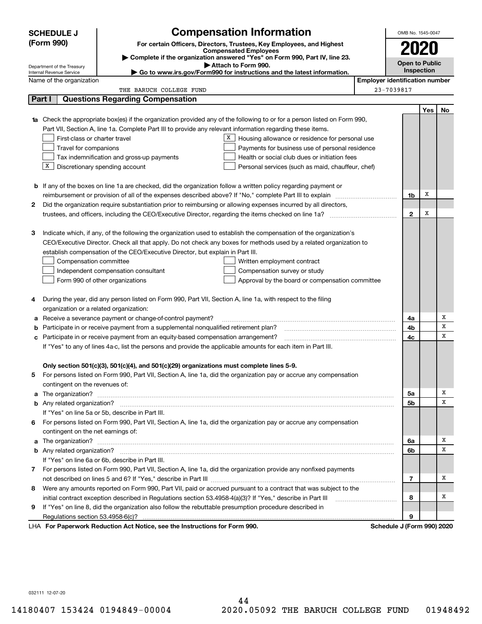|        | <b>SCHEDULE J</b>                                                                                                                                        |                                                                                                              | <b>Compensation Information</b>                                                                                        |                                       | OMB No. 1545-0047          |      |    |  |
|--------|----------------------------------------------------------------------------------------------------------------------------------------------------------|--------------------------------------------------------------------------------------------------------------|------------------------------------------------------------------------------------------------------------------------|---------------------------------------|----------------------------|------|----|--|
|        | (Form 990)<br>For certain Officers, Directors, Trustees, Key Employees, and Highest                                                                      |                                                                                                              |                                                                                                                        |                                       |                            | 2020 |    |  |
|        | <b>Compensated Employees</b>                                                                                                                             |                                                                                                              |                                                                                                                        |                                       |                            |      |    |  |
|        | Complete if the organization answered "Yes" on Form 990, Part IV, line 23.<br><b>Open to Public</b><br>Attach to Form 990.<br>Department of the Treasury |                                                                                                              |                                                                                                                        |                                       |                            |      |    |  |
|        | Internal Revenue Service                                                                                                                                 |                                                                                                              | Go to www.irs.gov/Form990 for instructions and the latest information.                                                 |                                       | Inspection                 |      |    |  |
|        | Name of the organization                                                                                                                                 |                                                                                                              |                                                                                                                        | <b>Employer identification number</b> |                            |      |    |  |
|        |                                                                                                                                                          | THE BARUCH COLLEGE FUND                                                                                      |                                                                                                                        |                                       | 23-7039817                 |      |    |  |
| Part I |                                                                                                                                                          | <b>Questions Regarding Compensation</b>                                                                      |                                                                                                                        |                                       |                            |      |    |  |
|        |                                                                                                                                                          |                                                                                                              |                                                                                                                        |                                       |                            | Yes  | No |  |
| 1a     |                                                                                                                                                          |                                                                                                              | Check the appropriate box(es) if the organization provided any of the following to or for a person listed on Form 990, |                                       |                            |      |    |  |
|        |                                                                                                                                                          | Part VII, Section A, line 1a. Complete Part III to provide any relevant information regarding these items.   |                                                                                                                        |                                       |                            |      |    |  |
|        | First-class or charter travel                                                                                                                            |                                                                                                              | X<br>Housing allowance or residence for personal use                                                                   |                                       |                            |      |    |  |
|        | Travel for companions                                                                                                                                    |                                                                                                              | Payments for business use of personal residence                                                                        |                                       |                            |      |    |  |
|        |                                                                                                                                                          | Tax indemnification and gross-up payments                                                                    | Health or social club dues or initiation fees                                                                          |                                       |                            |      |    |  |
|        | х                                                                                                                                                        | Discretionary spending account                                                                               | Personal services (such as maid, chauffeur, chef)                                                                      |                                       |                            |      |    |  |
|        |                                                                                                                                                          |                                                                                                              |                                                                                                                        |                                       |                            |      |    |  |
|        |                                                                                                                                                          |                                                                                                              | <b>b</b> If any of the boxes on line 1a are checked, did the organization follow a written policy regarding payment or |                                       |                            | х    |    |  |
|        | reimbursement or provision of all of the expenses described above? If "No," complete Part III to explain<br>1b                                           |                                                                                                              |                                                                                                                        |                                       |                            |      |    |  |
| 2      |                                                                                                                                                          |                                                                                                              | Did the organization require substantiation prior to reimbursing or allowing expenses incurred by all directors,       |                                       |                            |      |    |  |
|        |                                                                                                                                                          |                                                                                                              |                                                                                                                        |                                       | $\mathbf{2}$               | х    |    |  |
|        |                                                                                                                                                          |                                                                                                              |                                                                                                                        |                                       |                            |      |    |  |
| з      |                                                                                                                                                          |                                                                                                              | Indicate which, if any, of the following the organization used to establish the compensation of the organization's     |                                       |                            |      |    |  |
|        |                                                                                                                                                          |                                                                                                              | CEO/Executive Director. Check all that apply. Do not check any boxes for methods used by a related organization to     |                                       |                            |      |    |  |
|        |                                                                                                                                                          | establish compensation of the CEO/Executive Director, but explain in Part III.                               |                                                                                                                        |                                       |                            |      |    |  |
|        | Compensation committee                                                                                                                                   |                                                                                                              | Written employment contract                                                                                            |                                       |                            |      |    |  |
|        |                                                                                                                                                          | Independent compensation consultant                                                                          | Compensation survey or study                                                                                           |                                       |                            |      |    |  |
|        |                                                                                                                                                          | Form 990 of other organizations                                                                              | Approval by the board or compensation committee                                                                        |                                       |                            |      |    |  |
| 4      |                                                                                                                                                          | During the year, did any person listed on Form 990, Part VII, Section A, line 1a, with respect to the filing |                                                                                                                        |                                       |                            |      |    |  |
|        | organization or a related organization:                                                                                                                  |                                                                                                              |                                                                                                                        |                                       |                            |      |    |  |
| a      |                                                                                                                                                          | Receive a severance payment or change-of-control payment?                                                    |                                                                                                                        |                                       | 4a                         |      | Х  |  |
| b      |                                                                                                                                                          | Participate in or receive payment from a supplemental nongualified retirement plan?                          |                                                                                                                        |                                       | 4b                         |      | x  |  |
| с      | Participate in or receive payment from an equity-based compensation arrangement?                                                                         |                                                                                                              |                                                                                                                        |                                       | 4c                         |      | X  |  |
|        | If "Yes" to any of lines 4a-c, list the persons and provide the applicable amounts for each item in Part III.                                            |                                                                                                              |                                                                                                                        |                                       |                            |      |    |  |
|        |                                                                                                                                                          |                                                                                                              |                                                                                                                        |                                       |                            |      |    |  |
|        |                                                                                                                                                          | Only section 501(c)(3), 501(c)(4), and 501(c)(29) organizations must complete lines 5-9.                     |                                                                                                                        |                                       |                            |      |    |  |
|        |                                                                                                                                                          |                                                                                                              | For persons listed on Form 990, Part VII, Section A, line 1a, did the organization pay or accrue any compensation      |                                       |                            |      |    |  |
|        | contingent on the revenues of:                                                                                                                           |                                                                                                              |                                                                                                                        |                                       |                            |      |    |  |
|        |                                                                                                                                                          |                                                                                                              |                                                                                                                        |                                       | 5а                         |      | х  |  |
|        | <b>b</b> Any related organization?                                                                                                                       |                                                                                                              |                                                                                                                        |                                       | 5b                         |      | x  |  |
|        |                                                                                                                                                          | If "Yes" on line 5a or 5b, describe in Part III.                                                             |                                                                                                                        |                                       |                            |      |    |  |
| 6      |                                                                                                                                                          |                                                                                                              | For persons listed on Form 990, Part VII, Section A, line 1a, did the organization pay or accrue any compensation      |                                       |                            |      |    |  |
|        | contingent on the net earnings of:                                                                                                                       |                                                                                                              |                                                                                                                        |                                       |                            |      |    |  |
| a      |                                                                                                                                                          |                                                                                                              | The organization? <b>With the organization? With the organization? With the organization? With the organization?</b>   |                                       | 6a                         |      | х  |  |
|        |                                                                                                                                                          |                                                                                                              |                                                                                                                        |                                       | 6b                         |      | х  |  |
|        |                                                                                                                                                          | If "Yes" on line 6a or 6b, describe in Part III.                                                             |                                                                                                                        |                                       |                            |      |    |  |
|        |                                                                                                                                                          |                                                                                                              | 7 For persons listed on Form 990, Part VII, Section A, line 1a, did the organization provide any nonfixed payments     |                                       |                            |      |    |  |
|        |                                                                                                                                                          |                                                                                                              |                                                                                                                        |                                       | 7                          |      | х  |  |
| 8      |                                                                                                                                                          |                                                                                                              | Were any amounts reported on Form 990, Part VII, paid or accrued pursuant to a contract that was subject to the        |                                       |                            |      |    |  |
|        |                                                                                                                                                          | initial contract exception described in Regulations section 53.4958-4(a)(3)? If "Yes," describe in Part III  |                                                                                                                        |                                       | 8                          |      | х  |  |
| 9      |                                                                                                                                                          | If "Yes" on line 8, did the organization also follow the rebuttable presumption procedure described in       |                                                                                                                        |                                       |                            |      |    |  |
|        | Regulations section 53.4958-6(c)?                                                                                                                        |                                                                                                              |                                                                                                                        |                                       | 9                          |      |    |  |
|        |                                                                                                                                                          | LHA For Paperwork Reduction Act Notice, see the Instructions for Form 990.                                   |                                                                                                                        |                                       | Schedule J (Form 990) 2020 |      |    |  |

032111 12-07-20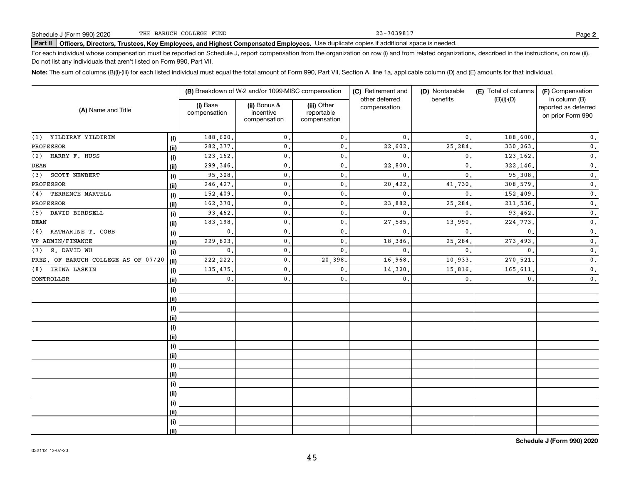23-7039817

# **Part II Officers, Directors, Trustees, Key Employees, and Highest Compensated Employees.**  Schedule J (Form 990) 2020 Page Use duplicate copies if additional space is needed.

For each individual whose compensation must be reported on Schedule J, report compensation from the organization on row (i) and from related organizations, described in the instructions, on row (ii). Do not list any individuals that aren't listed on Form 990, Part VII.

**Note:**  The sum of columns (B)(i)-(iii) for each listed individual must equal the total amount of Form 990, Part VII, Section A, line 1a, applicable column (D) and (E) amounts for that individual.

|                                     |      |                          | (B) Breakdown of W-2 and/or 1099-MISC compensation |                                           | (C) Retirement and<br>other deferred | (D) Nontaxable<br>benefits | (E) Total of columns<br>$(B)(i)-(D)$ | (F) Compensation<br>in column (B)         |
|-------------------------------------|------|--------------------------|----------------------------------------------------|-------------------------------------------|--------------------------------------|----------------------------|--------------------------------------|-------------------------------------------|
| (A) Name and Title                  |      | (i) Base<br>compensation | (ii) Bonus &<br>incentive<br>compensation          | (iii) Other<br>reportable<br>compensation | compensation                         |                            |                                      | reported as deferred<br>on prior Form 990 |
| (1) YILDIRAY YILDIRIM               | (i)  | 188,600.                 | $\mathbf{0}$ .                                     | 0.                                        | 0.                                   | $\mathbf{0}$ .             | 188,600.                             | $\mathbf 0$ .                             |
| PROFESSOR                           | (ii) | 282,377.                 | $\mathbf 0$ .                                      | 0.                                        | 22,602                               | 25,284.                    | 330,263.                             | $\mathbf 0$ .                             |
| HARRY F. HUSS<br>(2)                | (i)  | 123,162.                 | $\mathbf{0}$ .                                     | 0.                                        | 0.                                   | $\mathbf{0}$ .             | 123,162.                             | $\mathbf 0$ .                             |
| DEAN                                | (ii) | 299,346.                 | $\mathbf{0}$ .                                     | 0.                                        | 22,800                               | $\mathbf{0}$ .             | 322,146.                             | $\mathbf 0$ .                             |
| SCOTT NEWBERT<br>(3)                | (i)  | 95,308.                  | $\mathbf{0}$ .                                     | $\mathbf{0}$ .                            | $\mathbf{0}$ .                       | $\mathbf{0}$ .             | 95,308.                              | $\overline{\mathbf{0}}$ .                 |
| PROFESSOR                           | (ii) | 246,427.                 | $\mathbf{0}$ .                                     | $\mathbf{0}$ .                            | 20,422                               | 41,730.                    | 308,579.                             | $\overline{\mathbf{0}}$ .                 |
| TERRENCE MARTELL<br>(4)             | (i)  | 152,409.                 | $\mathbf 0$ .                                      | $\mathbf{0}$ .                            | $\mathbf{0}$ .                       | $\mathbf{0}$               | 152,409.                             | $\mathbf 0$ .                             |
| PROFESSOR                           | (ii) | 162,370.                 | $\mathbf 0$ .                                      | $\mathbf{0}$ .                            | 23,882                               | 25,284                     | 211,536.                             | $\mathbf 0$ .                             |
| (5) DAVID BIRDSELL                  | (i)  | 93,462.                  | $\mathbf 0$ .                                      | 0.                                        | $\mathbf{0}$ .                       | $\mathbf{0}$               | 93,462.                              | $\mathbf 0$ .                             |
| DEAN                                | (ii) | 183,198.                 | $\mathbf 0$ .                                      | 0.                                        | 27,585                               | 13,990                     | 224,773.                             | $\mathbf 0$ .                             |
| (6) KATHARINE T. COBB               | (i)  | $\mathbf{0}$ .           | $\mathbf 0$ .                                      | 0.                                        | 0.                                   | $\mathbf{0}$ .             | $\mathbf{0}$ .                       | $\mathbf 0$ .                             |
| VP ADMIN/FINANCE                    | (ii) | 229,823.                 | $\mathbf 0$ .                                      | 0.                                        | 18,386                               | 25,284.                    | 273, 493.                            | 0.                                        |
| (7) S. DAVID WU                     | (i)  | $\mathbf{0}$ .           | $\mathbf 0$ .                                      | 0.                                        | $\mathbf{0}$ .                       | $\mathbf{0}$ .             | 0.                                   | $\mathbf 0$ .                             |
| PRES. OF BARUCH COLLEGE AS OF 07/20 | (ii) | 222, 222.                | $\mathbf{0}$ .                                     | 20,398.                                   | 16,968                               | 10,933.                    | 270,521.                             | 0.                                        |
| IRINA LASKIN<br>(8)                 | (i)  | 135,475.                 | $\mathbf{0}$ .                                     | 0.                                        | 14,320                               | 15,816.                    | 165,611.                             | $\mathbf 0$ .                             |
| CONTROLLER                          | (ii) | $\mathsf{0}\,.$          | $\mathbf{0}$ .                                     | $\mathbf{0}$ .                            | $\mathbf{0}$ .                       | $\mathbf{0}$ .             | $\mathbf{0}$ .                       | $\mathbf 0$ .                             |
|                                     | (i)  |                          |                                                    |                                           |                                      |                            |                                      |                                           |
|                                     | (ii) |                          |                                                    |                                           |                                      |                            |                                      |                                           |
|                                     | (i)  |                          |                                                    |                                           |                                      |                            |                                      |                                           |
|                                     | (ii) |                          |                                                    |                                           |                                      |                            |                                      |                                           |
|                                     | (i)  |                          |                                                    |                                           |                                      |                            |                                      |                                           |
|                                     | (ii) |                          |                                                    |                                           |                                      |                            |                                      |                                           |
|                                     | (i)  |                          |                                                    |                                           |                                      |                            |                                      |                                           |
|                                     | (ii) |                          |                                                    |                                           |                                      |                            |                                      |                                           |
|                                     | (i)  |                          |                                                    |                                           |                                      |                            |                                      |                                           |
|                                     | (ii) |                          |                                                    |                                           |                                      |                            |                                      |                                           |
|                                     | (i)  |                          |                                                    |                                           |                                      |                            |                                      |                                           |
|                                     | (ii) |                          |                                                    |                                           |                                      |                            |                                      |                                           |
|                                     | (i)  |                          |                                                    |                                           |                                      |                            |                                      |                                           |
|                                     | (ii) |                          |                                                    |                                           |                                      |                            |                                      |                                           |
|                                     | (i)  |                          |                                                    |                                           |                                      |                            |                                      |                                           |
|                                     | (ii) |                          |                                                    |                                           |                                      |                            |                                      |                                           |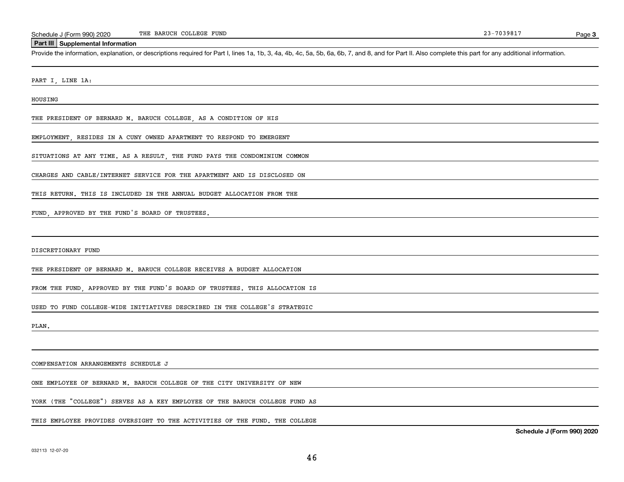### **Part III Supplemental Information**

Schedule J (Form 990) 2020 THE BARUCH COLLEGE FUND<br>Part III Supplemental Information<br>Provide the information, explanation, or descriptions required for Part I, lines 1a, 1b, 3, 4a, 4b, 4c, 5a, 5b, 6a, 6b, 7, and 8, and for

PART I, LINE 1A:

HOUSING

THE PRESIDENT OF BERNARD M. BARUCH COLLEGE, AS A CONDITION OF HIS

EMPLOYMENT, RESIDES IN A CUNY OWNED APARTMENT TO RESPOND TO EMERGENT

SITUATIONS AT ANY TIME. AS A RESULT, THE FUND PAYS THE CONDOMINIUM COMMON

CHARGES AND CABLE/INTERNET SERVICE FOR THE APARTMENT AND IS DISCLOSED ON

THIS RETURN. THIS IS INCLUDED IN THE ANNUAL BUDGET ALLOCATION FROM THE

FUND, APPROVED BY THE FUND'S BOARD OF TRUSTEES.

DISCRETIONARY FUND

THE PRESIDENT OF BERNARD M. BARUCH COLLEGE RECEIVES A BUDGET ALLOCATION

FROM THE FUND, APPROVED BY THE FUND'S BOARD OF TRUSTEES. THIS ALLOCATION IS

USED TO FUND COLLEGE-WIDE INITIATIVES DESCRIBED IN THE COLLEGE'S STRATEGIC

PLAN.

COMPENSATION ARRANGEMENTS SCHEDULE J

ONE EMPLOYEE OF BERNARD M. BARUCH COLLEGE OF THE CITY UNIVERSITY OF NEW

YORK (THE "COLLEGE") SERVES AS A KEY EMPLOYEE OF THE BARUCH COLLEGE FUND AS

THIS EMPLOYEE PROVIDES OVERSIGHT TO THE ACTIVITIES OF THE FUND. THE COLLEGE

**Schedule J (Form 990) 2020**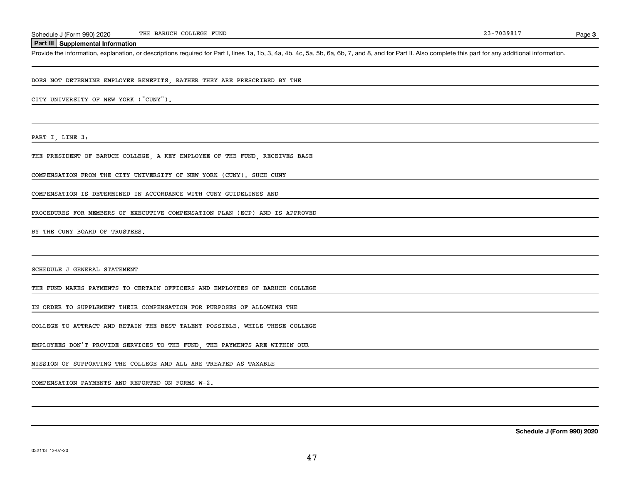Page 3

### **Part III Supplemental Information**

Schedule J (Form 990) 2020 THE BARUCH COLLEGE FUND<br>Part III Supplemental Information<br>Provide the information, explanation, or descriptions required for Part I, lines 1a, 1b, 3, 4a, 4b, 4c, 5a, 5b, 6a, 6b, 7, and 8, and for

DOES NOT DETERMINE EMPLOYEE BENEFITS, RATHER THEY ARE PRESCRIBED BY THE

CITY UNIVERSITY OF NEW YORK ("CUNY").

PART I, LINE 3:

THE PRESIDENT OF BARUCH COLLEGE, A KEY EMPLOYEE OF THE FUND, RECEIVES BASE

COMPENSATION FROM THE CITY UNIVERSITY OF NEW YORK (CUNY). SUCH CUNY

COMPENSATION IS DETERMINED IN ACCORDANCE WITH CUNY GUIDELINES AND

PROCEDURES FOR MEMBERS OF EXECUTIVE COMPENSATION PLAN (ECP) AND IS APPROVED

BY THE CUNY BOARD OF TRUSTEES.

SCHEDULE J GENERAL STATEMENT

THE FUND MAKES PAYMENTS TO CERTAIN OFFICERS AND EMPLOYEES OF BARUCH COLLEGE

IN ORDER TO SUPPLEMENT THEIR COMPENSATION FOR PURPOSES OF ALLOWING THE

COLLEGE TO ATTRACT AND RETAIN THE BEST TALENT POSSIBLE. WHILE THESE COLLEGE

EMPLOYEES DON'T PROVIDE SERVICES TO THE FUND, THE PAYMENTS ARE WITHIN OUR

MISSION OF SUPPORTING THE COLLEGE AND ALL ARE TREATED AS TAXABLE

COMPENSATION PAYMENTS AND REPORTED ON FORMS W-2.

**Schedule J (Form 990) 2020**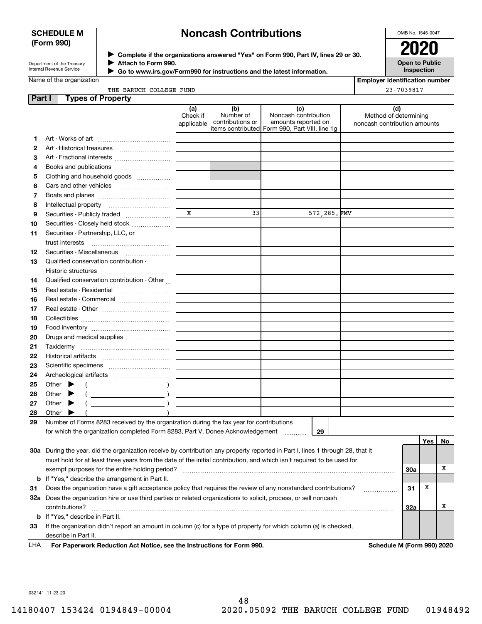### **SCHEDULE M (Form 990)**

# **Noncash Contributions**

OMB No. 1545-0047

| Department of the Treasury |  |
|----------------------------|--|
| Internal Revenue Service   |  |

**Complete if the organizations answered "Yes" on Form 990, Part IV, lines 29 or 30.** <sup>J</sup>**2020 Attach to Form 990.** J

 **Go to www.irs.gov/Form990 for instructions and the latest information.** J

**Open to Public Inspection**

| Name of the organization |  |  |  |  |
|--------------------------|--|--|--|--|
|--------------------------|--|--|--|--|

|  | THE BARUCH COLLEGE FUND |  |
|--|-------------------------|--|

|--|

|  | 23-7039817 |
|--|------------|
|--|------------|

| Part I | <b>Types of Property</b>                                                                                                                                                                                                                                                                                                                                                                                                                     |                               |                                      |                                                                                                        |                                                              |     |          |   |
|--------|----------------------------------------------------------------------------------------------------------------------------------------------------------------------------------------------------------------------------------------------------------------------------------------------------------------------------------------------------------------------------------------------------------------------------------------------|-------------------------------|--------------------------------------|--------------------------------------------------------------------------------------------------------|--------------------------------------------------------------|-----|----------|---|
|        |                                                                                                                                                                                                                                                                                                                                                                                                                                              | (a)<br>Check if<br>applicable | (b)<br>Number of<br>contributions or | (c)<br>Noncash contribution<br>amounts reported on<br> items contributed  Form 990, Part VIII, line 1g | (d)<br>Method of determining<br>noncash contribution amounts |     |          |   |
| 1.     |                                                                                                                                                                                                                                                                                                                                                                                                                                              |                               |                                      |                                                                                                        |                                                              |     |          |   |
| 2      |                                                                                                                                                                                                                                                                                                                                                                                                                                              |                               |                                      |                                                                                                        |                                                              |     |          |   |
| 3      | Art - Fractional interests                                                                                                                                                                                                                                                                                                                                                                                                                   |                               |                                      |                                                                                                        |                                                              |     |          |   |
| 4      |                                                                                                                                                                                                                                                                                                                                                                                                                                              |                               |                                      |                                                                                                        |                                                              |     |          |   |
| 5      | Books and publications                                                                                                                                                                                                                                                                                                                                                                                                                       |                               |                                      |                                                                                                        |                                                              |     |          |   |
| 6      | Clothing and household goods                                                                                                                                                                                                                                                                                                                                                                                                                 |                               |                                      |                                                                                                        |                                                              |     |          |   |
| 7      |                                                                                                                                                                                                                                                                                                                                                                                                                                              |                               |                                      |                                                                                                        |                                                              |     |          |   |
|        |                                                                                                                                                                                                                                                                                                                                                                                                                                              |                               |                                      |                                                                                                        |                                                              |     |          |   |
| 8      | Intellectual property                                                                                                                                                                                                                                                                                                                                                                                                                        | $\mathbf X$                   | 33                                   | 572, 285. FMV                                                                                          |                                                              |     |          |   |
| 9      | Securities - Publicly traded                                                                                                                                                                                                                                                                                                                                                                                                                 |                               |                                      |                                                                                                        |                                                              |     |          |   |
| 10     | Securities - Closely held stock                                                                                                                                                                                                                                                                                                                                                                                                              |                               |                                      |                                                                                                        |                                                              |     |          |   |
| 11     | Securities - Partnership, LLC, or                                                                                                                                                                                                                                                                                                                                                                                                            |                               |                                      |                                                                                                        |                                                              |     |          |   |
|        | trust interests                                                                                                                                                                                                                                                                                                                                                                                                                              |                               |                                      |                                                                                                        |                                                              |     |          |   |
| 12     | Securities - Miscellaneous                                                                                                                                                                                                                                                                                                                                                                                                                   |                               |                                      |                                                                                                        |                                                              |     |          |   |
| 13     | Qualified conservation contribution -<br>Historic structures                                                                                                                                                                                                                                                                                                                                                                                 |                               |                                      |                                                                                                        |                                                              |     |          |   |
|        | Qualified conservation contribution - Other                                                                                                                                                                                                                                                                                                                                                                                                  |                               |                                      |                                                                                                        |                                                              |     |          |   |
| 14     |                                                                                                                                                                                                                                                                                                                                                                                                                                              |                               |                                      |                                                                                                        |                                                              |     |          |   |
| 15     | Real estate - Residential                                                                                                                                                                                                                                                                                                                                                                                                                    |                               |                                      |                                                                                                        |                                                              |     |          |   |
| 16     | Real estate - Commercial                                                                                                                                                                                                                                                                                                                                                                                                                     |                               |                                      |                                                                                                        |                                                              |     |          |   |
| 17     |                                                                                                                                                                                                                                                                                                                                                                                                                                              |                               |                                      |                                                                                                        |                                                              |     |          |   |
| 18     |                                                                                                                                                                                                                                                                                                                                                                                                                                              |                               |                                      |                                                                                                        |                                                              |     |          |   |
| 19     |                                                                                                                                                                                                                                                                                                                                                                                                                                              |                               |                                      |                                                                                                        |                                                              |     |          |   |
| 20     | Drugs and medical supplies                                                                                                                                                                                                                                                                                                                                                                                                                   |                               |                                      |                                                                                                        |                                                              |     |          |   |
| 21     |                                                                                                                                                                                                                                                                                                                                                                                                                                              |                               |                                      |                                                                                                        |                                                              |     |          |   |
| 22     |                                                                                                                                                                                                                                                                                                                                                                                                                                              |                               |                                      |                                                                                                        |                                                              |     |          |   |
| 23     |                                                                                                                                                                                                                                                                                                                                                                                                                                              |                               |                                      |                                                                                                        |                                                              |     |          |   |
| 24     |                                                                                                                                                                                                                                                                                                                                                                                                                                              |                               |                                      |                                                                                                        |                                                              |     |          |   |
| 25     | Other $\blacktriangleright$<br>$\left(\begin{array}{ccc}\n\frac{1}{2} & \frac{1}{2} & \frac{1}{2} & \frac{1}{2} & \frac{1}{2} & \frac{1}{2} & \frac{1}{2} & \frac{1}{2} & \frac{1}{2} & \frac{1}{2} & \frac{1}{2} & \frac{1}{2} & \frac{1}{2} & \frac{1}{2} & \frac{1}{2} & \frac{1}{2} & \frac{1}{2} & \frac{1}{2} & \frac{1}{2} & \frac{1}{2} & \frac{1}{2} & \frac{1}{2} & \frac{1}{2} & \frac{1}{2} & \frac{1}{2} & \frac{1}{2} & \frac$ |                               |                                      |                                                                                                        |                                                              |     |          |   |
| 26     | Other $\blacktriangleright$                                                                                                                                                                                                                                                                                                                                                                                                                  |                               |                                      |                                                                                                        |                                                              |     |          |   |
| 27     | Other $\blacktriangleright$                                                                                                                                                                                                                                                                                                                                                                                                                  |                               |                                      |                                                                                                        |                                                              |     |          |   |
| 28     | Other                                                                                                                                                                                                                                                                                                                                                                                                                                        |                               |                                      |                                                                                                        |                                                              |     |          |   |
| 29     | Number of Forms 8283 received by the organization during the tax year for contributions                                                                                                                                                                                                                                                                                                                                                      |                               |                                      |                                                                                                        |                                                              |     |          |   |
|        | for which the organization completed Form 8283, Part V, Donee Acknowledgement                                                                                                                                                                                                                                                                                                                                                                |                               |                                      | 29                                                                                                     |                                                              |     |          |   |
|        |                                                                                                                                                                                                                                                                                                                                                                                                                                              |                               |                                      |                                                                                                        |                                                              |     | Yes   No |   |
|        | 30a During the year, did the organization receive by contribution any property reported in Part I, lines 1 through 28, that it                                                                                                                                                                                                                                                                                                               |                               |                                      |                                                                                                        |                                                              |     |          |   |
|        | must hold for at least three years from the date of the initial contribution, and which isn't required to be used for                                                                                                                                                                                                                                                                                                                        |                               |                                      |                                                                                                        |                                                              |     |          |   |
|        |                                                                                                                                                                                                                                                                                                                                                                                                                                              |                               |                                      |                                                                                                        |                                                              | 30a |          | Χ |
|        | <b>b</b> If "Yes," describe the arrangement in Part II.                                                                                                                                                                                                                                                                                                                                                                                      |                               |                                      |                                                                                                        |                                                              |     |          |   |
| 31     | Does the organization have a gift acceptance policy that requires the review of any nonstandard contributions?                                                                                                                                                                                                                                                                                                                               |                               |                                      |                                                                                                        | .                                                            | 31  | х        |   |
|        | 32a Does the organization hire or use third parties or related organizations to solicit, process, or sell noncash                                                                                                                                                                                                                                                                                                                            |                               |                                      |                                                                                                        |                                                              |     |          |   |
|        | contributions?                                                                                                                                                                                                                                                                                                                                                                                                                               |                               |                                      |                                                                                                        |                                                              | 32a |          | х |
| b      | If "Yes," describe in Part II.                                                                                                                                                                                                                                                                                                                                                                                                               |                               |                                      |                                                                                                        |                                                              |     |          |   |
| 33     | If the organization didn't report an amount in column (c) for a type of property for which column (a) is checked,                                                                                                                                                                                                                                                                                                                            |                               |                                      |                                                                                                        |                                                              |     |          |   |
|        | describe in Part II.                                                                                                                                                                                                                                                                                                                                                                                                                         |                               |                                      |                                                                                                        |                                                              |     |          |   |

For Paperwork Reduction Act Notice, see the Instructions for Form 990. **Schedule M (Form 990) 2020** LHA

032141 11-23-20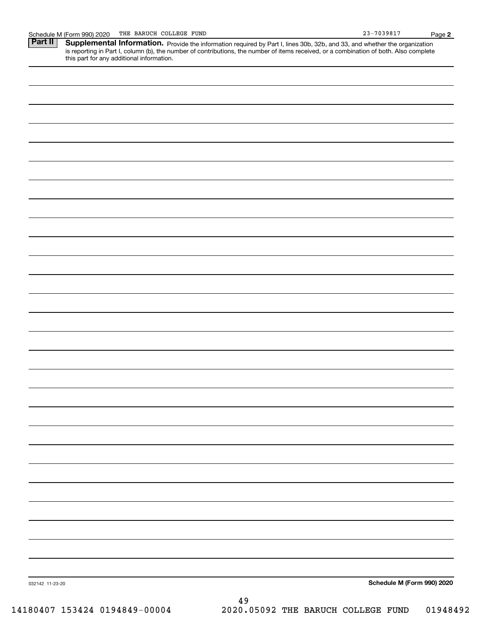this part for any additional information.

Schedule M (Form 990) 2020 THE BARUCH COLLEGE FUND<br>**Part II** Supplemental Information. Provide the information required by Part I. lines 30b. 32b. and 33. and whether the c Part II | Supplemental Information. Provide the information required by Part I, lines 30b, 32b, and 33, and whether the organization is reporting in Part I, column (b), the number of contributions, the number of items received, or a combination of both. Also complete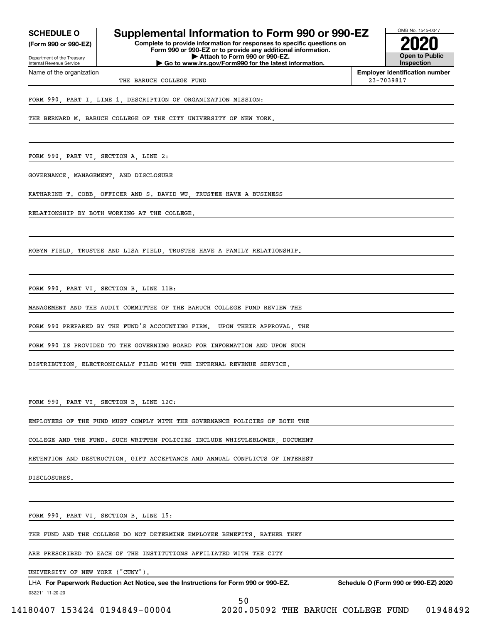**(Form 990 or 990-EZ)**

Department of the Treasury Internal Revenue Service Name of the organization

### **SCHEDULE O Supplemental Information to Form 990 or 990-EZ**

**Complete to provide information for responses to specific questions on Form 990 or 990-EZ or to provide any additional information. | Attach to Form 990 or 990-EZ. | Go to www.irs.gov/Form990 for the latest information.**



**Employer identification number**

THE BARUCH COLLEGE FUND 23-7039817

FORM 990, PART I, LINE 1, DESCRIPTION OF ORGANIZATION MISSION:

THE BERNARD M. BARUCH COLLEGE OF THE CITY UNIVERSITY OF NEW YORK.

FORM 990, PART VI, SECTION A, LINE 2:

GOVERNANCE, MANAGEMENT, AND DISCLOSURE

KATHARINE T. COBB, OFFICER AND S. DAVID WU, TRUSTEE HAVE A BUSINESS

RELATIONSHIP BY BOTH WORKING AT THE COLLEGE.

ROBYN FIELD, TRUSTEE AND LISA FIELD, TRUSTEE HAVE A FAMILY RELATIONSHIP.

FORM 990, PART VI, SECTION B, LINE 11B:

MANAGEMENT AND THE AUDIT COMMITTEE OF THE BARUCH COLLEGE FUND REVIEW THE

FORM 990 PREPARED BY THE FUND'S ACCOUNTING FIRM. UPON THEIR APPROVAL, THE

FORM 990 IS PROVIDED TO THE GOVERNING BOARD FOR INFORMATION AND UPON SUCH

DISTRIBUTION, ELECTRONICALLY FILED WITH THE INTERNAL REVENUE SERVICE.

FORM 990, PART VI, SECTION B, LINE 12C:

EMPLOYEES OF THE FUND MUST COMPLY WITH THE GOVERNANCE POLICIES OF BOTH THE

COLLEGE AND THE FUND. SUCH WRITTEN POLICIES INCLUDE WHISTLEBLOWER, DOCUMENT

RETENTION AND DESTRUCTION, GIFT ACCEPTANCE AND ANNUAL CONFLICTS OF INTEREST

DISCLOSURES.

FORM 990, PART VI, SECTION B, LINE 15:

THE FUND AND THE COLLEGE DO NOT DETERMINE EMPLOYEE BENEFITS, RATHER THEY

ARE PRESCRIBED TO EACH OF THE INSTITUTIONS AFFILIATED WITH THE CITY

UNIVERSITY OF NEW YORK ("CUNY").

032211 11-20-20 LHA For Paperwork Reduction Act Notice, see the Instructions for Form 990 or 990-EZ. Schedule O (Form 990 or 990-EZ) 2020 50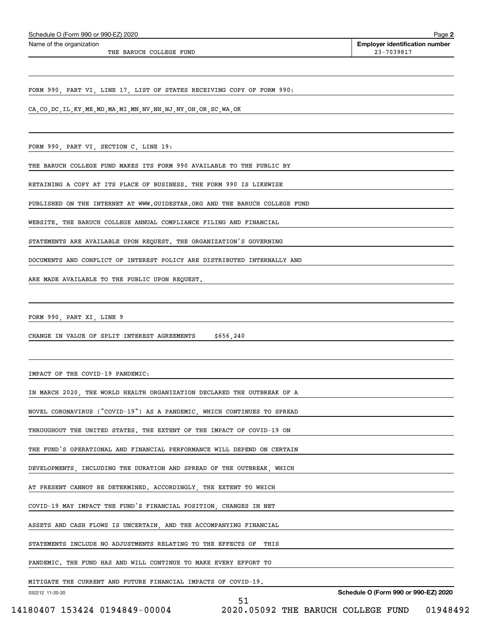| Schedule O (Form 990 or 990-EZ) 2020 |
|--------------------------------------|
|--------------------------------------|

THE BARUCH COLLEGE FUND 23-7039817

FORM 990, PART VI, LINE 17, LIST OF STATES RECEIVING COPY OF FORM 990:

CA,CO,DC,IL,KY,ME,MD,MA,MI,MN,NV,NH,NJ,NY,OH,OR,SC,WA,OK

FORM 990, PART VI, SECTION C, LINE 19:

THE BARUCH COLLEGE FUND MAKES ITS FORM 990 AVAILABLE TO THE PUBLIC BY

RETAINING A COPY AT ITS PLACE OF BUSINESS. THE FORM 990 IS LIKEWISE

PUBLISHED ON THE INTERNET AT WWW.GUIDESTAR.ORG AND THE BARUCH COLLEGE FUND

WEBSITE. THE BARUCH COLLEGE ANNUAL COMPLIANCE FILING AND FINANCIAL

STATEMENTS ARE AVAILABLE UPON REQUEST. THE ORGANIZATION'S GOVERNING

DOCUMENTS AND CONFLICT OF INTEREST POLICY ARE DISTRIBUTED INTERNALLY AND

ARE MADE AVAILABLE TO THE PUBLIC UPON REQUEST.

FORM 990, PART XI, LINE 9

CHANGE IN VALUE OF SPLIT INTEREST AGREEMENTS \$656,240

IMPACT OF THE COVID-19 PANDEMIC:

IN MARCH 2020, THE WORLD HEALTH ORGANIZATION DECLARED THE OUTBREAK OF A

NOVEL CORONAVIRUS ("COVID-19") AS A PANDEMIC, WHICH CONTINUES TO SPREAD

THROUGHOUT THE UNITED STATES. THE EXTENT OF THE IMPACT OF COVID-19 ON

THE FUND'S OPERATIONAL AND FINANCIAL PERFORMANCE WILL DEPEND ON CERTAIN

DEVELOPMENTS, INCLUDING THE DURATION AND SPREAD OF THE OUTBREAK, WHICH

AT PRESENT CANNOT BE DETERMINED. ACCORDINGLY, THE EXTENT TO WHICH

COVID-19 MAY IMPACT THE FUND'S FINANCIAL POSITION, CHANGES IN NET

ASSETS AND CASH FLOWS IS UNCERTAIN, AND THE ACCOMPANYING FINANCIAL

STATEMENTS INCLUDE NO ADJUSTMENTS RELATING TO THE EFFECTS OF THIS

PANDEMIC. THE FUND HAS AND WILL CONTINUE TO MAKE EVERY EFFORT TO

51

MITIGATE THE CURRENT AND FUTURE FINANCIAL IMPACTS OF COVID-19.

032212 11-20-20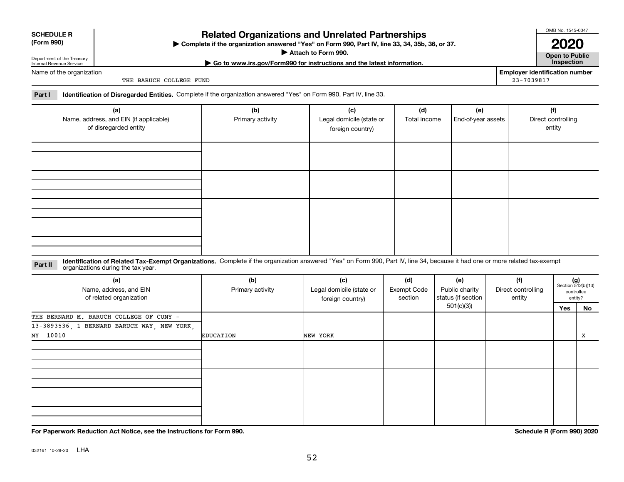| NΥ |
|----|
|----|

### **For Paperwork Reduction Act Notice, see the Instructions for Form 990. Schedule R (Form 990) 2020**

032161 10-28-20 LHA

### **Related Organizations and Unrelated Partnerships**

**Complete if the organization answered "Yes" on Form 990, Part IV, line 33, 34, 35b, 36, or 37.** |

**Attach to Form 990.**  |

### Name of the organization

Department of the Treasury Internal Revenue Service

THE BARUCH COLLEGE FUND

**Part I Identification of Disregarded Entities.**  Complete if the organization answered "Yes" on Form 990, Part IV, line 33.

| (a)<br>Name, address, and EIN (if applicable)<br>of disregarded entity | (b)<br>Primary activity | (c)<br>Legal domicile (state or<br>foreign country) | (d)<br>Total income | (e)<br>End-of-year assets | (f)<br>Direct controlling<br>entity |
|------------------------------------------------------------------------|-------------------------|-----------------------------------------------------|---------------------|---------------------------|-------------------------------------|
|                                                                        |                         |                                                     |                     |                           |                                     |
|                                                                        |                         |                                                     |                     |                           |                                     |
|                                                                        |                         |                                                     |                     |                           |                                     |
|                                                                        |                         |                                                     |                     |                           |                                     |

**Identification of Related Tax-Exempt Organizations.** Complete if the organization answered "Yes" on Form 990, Part IV, line 34, because it had one or more related tax-exempt **Part II** organizations during the tax year.

| (a)<br>Name, address, and EIN<br>of related organization | (b)<br>Primary activity | (c)<br>Legal domicile (state or<br>foreign country) | (d)<br><b>Exempt Code</b><br>section | (e)<br>Public charity<br>status (if section | (f)<br>Direct controlling<br>entity |  | $(g)$<br>Section 512(b)(13)<br>controlled<br>entity? |
|----------------------------------------------------------|-------------------------|-----------------------------------------------------|--------------------------------------|---------------------------------------------|-------------------------------------|--|------------------------------------------------------|
|                                                          |                         |                                                     |                                      | 501(c)(3)                                   |                                     |  | No                                                   |
| THE BERNARD M. BARUCH COLLEGE OF CUNY -                  |                         |                                                     |                                      |                                             |                                     |  |                                                      |
| 13-3893536, 1 BERNARD BARUCH WAY, NEW YORK,              |                         |                                                     |                                      |                                             |                                     |  |                                                      |
| NY 10010                                                 | <b>EDUCATION</b>        | NEW YORK                                            |                                      |                                             |                                     |  | x                                                    |
|                                                          |                         |                                                     |                                      |                                             |                                     |  |                                                      |
|                                                          |                         |                                                     |                                      |                                             |                                     |  |                                                      |
|                                                          |                         |                                                     |                                      |                                             |                                     |  |                                                      |
|                                                          |                         |                                                     |                                      |                                             |                                     |  |                                                      |
|                                                          |                         |                                                     |                                      |                                             |                                     |  |                                                      |
|                                                          |                         |                                                     |                                      |                                             |                                     |  |                                                      |
|                                                          |                         |                                                     |                                      |                                             |                                     |  |                                                      |
|                                                          |                         |                                                     |                                      |                                             |                                     |  |                                                      |
|                                                          |                         |                                                     |                                      |                                             |                                     |  |                                                      |

OMB No. 1545-0047 **2020**

**Open to Public**

**Employer identification number**

23-7039817

| (Form 990) |  |
|------------|--|
|------------|--|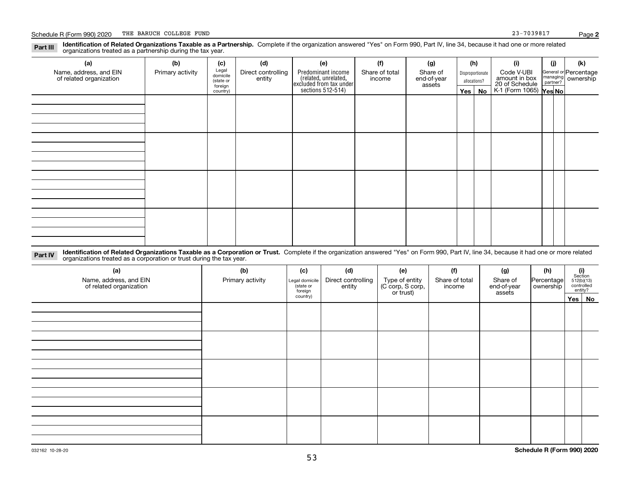| Part III | Identification of Related Organizations Taxable as a Partnership. Complete if the organization answered "Yes" on Form 990, Part IV, line 34, because it had one or more related |  |  |  |
|----------|---------------------------------------------------------------------------------------------------------------------------------------------------------------------------------|--|--|--|
|          | organizations treated as a partnership during the tax year.                                                                                                                     |  |  |  |

| (a)                                               | (b)              | (c)                  | (d)                          | (e)                                                                 | (f)                      | (g)                     |         | (h)              | (i)                                      | (j) | (k)                                                       |
|---------------------------------------------------|------------------|----------------------|------------------------------|---------------------------------------------------------------------|--------------------------|-------------------------|---------|------------------|------------------------------------------|-----|-----------------------------------------------------------|
| Name, address, and EIN<br>of related organization | Primary activity | Legal<br>domicile    | Direct controlling<br>entity | Predominant income                                                  | Share of total<br>income | Share of<br>end-of-year |         | Disproportionate | Code V-UBI<br>amount in box              |     | General or Percentage<br>managing<br>partner?<br>partner? |
|                                                   |                  | (state or<br>foreign |                              |                                                                     |                          | assets                  |         | allocations?     |                                          |     |                                                           |
|                                                   |                  | country)             |                              | related, unrelated,<br>excluded from tax under<br>sections 512-514) |                          |                         | Yes $ $ | No               | 20 of Schedule<br>K-1 (Form 1065) Yes No |     |                                                           |
|                                                   |                  |                      |                              |                                                                     |                          |                         |         |                  |                                          |     |                                                           |
|                                                   |                  |                      |                              |                                                                     |                          |                         |         |                  |                                          |     |                                                           |
|                                                   |                  |                      |                              |                                                                     |                          |                         |         |                  |                                          |     |                                                           |
|                                                   |                  |                      |                              |                                                                     |                          |                         |         |                  |                                          |     |                                                           |
|                                                   |                  |                      |                              |                                                                     |                          |                         |         |                  |                                          |     |                                                           |
|                                                   |                  |                      |                              |                                                                     |                          |                         |         |                  |                                          |     |                                                           |
|                                                   |                  |                      |                              |                                                                     |                          |                         |         |                  |                                          |     |                                                           |
|                                                   |                  |                      |                              |                                                                     |                          |                         |         |                  |                                          |     |                                                           |
|                                                   |                  |                      |                              |                                                                     |                          |                         |         |                  |                                          |     |                                                           |
|                                                   |                  |                      |                              |                                                                     |                          |                         |         |                  |                                          |     |                                                           |
|                                                   |                  |                      |                              |                                                                     |                          |                         |         |                  |                                          |     |                                                           |
|                                                   |                  |                      |                              |                                                                     |                          |                         |         |                  |                                          |     |                                                           |
|                                                   |                  |                      |                              |                                                                     |                          |                         |         |                  |                                          |     |                                                           |
|                                                   |                  |                      |                              |                                                                     |                          |                         |         |                  |                                          |     |                                                           |
|                                                   |                  |                      |                              |                                                                     |                          |                         |         |                  |                                          |     |                                                           |
|                                                   |                  |                      |                              |                                                                     |                          |                         |         |                  |                                          |     |                                                           |
|                                                   |                  |                      |                              |                                                                     |                          |                         |         |                  |                                          |     |                                                           |

**Identification of Related Organizations Taxable as a Corporation or Trust.** Complete if the organization answered "Yes" on Form 990, Part IV, line 34, because it had one or more related **Part IV** organizations treated as a corporation or trust during the tax year.

| (a)<br>Name, address, and EIN<br>of related organization | (b)<br>Primary activity | (c)<br>Legal domicile<br>(state or<br>foreign | (d)<br>Direct controlling<br>entity | (e)<br>Type of entity<br>(C corp, S corp,<br>or trust) | (f)<br>Share of total<br>income | (g)<br>Share of<br>end-of-year<br>assets | (h)<br>Percentage<br>ownership | $\begin{array}{c} \textbf{(i)}\\ \text{Section}\\ 512 \text{(b)} \text{(13)}\\ \text{controlled}\\ \text{entity?} \end{array}$ |
|----------------------------------------------------------|-------------------------|-----------------------------------------------|-------------------------------------|--------------------------------------------------------|---------------------------------|------------------------------------------|--------------------------------|--------------------------------------------------------------------------------------------------------------------------------|
|                                                          |                         | country)                                      |                                     |                                                        |                                 |                                          |                                | Yes No                                                                                                                         |
|                                                          |                         |                                               |                                     |                                                        |                                 |                                          |                                |                                                                                                                                |
|                                                          |                         |                                               |                                     |                                                        |                                 |                                          |                                |                                                                                                                                |
|                                                          |                         |                                               |                                     |                                                        |                                 |                                          |                                |                                                                                                                                |
|                                                          |                         |                                               |                                     |                                                        |                                 |                                          |                                |                                                                                                                                |
|                                                          |                         |                                               |                                     |                                                        |                                 |                                          |                                |                                                                                                                                |
|                                                          |                         |                                               |                                     |                                                        |                                 |                                          |                                |                                                                                                                                |
|                                                          |                         |                                               |                                     |                                                        |                                 |                                          |                                |                                                                                                                                |
|                                                          |                         |                                               |                                     |                                                        |                                 |                                          |                                |                                                                                                                                |
|                                                          |                         |                                               |                                     |                                                        |                                 |                                          |                                |                                                                                                                                |
|                                                          |                         |                                               |                                     |                                                        |                                 |                                          |                                |                                                                                                                                |
|                                                          |                         |                                               |                                     |                                                        |                                 |                                          |                                |                                                                                                                                |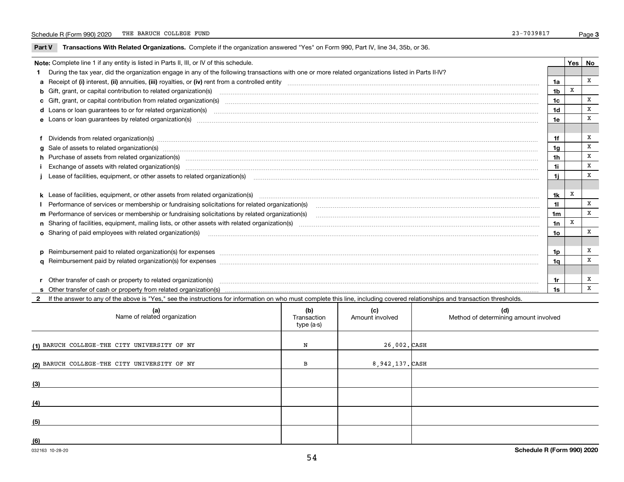$\overline{\phantom{a}}$ 

**Part V** T**ransactions With Related Organizations.** Complete if the organization answered "Yes" on Form 990, Part IV, line 34, 35b, or 36.

| Yes<br>Note: Complete line 1 if any entity is listed in Parts II, III, or IV of this schedule. |                                                                                                                                                                                                                                |                |   |   |  |  |
|------------------------------------------------------------------------------------------------|--------------------------------------------------------------------------------------------------------------------------------------------------------------------------------------------------------------------------------|----------------|---|---|--|--|
|                                                                                                | 1 During the tax year, did the organization engage in any of the following transactions with one or more related organizations listed in Parts II-IV?                                                                          |                |   |   |  |  |
|                                                                                                |                                                                                                                                                                                                                                | 1a             |   | x |  |  |
|                                                                                                | b Gift, grant, or capital contribution to related organization(s) manufactured manufactured manufactured manufactured manufactured manufactured manufactured manufactured manufactured manufactured manufactured manufactured  | 1 <sub>b</sub> | X |   |  |  |
|                                                                                                | c Gift, grant, or capital contribution from related organization(s) manufaction contribution from related organization(s) manufaction contribution from related organization(s) manufaction manufaction contribution from rela | 1c             |   | x |  |  |
|                                                                                                | d Loans or loan guarantees to or for related organization(s) committion contains and contains and contains a series or loan guarantees to or for related organization(s)                                                       | 1 <sub>d</sub> |   | X |  |  |
|                                                                                                |                                                                                                                                                                                                                                | 1e             |   | X |  |  |
|                                                                                                |                                                                                                                                                                                                                                |                |   |   |  |  |
|                                                                                                | f Dividends from related organization(s) manufactured contains and contained a series of the contact of the contact of the contact of the contact of the contact of the contact of the contact of the contact of the contact o | 1f             |   | x |  |  |
|                                                                                                |                                                                                                                                                                                                                                | 1g             |   | X |  |  |
|                                                                                                | h Purchase of assets from related organization(s) manufactured and content to the content of assets from related organization(s)                                                                                               | 1 <sub>h</sub> |   | X |  |  |
|                                                                                                | Exchange of assets with related organization(s) manufactured and content to the content of the content of the content of the content of the content of the content of the content of the content of the content of the content | 1i.            |   | X |  |  |
|                                                                                                |                                                                                                                                                                                                                                | 1i.            |   | X |  |  |
|                                                                                                |                                                                                                                                                                                                                                |                |   |   |  |  |
|                                                                                                |                                                                                                                                                                                                                                | 1k             | х |   |  |  |
|                                                                                                | Performance of services or membership or fundraising solicitations for related organization(s)                                                                                                                                 | $\mathbf{1}$   |   | x |  |  |
|                                                                                                | m Performance of services or membership or fundraising solicitations by related organization(s)                                                                                                                                | 1m             |   | X |  |  |
|                                                                                                |                                                                                                                                                                                                                                | 1n             | X |   |  |  |
|                                                                                                | <b>o</b> Sharing of paid employees with related organization(s)                                                                                                                                                                | 1o             |   | X |  |  |
|                                                                                                |                                                                                                                                                                                                                                |                |   |   |  |  |
|                                                                                                | p Reimbursement paid to related organization(s) for expenses [1111] and manufacture manufacture manufacture manufacture manufacture manufacture manufacture manufacture manufacture manufacture manufacture manufacture manufa | 1p             |   | х |  |  |
|                                                                                                |                                                                                                                                                                                                                                | 1a             |   | X |  |  |
|                                                                                                |                                                                                                                                                                                                                                |                |   |   |  |  |
|                                                                                                | r Other transfer of cash or property to related organization(s)                                                                                                                                                                | 1r             |   | x |  |  |
|                                                                                                |                                                                                                                                                                                                                                | 1s             |   | x |  |  |

**2**If the answer to any of the above is "Yes," see the instructions for information on who must complete this line, including covered relationships and transaction thresholds.

| (a)<br>Name of related organization          | (b)<br>Transaction<br>type (a-s) | (c)<br>Amount involved | (d)<br>Method of determining amount involved |
|----------------------------------------------|----------------------------------|------------------------|----------------------------------------------|
| (1) BARUCH COLLEGE-THE CITY UNIVERSITY OF NY | N                                | 26,002. CASH           |                                              |
| (2) BARUCH COLLEGE-THE CITY UNIVERSITY OF NY | в                                | 8,942,137. CASH        |                                              |
| (3)                                          |                                  |                        |                                              |
| (4)                                          |                                  |                        |                                              |
| (5)                                          |                                  |                        |                                              |
| (6)                                          |                                  |                        |                                              |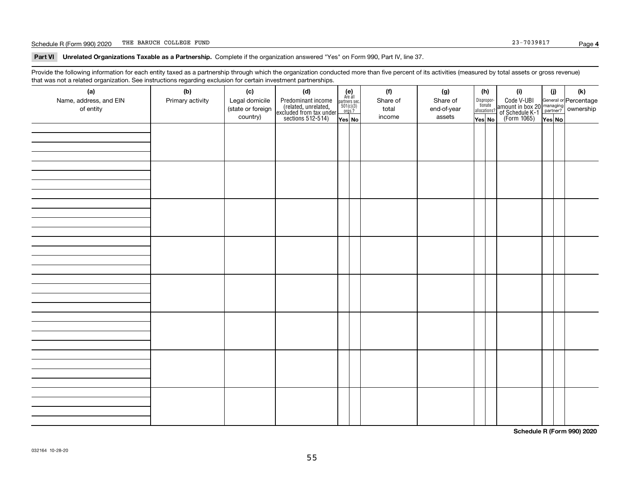#### Schedule R (Form 990) 2020 THE BARUCH COLLEGE FUND THE BARUCH COLLEGE FUND

**Part VI Unrelated Organizations Taxable as a Partnership. Complete if the organization answered "Yes" on Form 990, Part IV, line 37.** 

Provide the following information for each entity taxed as a partnership through which the organization conducted more than five percent of its activities (measured by total assets or gross revenue) that was not a related organization. See instructions regarding exclusion for certain investment partnerships.

| (a)<br>Name, address, and EIN<br>of entity | (b)<br>Primary activity | (c)<br>Legal domicile<br>(state or foreign<br>country) | (d)<br>Predominant income<br>(related, unrelated,<br>excluded from tax under<br>sections 512-514) | $\begin{array}{c} \textbf{(e)}\\ \text{Are all} \\ \text{partners sec.}\\ 501(c)(3)\\ \text{orgs.?} \end{array}$<br>Yes No | (f)<br>Share of<br>total<br>income | (g)<br>Share of<br>end-of-year<br>assets | (h)<br>Dispropor-<br>tionate<br>allocations?<br>Yes No | (i)<br>Code V-UBI<br>amount in box 20 managing<br>of Schedule K-1 partner? ownership<br>(Form 1065)<br>ves No | (i)<br>Yes No | (k) |
|--------------------------------------------|-------------------------|--------------------------------------------------------|---------------------------------------------------------------------------------------------------|----------------------------------------------------------------------------------------------------------------------------|------------------------------------|------------------------------------------|--------------------------------------------------------|---------------------------------------------------------------------------------------------------------------|---------------|-----|
|                                            |                         |                                                        |                                                                                                   |                                                                                                                            |                                    |                                          |                                                        |                                                                                                               |               |     |
|                                            |                         |                                                        |                                                                                                   |                                                                                                                            |                                    |                                          |                                                        |                                                                                                               |               |     |
|                                            |                         |                                                        |                                                                                                   |                                                                                                                            |                                    |                                          |                                                        |                                                                                                               |               |     |
|                                            |                         |                                                        |                                                                                                   |                                                                                                                            |                                    |                                          |                                                        |                                                                                                               |               |     |
|                                            |                         |                                                        |                                                                                                   |                                                                                                                            |                                    |                                          |                                                        |                                                                                                               |               |     |
|                                            |                         |                                                        |                                                                                                   |                                                                                                                            |                                    |                                          |                                                        |                                                                                                               |               |     |
|                                            |                         |                                                        |                                                                                                   |                                                                                                                            |                                    |                                          |                                                        |                                                                                                               |               |     |
|                                            |                         |                                                        |                                                                                                   |                                                                                                                            |                                    |                                          |                                                        |                                                                                                               |               |     |

**Schedule R (Form 990) 2020**